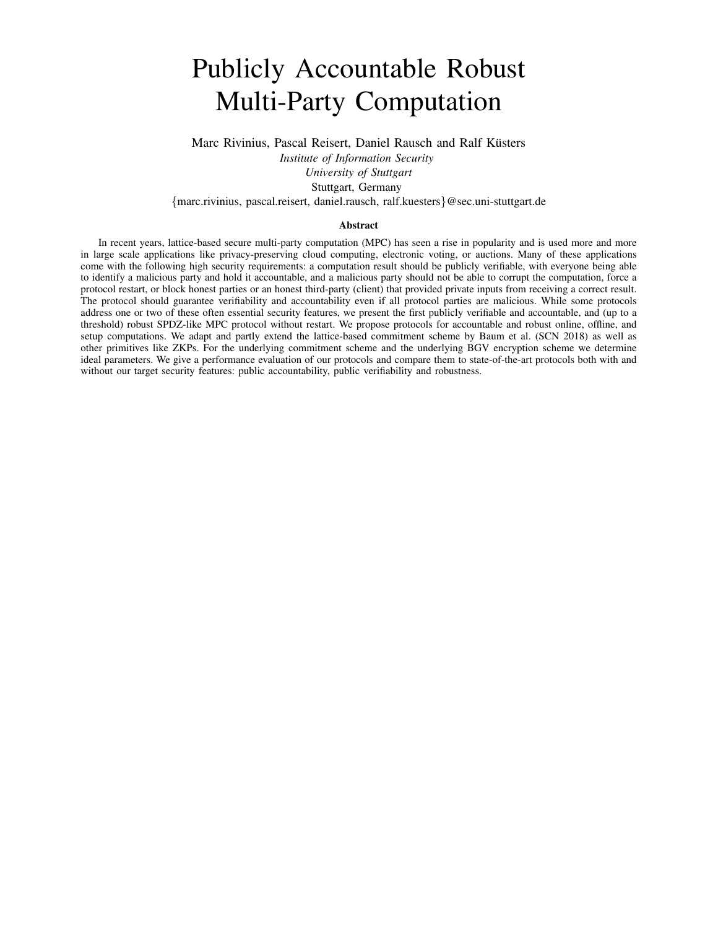# <span id="page-0-0"></span>Publicly Accountable Robust Multi-Party Computation

Marc Rivinius, Pascal Reisert, Daniel Rausch and Ralf Küsters

*Institute of Information Security*

*University of Stuttgart*

Stuttgart, Germany

{marc.rivinius, pascal.reisert, daniel.rausch, ralf.kuesters}@sec.uni-stuttgart.de

#### Abstract

In recent years, lattice-based secure multi-party computation (MPC) has seen a rise in popularity and is used more and more in large scale applications like privacy-preserving cloud computing, electronic voting, or auctions. Many of these applications come with the following high security requirements: a computation result should be publicly verifiable, with everyone being able to identify a malicious party and hold it accountable, and a malicious party should not be able to corrupt the computation, force a protocol restart, or block honest parties or an honest third-party (client) that provided private inputs from receiving a correct result. The protocol should guarantee verifiability and accountability even if all protocol parties are malicious. While some protocols address one or two of these often essential security features, we present the first publicly verifiable and accountable, and (up to a threshold) robust SPDZ-like MPC protocol without restart. We propose protocols for accountable and robust online, offline, and setup computations. We adapt and partly extend the lattice-based commitment scheme by Baum et al. (SCN 2018) as well as other primitives like ZKPs. For the underlying commitment scheme and the underlying BGV encryption scheme we determine ideal parameters. We give a performance evaluation of our protocols and compare them to state-of-the-art protocols both with and without our target security features: public accountability, public verifiability and robustness.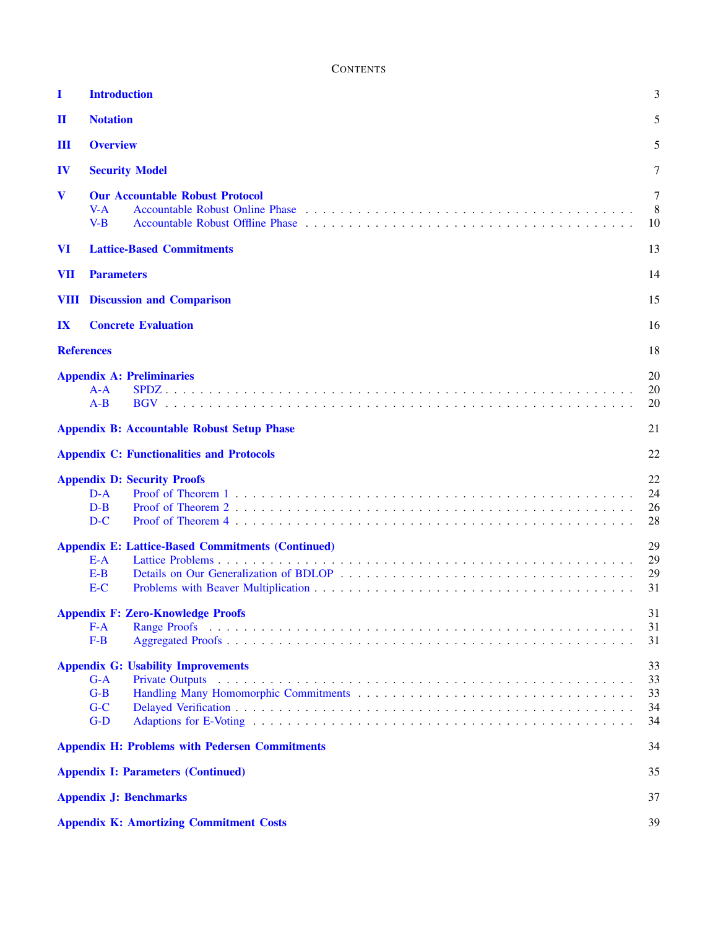**CONTENTS** 

| I                       | <b>Introduction</b>                                                                                                                                                                                                                                                                       | 3                          |
|-------------------------|-------------------------------------------------------------------------------------------------------------------------------------------------------------------------------------------------------------------------------------------------------------------------------------------|----------------------------|
| $\mathbf I$             | <b>Notation</b>                                                                                                                                                                                                                                                                           | 5                          |
| Ш                       | <b>Overview</b>                                                                                                                                                                                                                                                                           | 5                          |
| IV                      | <b>Security Model</b>                                                                                                                                                                                                                                                                     | 7                          |
| V                       | <b>Our Accountable Robust Protocol</b><br>$V-A$<br>$V-B$<br>Accountable Robust Offline Phase entering the service of the service of the service of the service of the service of the service of the service of the service of the service of the service of the service of the service of | 7<br>8<br>10               |
| <b>VI</b>               | <b>Lattice-Based Commitments</b>                                                                                                                                                                                                                                                          | 13                         |
| <b>VII</b>              | <b>Parameters</b>                                                                                                                                                                                                                                                                         | 14                         |
| VШ                      | <b>Discussion and Comparison</b>                                                                                                                                                                                                                                                          | 15                         |
| $\mathbf{I} \mathbf{X}$ | <b>Concrete Evaluation</b>                                                                                                                                                                                                                                                                | 16                         |
|                         | <b>References</b>                                                                                                                                                                                                                                                                         | 18                         |
|                         | <b>Appendix A: Preliminaries</b><br>$A-A$<br>$A-B$                                                                                                                                                                                                                                        | 20<br>20<br>20             |
|                         | <b>Appendix B: Accountable Robust Setup Phase</b>                                                                                                                                                                                                                                         | 21                         |
|                         | <b>Appendix C: Functionalities and Protocols</b>                                                                                                                                                                                                                                          | 22                         |
|                         | <b>Appendix D: Security Proofs</b><br>$D-A$<br>$D-B$<br>$D-C$                                                                                                                                                                                                                             | 22<br>24<br>26<br>28       |
|                         | <b>Appendix E: Lattice-Based Commitments (Continued)</b><br>$E-A$<br>$E-B$<br>$E-C$                                                                                                                                                                                                       | 29<br>29<br>29<br>31       |
|                         | <b>Appendix F: Zero-Knowledge Proofs</b><br>$F-A$<br>$F-B$                                                                                                                                                                                                                                | 31<br>31<br>31             |
|                         | <b>Appendix G: Usability Improvements</b><br>$G-A$<br>$G-B$<br>$G-C$<br>$G-D$                                                                                                                                                                                                             | 33<br>33<br>33<br>34<br>34 |
|                         | <b>Appendix H: Problems with Pedersen Commitments</b>                                                                                                                                                                                                                                     | 34                         |
|                         | <b>Appendix I: Parameters (Continued)</b>                                                                                                                                                                                                                                                 | 35                         |
|                         | <b>Appendix J: Benchmarks</b>                                                                                                                                                                                                                                                             | 37                         |
|                         | <b>Appendix K: Amortizing Commitment Costs</b>                                                                                                                                                                                                                                            | 39                         |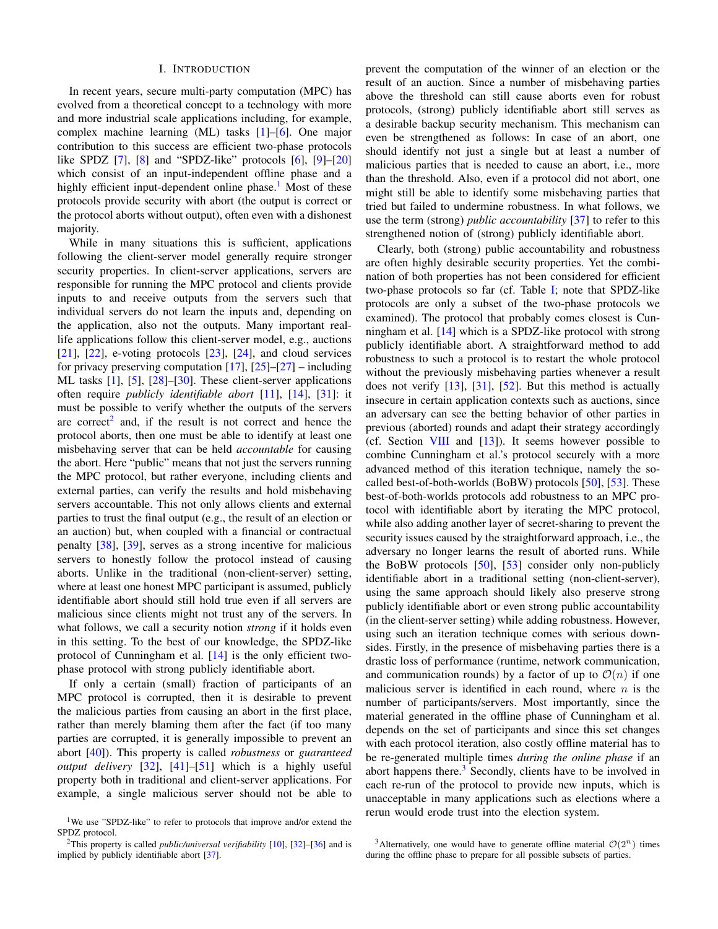#### I. INTRODUCTION

<span id="page-2-0"></span>In recent years, secure multi-party computation (MPC) has evolved from a theoretical concept to a technology with more and more industrial scale applications including, for example, complex machine learning (ML) tasks [\[1\]](#page-17-1)–[\[6\]](#page-17-2). One major contribution to this success are efficient two-phase protocols like SPDZ  $[7]$ ,  $[8]$  and "SPDZ-like" protocols  $[6]$ ,  $[9]$ - $[20]$ which consist of an input-independent offline phase and a highly efficient input-dependent online phase.<sup>[1](#page-0-0)</sup> Most of these protocols provide security with abort (the output is correct or the protocol aborts without output), often even with a dishonest majority.

While in many situations this is sufficient, applications following the client-server model generally require stronger security properties. In client-server applications, servers are responsible for running the MPC protocol and clients provide inputs to and receive outputs from the servers such that individual servers do not learn the inputs and, depending on the application, also not the outputs. Many important reallife applications follow this client-server model, e.g., auctions  $[21]$ ,  $[22]$ , e-voting protocols  $[23]$ ,  $[24]$ , and cloud services for privacy preserving computation  $[17]$ ,  $[25]$ – $[27]$  – including ML tasks [\[1\]](#page-17-1), [\[5\]](#page-17-14), [\[28\]](#page-17-15)–[\[30\]](#page-17-16). These client-server applications often require *publicly identifiable abort* [\[11\]](#page-17-17), [\[14\]](#page-17-18), [\[31\]](#page-18-0): it must be possible to verify whether the outputs of the servers are correct<sup>[2](#page-0-0)</sup> and, if the result is not correct and hence the protocol aborts, then one must be able to identify at least one misbehaving server that can be held *accountable* for causing the abort. Here "public" means that not just the servers running the MPC protocol, but rather everyone, including clients and external parties, can verify the results and hold misbehaving servers accountable. This not only allows clients and external parties to trust the final output (e.g., the result of an election or an auction) but, when coupled with a financial or contractual penalty [\[38\]](#page-18-1), [\[39\]](#page-18-2), serves as a strong incentive for malicious servers to honestly follow the protocol instead of causing aborts. Unlike in the traditional (non-client-server) setting, where at least one honest MPC participant is assumed, publicly identifiable abort should still hold true even if all servers are malicious since clients might not trust any of the servers. In what follows, we call a security notion *strong* if it holds even in this setting. To the best of our knowledge, the SPDZ-like protocol of Cunningham et al. [\[14\]](#page-17-18) is the only efficient twophase protocol with strong publicly identifiable abort.

If only a certain (small) fraction of participants of an MPC protocol is corrupted, then it is desirable to prevent the malicious parties from causing an abort in the first place, rather than merely blaming them after the fact (if too many parties are corrupted, it is generally impossible to prevent an abort [\[40\]](#page-18-3)). This property is called *robustness* or *guaranteed output delivery* [\[32\]](#page-18-4), [\[41\]](#page-18-5)–[\[51\]](#page-18-6) which is a highly useful property both in traditional and client-server applications. For example, a single malicious server should not be able to prevent the computation of the winner of an election or the result of an auction. Since a number of misbehaving parties above the threshold can still cause aborts even for robust protocols, (strong) publicly identifiable abort still serves as a desirable backup security mechanism. This mechanism can even be strengthened as follows: In case of an abort, one should identify not just a single but at least a number of malicious parties that is needed to cause an abort, i.e., more than the threshold. Also, even if a protocol did not abort, one might still be able to identify some misbehaving parties that tried but failed to undermine robustness. In what follows, we use the term (strong) *public accountability* [\[37\]](#page-18-8) to refer to this strengthened notion of (strong) publicly identifiable abort.

Clearly, both (strong) public accountability and robustness are often highly desirable security properties. Yet the combination of both properties has not been considered for efficient two-phase protocols so far (cf. Table [I;](#page-3-0) note that SPDZ-like protocols are only a subset of the two-phase protocols we examined). The protocol that probably comes closest is Cunningham et al. [\[14\]](#page-17-18) which is a SPDZ-like protocol with strong publicly identifiable abort. A straightforward method to add robustness to such a protocol is to restart the whole protocol without the previously misbehaving parties whenever a result does not verify [\[13\]](#page-17-20), [\[31\]](#page-18-0), [\[52\]](#page-18-9). But this method is actually insecure in certain application contexts such as auctions, since an adversary can see the betting behavior of other parties in previous (aborted) rounds and adapt their strategy accordingly (cf. Section [VIII](#page-14-0) and [\[13\]](#page-17-20)). It seems however possible to combine Cunningham et al.'s protocol securely with a more advanced method of this iteration technique, namely the socalled best-of-both-worlds (BoBW) protocols [\[50\]](#page-18-10), [\[53\]](#page-18-11). These best-of-both-worlds protocols add robustness to an MPC protocol with identifiable abort by iterating the MPC protocol, while also adding another layer of secret-sharing to prevent the security issues caused by the straightforward approach, i.e., the adversary no longer learns the result of aborted runs. While the BoBW protocols [\[50\]](#page-18-10), [\[53\]](#page-18-11) consider only non-publicly identifiable abort in a traditional setting (non-client-server), using the same approach should likely also preserve strong publicly identifiable abort or even strong public accountability (in the client-server setting) while adding robustness. However, using such an iteration technique comes with serious downsides. Firstly, in the presence of misbehaving parties there is a drastic loss of performance (runtime, network communication, and communication rounds) by a factor of up to  $\mathcal{O}(n)$  if one malicious server is identified in each round, where  $n$  is the number of participants/servers. Most importantly, since the material generated in the offline phase of Cunningham et al. depends on the set of participants and since this set changes with each protocol iteration, also costly offline material has to be re-generated multiple times *during the online phase* if an abort happens there.<sup>[3](#page-0-0)</sup> Secondly, clients have to be involved in each re-run of the protocol to provide new inputs, which is unacceptable in many applications such as elections where a rerun would erode trust into the election system.

<sup>&</sup>lt;sup>1</sup>We use "SPDZ-like" to refer to protocols that improve and/or extend the SPDZ protocol.

<sup>2</sup>This property is called *public/universal verifiability* [\[10\]](#page-17-19), [\[32\]](#page-18-4)–[\[36\]](#page-18-7) and is implied by publicly identifiable abort [\[37\]](#page-18-8).

<sup>&</sup>lt;sup>3</sup>Alternatively, one would have to generate offline material  $\mathcal{O}(2^n)$  times during the offline phase to prepare for all possible subsets of parties.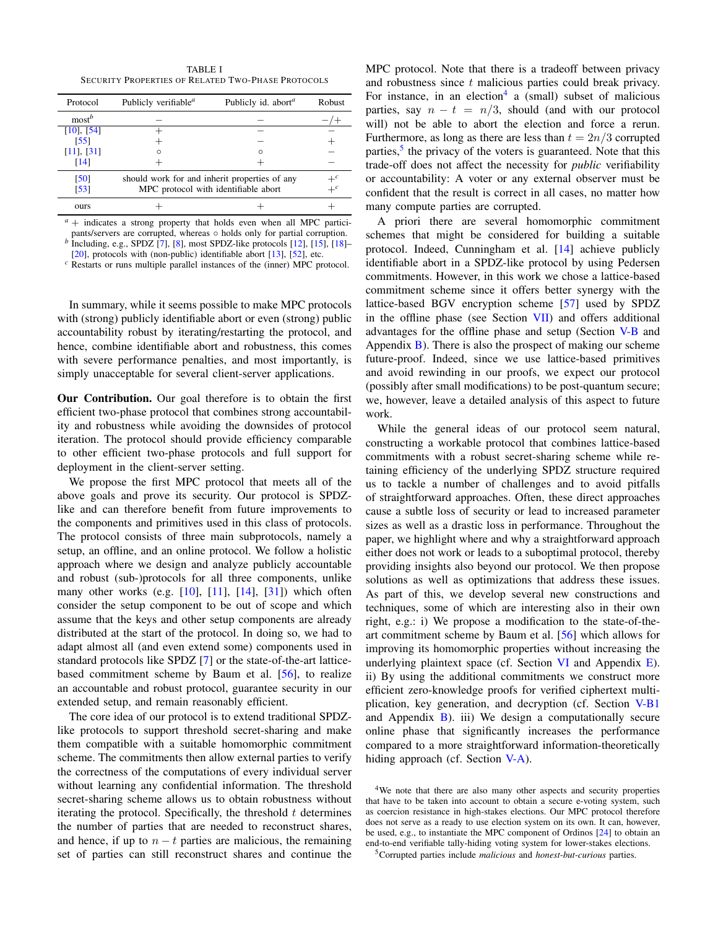<span id="page-3-0"></span>TABLE I SECURITY PROPERTIES OF RELATED TWO-PHASE PROTOCOLS

| Protocol                  | Publicly verifiable <sup><math>a</math></sup>                                         | Publicly id. abort <sup>a</sup> | <b>Robust</b> |
|---------------------------|---------------------------------------------------------------------------------------|---------------------------------|---------------|
| $most^b$                  |                                                                                       |                                 |               |
| $[10]$ , $[54]$           |                                                                                       |                                 |               |
| [55]                      |                                                                                       |                                 |               |
| $[11]$ , $[31]$           | $\Omega$                                                                              | $\Omega$                        |               |
| [14]                      |                                                                                       |                                 |               |
| [50]<br>$\left[53\right]$ | should work for and inherit properties of any<br>MPC protocol with identifiable abort | $+^c$                           |               |
| ours                      |                                                                                       |                                 |               |

 $a + i$  indicates a strong property that holds even when all MPC participants/servers are corrupted, whereas ∘ holds only for partial corruption. *b* Including, e.g., SPDZ [\[7\]](#page-17-3), [\[8\]](#page-17-4), most SPDZ-like protocols [\[12\]](#page-17-21), [\[15\]](#page-17-22), [\[18\]](#page-17-23)–

[ $20$ ], protocols with (non-public) identifiable abort [ $13$ ], [ $52$ ], etc.

*<sup>c</sup>* Restarts or runs multiple parallel instances of the (inner) MPC protocol.

In summary, while it seems possible to make MPC protocols with (strong) publicly identifiable abort or even (strong) public accountability robust by iterating/restarting the protocol, and hence, combine identifiable abort and robustness, this comes with severe performance penalties, and most importantly, is simply unacceptable for several client-server applications.

Our Contribution. Our goal therefore is to obtain the first efficient two-phase protocol that combines strong accountability and robustness while avoiding the downsides of protocol iteration. The protocol should provide efficiency comparable to other efficient two-phase protocols and full support for deployment in the client-server setting.

We propose the first MPC protocol that meets all of the above goals and prove its security. Our protocol is SPDZlike and can therefore benefit from future improvements to the components and primitives used in this class of protocols. The protocol consists of three main subprotocols, namely a setup, an offline, and an online protocol. We follow a holistic approach where we design and analyze publicly accountable and robust (sub-)protocols for all three components, unlike many other works (e.g. [\[10\]](#page-17-19), [\[11\]](#page-17-17), [\[14\]](#page-17-18), [\[31\]](#page-18-0)) which often consider the setup component to be out of scope and which assume that the keys and other setup components are already distributed at the start of the protocol. In doing so, we had to adapt almost all (and even extend some) components used in standard protocols like SPDZ [\[7\]](#page-17-3) or the state-of-the-art latticebased commitment scheme by Baum et al. [\[56\]](#page-18-14), to realize an accountable and robust protocol, guarantee security in our extended setup, and remain reasonably efficient.

The core idea of our protocol is to extend traditional SPDZlike protocols to support threshold secret-sharing and make them compatible with a suitable homomorphic commitment scheme. The commitments then allow external parties to verify the correctness of the computations of every individual server without learning any confidential information. The threshold secret-sharing scheme allows us to obtain robustness without iterating the protocol. Specifically, the threshold  $t$  determines the number of parties that are needed to reconstruct shares, and hence, if up to  $n - t$  parties are malicious, the remaining set of parties can still reconstruct shares and continue the

MPC protocol. Note that there is a tradeoff between privacy and robustness since t malicious parties could break privacy. For instance, in an election<sup>[4](#page-0-0)</sup> a (small) subset of malicious parties, say  $n - t = n/3$ , should (and with our protocol will) not be able to abort the election and force a rerun. Furthermore, as long as there are less than  $t = 2n/3$  corrupted parties,<sup>[5](#page-0-0)</sup> the privacy of the voters is guaranteed. Note that this trade-off does not affect the necessity for *public* verifiability or accountability: A voter or any external observer must be confident that the result is correct in all cases, no matter how many compute parties are corrupted.

A priori there are several homomorphic commitment schemes that might be considered for building a suitable protocol. Indeed, Cunningham et al. [\[14\]](#page-17-18) achieve publicly identifiable abort in a SPDZ-like protocol by using Pedersen commitments. However, in this work we chose a lattice-based commitment scheme since it offers better synergy with the lattice-based BGV encryption scheme [\[57\]](#page-18-15) used by SPDZ in the offline phase (see Section [VII\)](#page-13-0) and offers additional advantages for the offline phase and setup (Section [V-B](#page-9-0) and Appendix  $\overline{B}$ ). There is also the prospect of making our scheme future-proof. Indeed, since we use lattice-based primitives and avoid rewinding in our proofs, we expect our protocol (possibly after small modifications) to be post-quantum secure; we, however, leave a detailed analysis of this aspect to future work.

While the general ideas of our protocol seem natural, constructing a workable protocol that combines lattice-based commitments with a robust secret-sharing scheme while retaining efficiency of the underlying SPDZ structure required us to tackle a number of challenges and to avoid pitfalls of straightforward approaches. Often, these direct approaches cause a subtle loss of security or lead to increased parameter sizes as well as a drastic loss in performance. Throughout the paper, we highlight where and why a straightforward approach either does not work or leads to a suboptimal protocol, thereby providing insights also beyond our protocol. We then propose solutions as well as optimizations that address these issues. As part of this, we develop several new constructions and techniques, some of which are interesting also in their own right, e.g.: i) We propose a modification to the state-of-theart commitment scheme by Baum et al. [\[56\]](#page-18-14) which allows for improving its homomorphic properties without increasing the underlying plaintext space (cf. Section  $VI$  and Appendix  $E$ ). ii) By using the additional commitments we construct more efficient zero-knowledge proofs for verified ciphertext multiplication, key generation, and decryption (cf. Section [V-B1](#page-11-1) and Appendix  $\bf{B}$ ). iii) We design a computationally secure online phase that significantly increases the performance compared to a more straightforward information-theoretically hiding approach (cf. Section [V-A\)](#page-7-0).

<sup>4</sup>We note that there are also many other aspects and security properties that have to be taken into account to obtain a secure e-voting system, such as coercion resistance in high-stakes elections. Our MPC protocol therefore does not serve as a ready to use election system on its own. It can, however, be used, e.g., to instantiate the MPC component of Ordinos [\[24\]](#page-17-10) to obtain an end-to-end verifiable tally-hiding voting system for lower-stakes elections.

<sup>5</sup>Corrupted parties include *malicious* and *honest-but-curious* parties.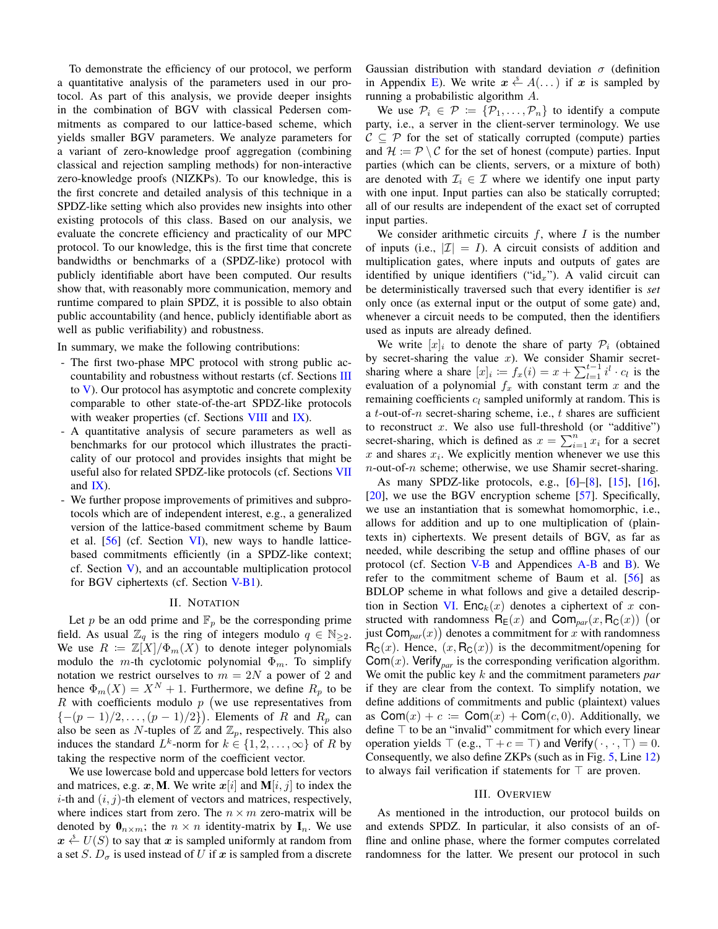To demonstrate the efficiency of our protocol, we perform a quantitative analysis of the parameters used in our protocol. As part of this analysis, we provide deeper insights in the combination of BGV with classical Pedersen commitments as compared to our lattice-based scheme, which yields smaller BGV parameters. We analyze parameters for a variant of zero-knowledge proof aggregation (combining classical and rejection sampling methods) for non-interactive zero-knowledge proofs (NIZKPs). To our knowledge, this is the first concrete and detailed analysis of this technique in a SPDZ-like setting which also provides new insights into other existing protocols of this class. Based on our analysis, we evaluate the concrete efficiency and practicality of our MPC protocol. To our knowledge, this is the first time that concrete bandwidths or benchmarks of a (SPDZ-like) protocol with publicly identifiable abort have been computed. Our results show that, with reasonably more communication, memory and runtime compared to plain SPDZ, it is possible to also obtain public accountability (and hence, publicly identifiable abort as well as public verifiability) and robustness.

In summary, we make the following contributions:

- The first two-phase MPC protocol with strong public accountability and robustness without restarts (cf. Sections [III](#page-4-1) to [V\)](#page-6-1). Our protocol has asymptotic and concrete complexity comparable to other state-of-the-art SPDZ-like protocols with weaker properties (cf. Sections [VIII](#page-14-0) and [IX\)](#page-15-0).
- A quantitative analysis of secure parameters as well as benchmarks for our protocol which illustrates the practicality of our protocol and provides insights that might be useful also for related SPDZ-like protocols (cf. Sections [VII](#page-13-0) and [IX\)](#page-15-0).
- We further propose improvements of primitives and subprotocols which are of independent interest, e.g., a generalized version of the lattice-based commitment scheme by Baum et al. [\[56\]](#page-18-14) (cf. Section [VI\)](#page-12-0), new ways to handle latticebased commitments efficiently (in a SPDZ-like context; cf. Section [V\)](#page-6-1), and an accountable multiplication protocol for BGV ciphertexts (cf. Section [V-B1\)](#page-11-1).

#### II. NOTATION

<span id="page-4-0"></span>Let p be an odd prime and  $\mathbb{F}_p$  be the corresponding prime field. As usual  $\mathbb{Z}_q$  is the ring of integers modulo  $q \in \mathbb{N}_{\geq 2}$ . We use  $R := \mathbb{Z}[X]/\Phi_m(X)$  to denote integer polynomials modulo the m-th cyclotomic polynomial  $\Phi_m$ . To simplify notation we restrict ourselves to  $m = 2N$  a power of 2 and hence  $\Phi_m(X) = X^N + 1$ . Furthermore, we define  $R_p$  to be  $R$  with coefficients modulo  $p$  (we use representatives from  $\{-(p-1)/2,\ldots,(p-1)/2\}$ ). Elements of R and  $R_p$  can also be seen as N-tuples of  $\mathbb Z$  and  $\mathbb Z_p$ , respectively. This also induces the standard  $L^k$ -norm for  $k \in \{1, 2, ..., \infty\}$  of R by taking the respective norm of the coefficient vector.

We use lowercase bold and uppercase bold letters for vectors and matrices, e.g. x, M. We write  $x[i]$  and  $M[i, j]$  to index the *i*-th and  $(i, j)$ -th element of vectors and matrices, respectively, where indices start from zero. The  $n \times m$  zero-matrix will be denoted by  $\mathbf{0}_{n \times m}$ ; the  $n \times n$  identity-matrix by  $\mathbf{I}_n$ . We use  $x \stackrel{s}{\leftarrow} U(S)$  to say that x is sampled uniformly at random from a set S.  $D_{\sigma}$  is used instead of U if x is sampled from a discrete Gaussian distribution with standard deviation  $\sigma$  (definition in Appendix [E\)](#page-28-0). We write  $x \stackrel{s}{\leftarrow} A(\dots)$  if x is sampled by running a probabilistic algorithm A.

We use  $\mathcal{P}_i \in \mathcal{P} \coloneqq \{P_1, \ldots, P_n\}$  to identify a compute party, i.e., a server in the client-server terminology. We use  $C \subseteq P$  for the set of statically corrupted (compute) parties and  $\mathcal{H} := \mathcal{P} \setminus \mathcal{C}$  for the set of honest (compute) parties. Input parties (which can be clients, servers, or a mixture of both) are denoted with  $\mathcal{I}_i \in \mathcal{I}$  where we identify one input party with one input. Input parties can also be statically corrupted; all of our results are independent of the exact set of corrupted input parties.

We consider arithmetic circuits  $f$ , where  $I$  is the number of inputs (i.e.,  $|\mathcal{I}| = I$ ). A circuit consists of addition and multiplication gates, where inputs and outputs of gates are identified by unique identifiers (" $id_x$ "). A valid circuit can be deterministically traversed such that every identifier is *set* only once (as external input or the output of some gate) and, whenever a circuit needs to be computed, then the identifiers used as inputs are already defined.

We write  $[x]_i$  to denote the share of party  $\mathcal{P}_i$  (obtained by secret-sharing the value  $x$ ). We consider Shamir secretsharing where a share  $[x]_i := f_x(i) = x + \sum_{l=1}^{t-1} i^l \cdot c_l$  is the evaluation of a polynomial  $f_x$  with constant term x and the remaining coefficients  $c_l$  sampled uniformly at random. This is a  $t$ -out-of- $n$  secret-sharing scheme, i.e.,  $t$  shares are sufficient to reconstruct  $x$ . We also use full-threshold (or "additive") secret-sharing, which is defined as  $x = \sum_{i=1}^{n} x_i$  for a secret  $x$  and shares  $x_i$ . We explicitly mention whenever we use this  $n$ -out-of- $n$  scheme; otherwise, we use Shamir secret-sharing.

As many SPDZ-like protocols, e.g., [\[6\]](#page-17-2)–[\[8\]](#page-17-4), [\[15\]](#page-17-22), [\[16\]](#page-17-24), [\[20\]](#page-17-6), we use the BGV encryption scheme [\[57\]](#page-18-15). Specifically, we use an instantiation that is somewhat homomorphic, i.e., allows for addition and up to one multiplication of (plaintexts in) ciphertexts. We present details of BGV, as far as needed, while describing the setup and offline phases of our protocol (cf. Section [V-B](#page-9-0) and Appendices [A-B](#page-19-2) and [B\)](#page-20-0). We refer to the commitment scheme of Baum et al. [\[56\]](#page-18-14) as BDLOP scheme in what follows and give a detailed descrip-tion in Section [VI.](#page-12-0) Enc<sub>k</sub> $(x)$  denotes a ciphertext of x constructed with randomness  $R_E(x)$  and  $\text{Com}_{par}(x, R_C(x))$  (or just  $\textsf{Com}_{par}(x)$  denotes a commitment for x with randomness  $R_C(x)$ . Hence,  $(x, R_C(x))$  is the decommitment/opening for  $\text{Com}(x)$ . Verify<sub>nar</sub> is the corresponding verification algorithm. We omit the public key k and the commitment parameters *par* if they are clear from the context. To simplify notation, we define additions of commitments and public (plaintext) values as  $\text{Com}(x) + c \coloneqq \text{Com}(x) + \text{Com}(c, 0)$ . Additionally, we define  $\top$  to be an "invalid" commitment for which every linear operation yields  $\top$  (e.g.,  $\top + c = \top$ ) and Verify( $\cdot, \cdot, \top$ ) = 0. Consequently, we also define ZKPs (such as in Fig. [5,](#page-8-1) Line [12\)](#page-8-2) to always fail verification if statements for  $\top$  are proven.

#### III. OVERVIEW

<span id="page-4-1"></span>As mentioned in the introduction, our protocol builds on and extends SPDZ. In particular, it also consists of an offline and online phase, where the former computes correlated randomness for the latter. We present our protocol in such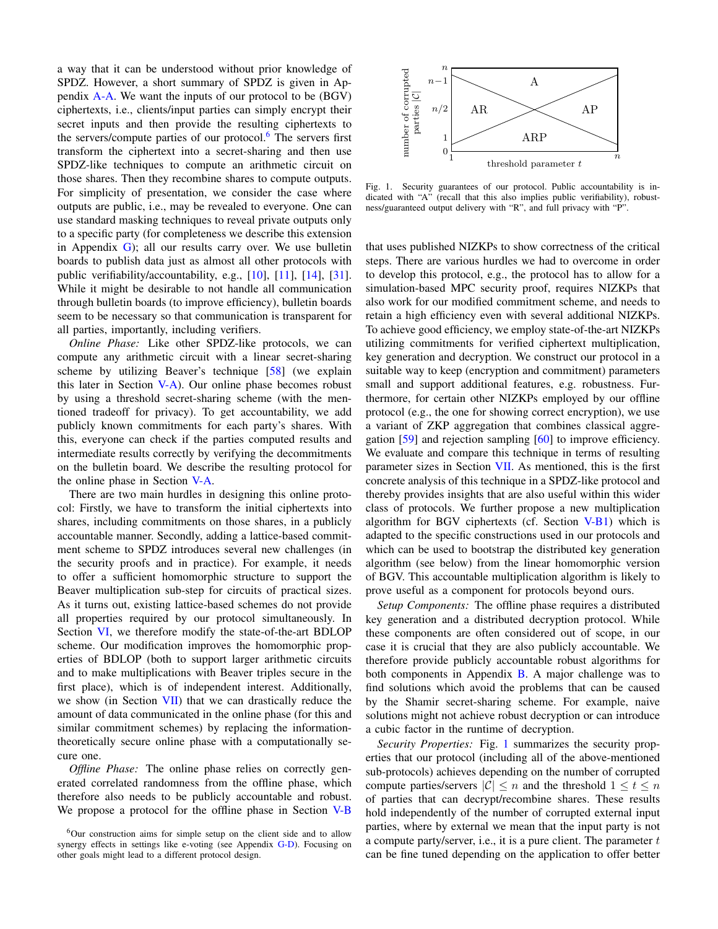a way that it can be understood without prior knowledge of SPDZ. However, a short summary of SPDZ is given in Appendix [A-A.](#page-19-1) We want the inputs of our protocol to be (BGV) ciphertexts, i.e., clients/input parties can simply encrypt their secret inputs and then provide the resulting ciphertexts to the servers/compute parties of our protocol. $6$  The servers first transform the ciphertext into a secret-sharing and then use SPDZ-like techniques to compute an arithmetic circuit on those shares. Then they recombine shares to compute outputs. For simplicity of presentation, we consider the case where outputs are public, i.e., may be revealed to everyone. One can use standard masking techniques to reveal private outputs only to a specific party (for completeness we describe this extension in Appendix  $\mathbf{G}$ ; all our results carry over. We use bulletin boards to publish data just as almost all other protocols with public verifiability/accountability, e.g., [\[10\]](#page-17-19), [\[11\]](#page-17-17), [\[14\]](#page-17-18), [\[31\]](#page-18-0). While it might be desirable to not handle all communication through bulletin boards (to improve efficiency), bulletin boards seem to be necessary so that communication is transparent for all parties, importantly, including verifiers.

*Online Phase:* Like other SPDZ-like protocols, we can compute any arithmetic circuit with a linear secret-sharing scheme by utilizing Beaver's technique [\[58\]](#page-18-16) (we explain this later in Section  $V-A$ ). Our online phase becomes robust by using a threshold secret-sharing scheme (with the mentioned tradeoff for privacy). To get accountability, we add publicly known commitments for each party's shares. With this, everyone can check if the parties computed results and intermediate results correctly by verifying the decommitments on the bulletin board. We describe the resulting protocol for the online phase in Section [V-A.](#page-7-0)

There are two main hurdles in designing this online protocol: Firstly, we have to transform the initial ciphertexts into shares, including commitments on those shares, in a publicly accountable manner. Secondly, adding a lattice-based commitment scheme to SPDZ introduces several new challenges (in the security proofs and in practice). For example, it needs to offer a sufficient homomorphic structure to support the Beaver multiplication sub-step for circuits of practical sizes. As it turns out, existing lattice-based schemes do not provide all properties required by our protocol simultaneously. In Section [VI,](#page-12-0) we therefore modify the state-of-the-art BDLOP scheme. Our modification improves the homomorphic properties of BDLOP (both to support larger arithmetic circuits and to make multiplications with Beaver triples secure in the first place), which is of independent interest. Additionally, we show (in Section [VII\)](#page-13-0) that we can drastically reduce the amount of data communicated in the online phase (for this and similar commitment schemes) by replacing the informationtheoretically secure online phase with a computationally secure one.

*Offline Phase:* The online phase relies on correctly generated correlated randomness from the offline phase, which therefore also needs to be publicly accountable and robust. We propose a protocol for the offline phase in Section [V-B](#page-9-0)



<span id="page-5-0"></span>Fig. 1. Security guarantees of our protocol. Public accountability is indicated with "A" (recall that this also implies public verifiability), robustness/guaranteed output delivery with "R", and full privacy with "P".

that uses published NIZKPs to show correctness of the critical steps. There are various hurdles we had to overcome in order to develop this protocol, e.g., the protocol has to allow for a simulation-based MPC security proof, requires NIZKPs that also work for our modified commitment scheme, and needs to retain a high efficiency even with several additional NIZKPs. To achieve good efficiency, we employ state-of-the-art NIZKPs utilizing commitments for verified ciphertext multiplication, key generation and decryption. We construct our protocol in a suitable way to keep (encryption and commitment) parameters small and support additional features, e.g. robustness. Furthermore, for certain other NIZKPs employed by our offline protocol (e.g., the one for showing correct encryption), we use a variant of ZKP aggregation that combines classical aggregation [\[59\]](#page-18-17) and rejection sampling [\[60\]](#page-18-18) to improve efficiency. We evaluate and compare this technique in terms of resulting parameter sizes in Section [VII.](#page-13-0) As mentioned, this is the first concrete analysis of this technique in a SPDZ-like protocol and thereby provides insights that are also useful within this wider class of protocols. We further propose a new multiplication algorithm for BGV ciphertexts (cf. Section [V-B1\)](#page-11-1) which is adapted to the specific constructions used in our protocols and which can be used to bootstrap the distributed key generation algorithm (see below) from the linear homomorphic version of BGV. This accountable multiplication algorithm is likely to prove useful as a component for protocols beyond ours.

*Setup Components:* The offline phase requires a distributed key generation and a distributed decryption protocol. While these components are often considered out of scope, in our case it is crucial that they are also publicly accountable. We therefore provide publicly accountable robust algorithms for both components in Appendix  $\overline{B}$ . A major challenge was to find solutions which avoid the problems that can be caused by the Shamir secret-sharing scheme. For example, naive solutions might not achieve robust decryption or can introduce a cubic factor in the runtime of decryption.

*Security Properties:* Fig. [1](#page-5-0) summarizes the security properties that our protocol (including all of the above-mentioned sub-protocols) achieves depending on the number of corrupted compute parties/servers  $|\mathcal{C}| \leq n$  and the threshold  $1 \leq t \leq n$ of parties that can decrypt/recombine shares. These results hold independently of the number of corrupted external input parties, where by external we mean that the input party is not a compute party/server, i.e., it is a pure client. The parameter  $t$ can be fine tuned depending on the application to offer better

 $6$ Our construction aims for simple setup on the client side and to allow synergy effects in settings like e-voting (see Appendix [G-D\)](#page-33-1). Focusing on other goals might lead to a different protocol design.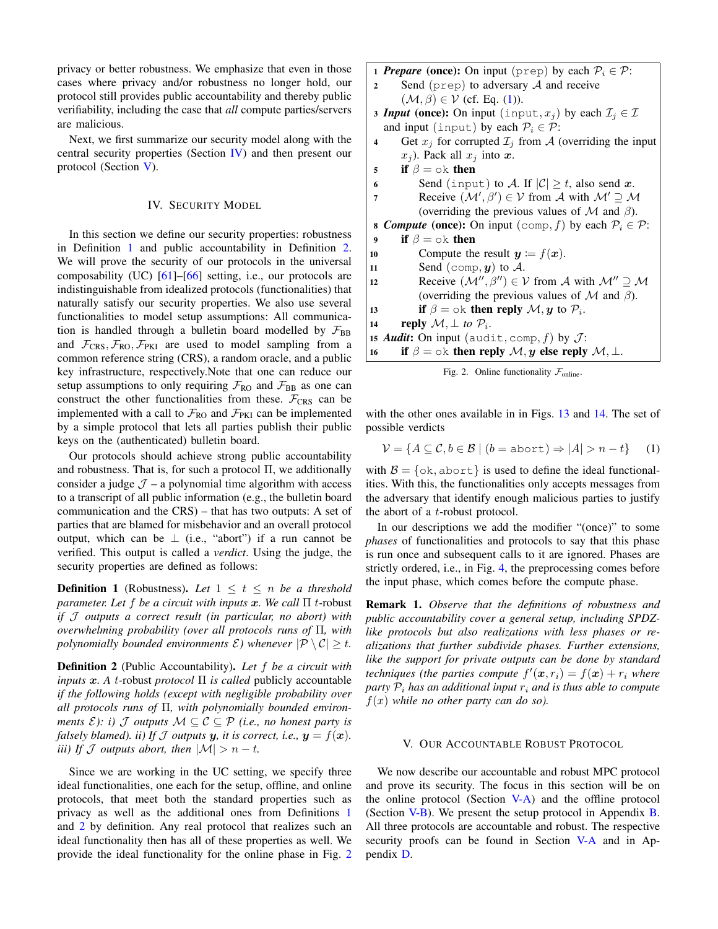privacy or better robustness. We emphasize that even in those cases where privacy and/or robustness no longer hold, our protocol still provides public accountability and thereby public verifiability, including the case that *all* compute parties/servers are malicious.

Next, we first summarize our security model along with the central security properties (Section [IV\)](#page-6-0) and then present our protocol (Section [V\)](#page-6-1).

# IV. SECURITY MODEL

<span id="page-6-0"></span>In this section we define our security properties: robustness in Definition [1](#page-6-2) and public accountability in Definition [2.](#page-6-3) We will prove the security of our protocols in the universal composability (UC) [\[61\]](#page-18-19)–[\[66\]](#page-18-20) setting, i.e., our protocols are indistinguishable from idealized protocols (functionalities) that naturally satisfy our security properties. We also use several functionalities to model setup assumptions: All communication is handled through a bulletin board modelled by  $\mathcal{F}_{BB}$ and  $\mathcal{F}_{CRS}, \mathcal{F}_{RO}, \mathcal{F}_{PKI}$  are used to model sampling from a common reference string (CRS), a random oracle, and a public key infrastructure, respectively.Note that one can reduce our setup assumptions to only requiring  $\mathcal{F}_{RO}$  and  $\mathcal{F}_{BB}$  as one can construct the other functionalities from these.  $\mathcal{F}_{CRS}$  can be implemented with a call to  $\mathcal{F}_{RO}$  and  $\mathcal{F}_{PKI}$  can be implemented by a simple protocol that lets all parties publish their public keys on the (authenticated) bulletin board.

Our protocols should achieve strong public accountability and robustness. That is, for such a protocol  $\Pi$ , we additionally consider a judge  $\mathcal{J}$  – a polynomial time algorithm with access to a transcript of all public information (e.g., the bulletin board communication and the CRS) – that has two outputs: A set of parties that are blamed for misbehavior and an overall protocol output, which can be  $\perp$  (i.e., "abort") if a run cannot be verified. This output is called a *verdict*. Using the judge, the security properties are defined as follows:

<span id="page-6-2"></span>**Definition 1** (Robustness). Let  $1 \le t \le n$  be a threshold *parameter. Let* f *be a circuit with inputs* x*. We call* Π t*-*robust *if* J *outputs a correct result (in particular, no abort) with overwhelming probability (over all protocols runs of* Π*, with polynomially bounded environments*  $\mathcal{E}$ *) whenever*  $|\mathcal{P} \setminus \mathcal{C}| \geq t$ .

<span id="page-6-3"></span>Definition 2 (Public Accountability). *Let* f *be a circuit with inputs* x*. A* t*-*robust *protocol* Π *is called* publicly accountable *if the following holds (except with negligible probability over all protocols runs of* Π*, with polynomially bounded environments*  $\mathcal{E}$ *): i)*  $\mathcal{J}$  *outputs*  $\mathcal{M} \subseteq \mathcal{C} \subseteq \mathcal{P}$  *(i.e., no honest party is falsely blamed). ii) If*  $J$  *outputs*  $y$ *, it is correct, i.e.,*  $y = f(x)$ *. iii)* If J outputs abort, then  $|M| > n - t$ .

Since we are working in the UC setting, we specify three ideal functionalities, one each for the setup, offline, and online protocols, that meet both the standard properties such as privacy as well as the additional ones from Definitions [1](#page-6-2) and [2](#page-6-3) by definition. Any real protocol that realizes such an ideal functionality then has all of these properties as well. We provide the ideal functionality for the online phase in Fig. [2](#page-6-4) 1 **Prepare** (once): On input (prep) by each  $P_i \in \mathcal{P}$ :

- 2 Send (prep) to adversary  $\mathcal A$  and receive  $(\mathcal{M}, \beta) \in \mathcal{V}$  (cf. Eq. [\(1\)](#page-6-5)).
- 3 *Input* (once): On input (input,  $x_i$ ) by each  $\mathcal{I}_i \in \mathcal{I}$ and input (input) by each  $P_i \in \mathcal{P}$ :
- 4 Get  $x_j$  for corrupted  $\mathcal{I}_j$  from A (overriding the input  $x_j$ ). Pack all  $x_j$  into  $x$ .
- 5 if  $\beta = \infty$  then
- 6 Send (input) to A. If  $|C| \ge t$ , also send x.
- **7** Receive  $(M', \beta') \in V$  from A with  $M' \supseteq M$ (overriding the previous values of  $\mathcal M$  and  $\beta$ ).
- 8 *Compute* (once): On input  $(\text{comp}, f)$  by each  $\mathcal{P}_i \in \mathcal{P}$ :
- 9 if  $\beta = \infty$  then
- 10 Compute the result  $y := f(x)$ .
- 11 Send (comp,  $y$ ) to  $A$ . 12 Receive  $(\mathcal{M}'' , \beta'') \in \mathcal{V}$  from A with  $\mathcal{M}'' \supseteq \mathcal{M}$
- (overriding the previous values of  $\mathcal M$  and  $\beta$ ).
- 13 if  $\beta = \circ \text{k}$  then reply  $\mathcal{M}, y$  to  $\mathcal{P}_i$ .
- 14 **reply**  $\mathcal{M}, \perp$  to  $\mathcal{P}_i$ .
- 15 *Audit*: On input (audit, comp, f) by  $J$ :
- 16 if  $\beta = \infty$ k then reply  $\mathcal{M}, y$  else reply  $\mathcal{M}, \perp$ .

<span id="page-6-5"></span><span id="page-6-4"></span>Fig. 2. Online functionality  $\mathcal{F}_{\text{online}}$ .

with the other ones available in in Figs. [13](#page-21-3) and [14.](#page-22-0) The set of possible verdicts

$$
\mathcal{V} = \{ A \subseteq \mathcal{C}, b \in \mathcal{B} \mid (b = \text{abort}) \Rightarrow |A| > n - t \} \tag{1}
$$

with  $\mathcal{B} = \{\text{ok}, \text{abort}\}\$  is used to define the ideal functionalities. With this, the functionalities only accepts messages from the adversary that identify enough malicious parties to justify the abort of a t-robust protocol.

In our descriptions we add the modifier "(once)" to some *phases* of functionalities and protocols to say that this phase is run once and subsequent calls to it are ignored. Phases are strictly ordered, i.e., in Fig. [4,](#page-8-3) the preprocessing comes before the input phase, which comes before the compute phase.

Remark 1. *Observe that the definitions of robustness and public accountability cover a general setup, including SPDZlike protocols but also realizations with less phases or realizations that further subdivide phases. Further extensions, like the support for private outputs can be done by standard* techniques (the parties compute  $f'(\mathbf{x}, r_i) = f(\mathbf{x}) + r_i$  where *party*  $P_i$  *has an additional input*  $r_i$  *and is thus able to compute*  $f(x)$  *while no other party can do so).* 

# V. OUR ACCOUNTABLE ROBUST PROTOCOL

<span id="page-6-1"></span>We now describe our accountable and robust MPC protocol and prove its security. The focus in this section will be on the online protocol (Section [V-A\)](#page-7-0) and the offline protocol (Section [V-B\)](#page-9-0). We present the setup protocol in Appendix [B.](#page-20-0) All three protocols are accountable and robust. The respective security proofs can be found in Section [V-A](#page-7-0) and in Appendix [D.](#page-21-1)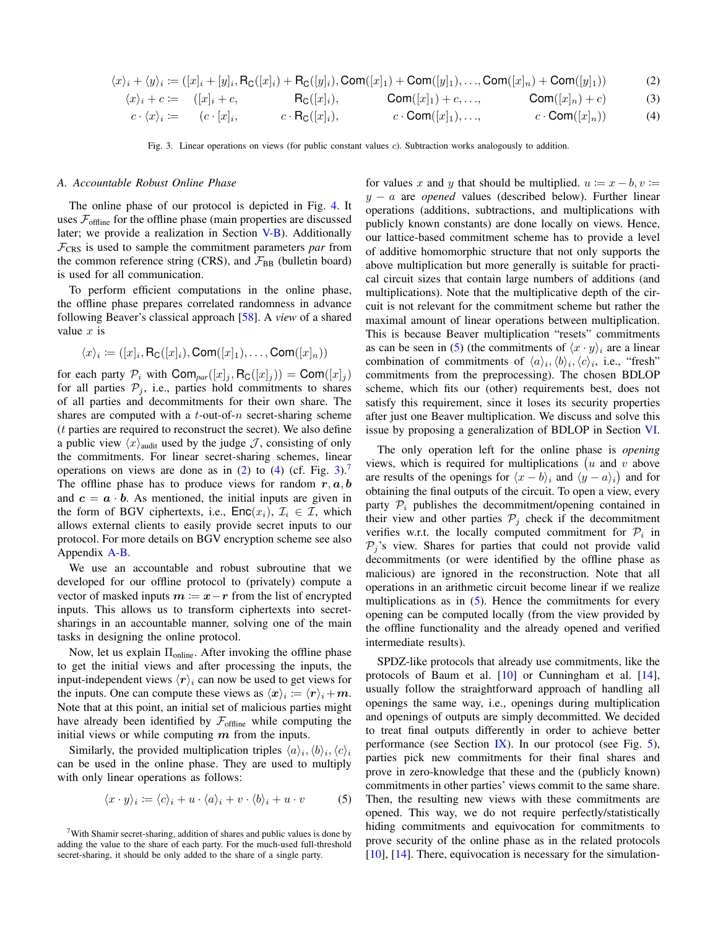$$
\langle x \rangle_i + \langle y \rangle_i := ([x]_i + [y]_i, \text{R}_{\text{C}}([x]_i) + \text{R}_{\text{C}}([y]_i), \text{Com}([x]_1) + \text{Com}([y]_1), \dots, \text{Com}([x]_n) + \text{Com}([y]_1))
$$
(2)

$$
\langle x \rangle_i + c := ([x]_i + c, \qquad \mathsf{R}_{\mathsf{C}}([x]_i), \qquad \mathsf{Com}([x]_1) + c, \dots, \qquad \mathsf{Com}([x]_n) + c)
$$
 (3)

$$
c \cdot \langle x \rangle_i := (c \cdot [x]_i, \qquad c \cdot \mathsf{R}_{\mathsf{C}}([x]_i), \qquad c \cdot \mathsf{Com}([x]_1), \dots, \qquad c \cdot \mathsf{Com}([x]_n)) \tag{4}
$$

<span id="page-7-3"></span>Fig. 3. Linear operations on views (for public constant values c). Subtraction works analogously to addition.

# <span id="page-7-0"></span>*A. Accountable Robust Online Phase*

The online phase of our protocol is depicted in Fig. [4.](#page-8-3) It uses  $\mathcal{F}_{\text{offline}}$  for the offline phase (main properties are discussed later; we provide a realization in Section  $V-B$ ). Additionally  $\mathcal{F}_{CRS}$  is used to sample the commitment parameters *par* from the common reference string (CRS), and  $\mathcal{F}_{BB}$  (bulletin board) is used for all communication.

To perform efficient computations in the online phase, the offline phase prepares correlated randomness in advance following Beaver's classical approach [\[58\]](#page-18-16). A *view* of a shared value  $x$  is

$$
\langle x \rangle_i \coloneqq ([x]_i, \mathsf{R}_{\mathsf{C}}([x]_i), \mathsf{Com}([x]_1), \dots, \mathsf{Com}([x]_n))
$$

for each party  $P_i$  with  $\text{Com}_{par}([x]_j, \text{R}_{\text{C}}([x]_j)) = \text{Com}([x]_j)$ for all parties  $P_i$ , i.e., parties hold commitments to shares of all parties and decommitments for their own share. The shares are computed with a  $t$ -out-of- $n$  secret-sharing scheme (t parties are required to reconstruct the secret). We also define a public view  $\langle x \rangle$ <sub>audit</sub> used by the judge J, consisting of only the commitments. For linear secret-sharing schemes, linear operations on views are done as in  $(2)$  to  $(4)$  (cf. Fig. [3\)](#page-7-3).<sup>[7](#page-0-0)</sup> The offline phase has to produce views for random  $r, a, b$ and  $c = a \cdot b$ . As mentioned, the initial inputs are given in the form of BGV ciphertexts, i.e.,  $\textsf{Enc}(x_i)$ ,  $\mathcal{I}_i \in \mathcal{I}$ , which allows external clients to easily provide secret inputs to our protocol. For more details on BGV encryption scheme see also Appendix [A-B.](#page-19-2)

We use an accountable and robust subroutine that we developed for our offline protocol to (privately) compute a vector of masked inputs  $m := x - r$  from the list of encrypted inputs. This allows us to transform ciphertexts into secretsharings in an accountable manner, solving one of the main tasks in designing the online protocol.

Now, let us explain  $\Pi_{\text{online}}$ . After invoking the offline phase to get the initial views and after processing the inputs, the input-independent views  $\langle r \rangle_i$  can now be used to get views for the inputs. One can compute these views as  $\langle x \rangle_i \coloneqq \langle r \rangle_i + m$ . Note that at this point, an initial set of malicious parties might have already been identified by  $\mathcal{F}_{\text{offline}}$  while computing the initial views or while computing  $m$  from the inputs.

Similarly, the provided multiplication triples  $\langle a \rangle_i, \langle b \rangle_i, \langle c \rangle_i$ can be used in the online phase. They are used to multiply with only linear operations as follows:

$$
\langle x \cdot y \rangle_i := \langle c \rangle_i + u \cdot \langle a \rangle_i + v \cdot \langle b \rangle_i + u \cdot v \tag{5}
$$

<span id="page-7-2"></span><span id="page-7-1"></span>for values x and y that should be multiplied.  $u := x - b, v :=$ y − a are *opened* values (described below). Further linear operations (additions, subtractions, and multiplications with publicly known constants) are done locally on views. Hence, our lattice-based commitment scheme has to provide a level of additive homomorphic structure that not only supports the above multiplication but more generally is suitable for practical circuit sizes that contain large numbers of additions (and multiplications). Note that the multiplicative depth of the circuit is not relevant for the commitment scheme but rather the maximal amount of linear operations between multiplication. This is because Beaver multiplication "resets" commitments as can be seen in [\(5\)](#page-7-4) (the commitments of  $\langle x \cdot y \rangle_i$  are a linear combination of commitments of  $\langle a \rangle_i, \langle b \rangle_i, \langle c \rangle_i$ , i.e., "fresh" commitments from the preprocessing). The chosen BDLOP scheme, which fits our (other) requirements best, does not satisfy this requirement, since it loses its security properties after just one Beaver multiplication. We discuss and solve this issue by proposing a generalization of BDLOP in Section [VI.](#page-12-0)

The only operation left for the online phase is *opening* views, which is required for multiplications  $(u \text{ and } v \text{ above})$ are results of the openings for  $\langle x - b \rangle_i$  and  $\langle y - a \rangle_i$  and for obtaining the final outputs of the circuit. To open a view, every party  $P_i$  publishes the decommitment/opening contained in their view and other parties  $P_i$  check if the decommitment verifies w.r.t. the locally computed commitment for  $P_i$  in  $P_i$ 's view. Shares for parties that could not provide valid decommitments (or were identified by the offline phase as malicious) are ignored in the reconstruction. Note that all operations in an arithmetic circuit become linear if we realize multiplications as in  $(5)$ . Hence the commitments for every opening can be computed locally (from the view provided by the offline functionality and the already opened and verified intermediate results).

<span id="page-7-4"></span>SPDZ-like protocols that already use commitments, like the protocols of Baum et al. [\[10\]](#page-17-19) or Cunningham et al. [\[14\]](#page-17-18), usually follow the straightforward approach of handling all openings the same way, i.e., openings during multiplication and openings of outputs are simply decommitted. We decided to treat final outputs differently in order to achieve better performance (see Section [IX\)](#page-15-0). In our protocol (see Fig.  $5$ ), parties pick new commitments for their final shares and prove in zero-knowledge that these and the (publicly known) commitments in other parties' views commit to the same share. Then, the resulting new views with these commitments are opened. This way, we do not require perfectly/statistically hiding commitments and equivocation for commitments to prove security of the online phase as in the related protocols [\[10\]](#page-17-19), [\[14\]](#page-17-18). There, equivocation is necessary for the simulation-

<sup>&</sup>lt;sup>7</sup>With Shamir secret-sharing, addition of shares and public values is done by adding the value to the share of each party. For the much-used full-threshold secret-sharing, it should be only added to the share of a single party.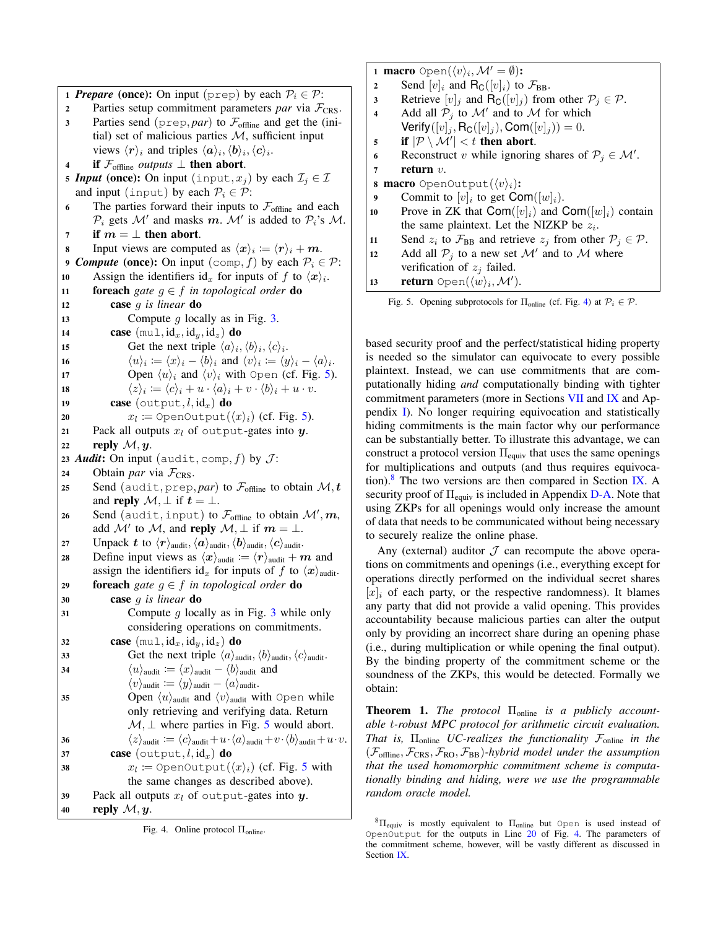1 **Prepare** (once): On input (prep) by each  $P_i \in \mathcal{P}$ : 2 Parties setup commitment parameters *par* via  $\mathcal{F}_{CRS}$ . 3 Parties send ( $prep, par$ ) to  $\mathcal{F}_{\text{offline}}$  and get the (initial) set of malicious parties  $M$ , sufficient input views  $\langle \mathbf{r} \rangle_i$  and triples  $\langle \mathbf{a} \rangle_i, \langle \mathbf{b} \rangle_i, \langle \mathbf{c} \rangle_i$ . 4 if  $\mathcal{F}_{\text{offline}}$  *outputs*  $\perp$  then abort. 5 *Input* (once): On input (input,  $x_j$ ) by each  $\mathcal{I}_j \in \mathcal{I}$ and input (input) by each  $P_i \in \mathcal{P}$ : 6 The parties forward their inputs to  $\mathcal{F}_{\text{offline}}$  and each  $\mathcal{P}_i$  gets M' and masks m. M' is added to  $\mathcal{P}_i$ 's M. 7 if  $m = \perp$  then abort. 8 Input views are computed as  $\langle x \rangle_i := \langle r \rangle_i + m$ . 9 *Compute* (once): On input (comp, f) by each  $P_i \in \mathcal{P}$ : 10 Assign the identifiers id<sub>x</sub> for inputs of f to  $\langle x \rangle_i$ . 11 **foreach** gate  $q \in f$  in topological order **do** <sup>12</sup> case g *is linear* do 13 Compute q locally as in Fig. [3.](#page-7-3) 14 case  $(mu_l, id_x, id_y, id_z)$  do 15 Get the next triple  $\langle a \rangle_i, \langle b \rangle_i, \langle c \rangle_i$ . 16  $\langle u \rangle_i := \langle x \rangle_i - \langle b \rangle_i$  and  $\langle v \rangle_i := \langle y \rangle_i - \langle a \rangle_i$ . 17 Open  $\langle u \rangle_i$  and  $\langle v \rangle_i$  with Open (cf. Fig. [5\)](#page-8-1). 18  $\langle z \rangle_i \coloneqq \langle c \rangle_i + u \cdot \langle a \rangle_i + v \cdot \langle b \rangle_i + u \cdot v.$ 19 **case** (output,  $l$ ,  $\mathrm{id}_x$ ) **do** 20  $x_l \coloneqq \text{OpenOutput}(\langle x \rangle_i)$  (cf. Fig. [5\)](#page-8-1). 21 Pack all outputs  $x_l$  of output-gates into  $y$ . 22 reply  $\mathcal{M}, \mathbf{y}$ . 23 *Audit*: On input (audit, comp,  $f$ ) by  $J$ : 24 Obtain *par* via  $\mathcal{F}_{CRS}$ . 25 Send (audit, prep, *par*) to  $\mathcal{F}_{\text{offline}}$  to obtain  $\mathcal{M}, t$ and reply  $\mathcal{M}, \perp$  if  $t = \perp$ . 26 Send (audit, input) to  $\mathcal{F}_{\text{offline}}$  to obtain  $\mathcal{M}', \bm{m},$ add  $\mathcal{M}'$  to  $\mathcal{M}$ , and reply  $\mathcal{M}, \perp$  if  $m = \perp$ . 27 Unpack t to  $\langle r \rangle$ <sub>audit</sub>,  $\langle a \rangle$ <sub>audit</sub>,  $\langle b \rangle$ <sub>audit</sub>. 28 Define input views as  $\langle x \rangle_{\text{andit}} := \langle r \rangle_{\text{andit}} + m$  and assign the identifiers id<sub>x</sub> for inputs of f to  $\langle x \rangle$ <sub>audit</sub>. <sup>29</sup> foreach *gate* g ∈ f *in topological order* do <sup>30</sup> case g *is linear* do [3](#page-7-3)1 Compute  $g$  locally as in Fig. 3 while only considering operations on commitments. 32 case  $(\text{mul}, \text{id}_x, \text{id}_y, \text{id}_z)$  do 33 Get the next triple  $\langle a \rangle$ <sub>audit</sub>,  $\langle b \rangle$ <sub>audit</sub>. 34  $\langle u \rangle$ <sub>audit</sub> :=  $\langle x \rangle$ <sub>audit</sub>  $-\langle b \rangle$ <sub>audit</sub> and  $\langle v \rangle$ audit  $\mathrel{\mathop:}= \langle y \rangle$ audit  $-\langle a \rangle$ audit. 35 Open  $\langle u \rangle$ <sub>audit</sub> and  $\langle v \rangle$ <sub>audit</sub> with Open while only retrieving and verifying data. Return  $M, \perp$  where parties in Fig. [5](#page-8-1) would abort. 36  $\langle z \rangle$ audit  $:= \langle c \rangle$ audit $+u \cdot \langle a \rangle$ audit $+v \cdot \langle b \rangle$ audit $+u \cdot v$ . 37 **case** (output,  $l$ ,  $id_x$ ) **do** 38  $x_l \coloneqq \text{OpenOutput}(\langle x \rangle_i)$  (cf. Fig. [5](#page-8-1) with the same changes as described above). 39 Pack all outputs  $x_i$  of output-gates into  $y_i$ . 40 reply  $\mathcal{M}, y$ .

<span id="page-8-3"></span>Fig. 4. Online protocol Πonline.

1 macro Open $(\langle v \rangle_i, \mathcal{M}' = \emptyset)$ : 2 Send  $[v]_i$  and  $\mathsf{R}_{\mathsf{C}}([v]_i)$  to  $\mathcal{F}_{\mathsf{BB}}$ . 3 Retrieve  $[v]_j$  and  $\mathsf{R}_{\mathsf{C}}([v]_j)$  from other  $\mathcal{P}_j \in \mathcal{P}$ . 4 Add all  $P_j$  to M' and to M for which Verify( $[v]_j$ , R<sub>C</sub>( $[v]_j$ ), Com( $[v]_j$ )) = 0. 5 if  $|\mathcal{P} \setminus \mathcal{M}'| < t$  then abort. 6 Reconstruct v while ignoring shares of  $P_j \in \mathcal{M}'$ . <sup>7</sup> return v. 8 macro OpenOutput $(\langle v \rangle_i)$ : 9 Commit to  $[v]_i$  to get Com $([w]_i)$ . 10 Prove in ZK that  $\text{Com}([v]_i)$  and  $\text{Com}([w]_i)$  contain the same plaintext. Let the NIZKP be  $z_i$ . 11 Send  $z_i$  to  $\mathcal{F}_{BB}$  and retrieve  $z_j$  from other  $\mathcal{P}_j \in \mathcal{P}$ . 12 Add all  $P_j$  to a new set M' and to M where verification of  $z_i$  failed. 13 return Open $(\langle w \rangle_i, \mathcal{M}')$ .

<span id="page-8-2"></span><span id="page-8-1"></span>Fig. 5. Opening subprotocols for  $\Pi_{\text{online}}$  (cf. Fig. [4\)](#page-8-3) at  $\mathcal{P}_i \in \mathcal{P}$ .

<span id="page-8-4"></span>based security proof and the perfect/statistical hiding property is needed so the simulator can equivocate to every possible plaintext. Instead, we can use commitments that are computationally hiding *and* computationally binding with tighter commitment parameters (more in Sections [VII](#page-13-0) and [IX](#page-15-0) and Appendix [I\)](#page-34-0). No longer requiring equivocation and statistically hiding commitments is the main factor why our performance can be substantially better. To illustrate this advantage, we can construct a protocol version  $\Pi_{equiv}$  that uses the same openings for multiplications and outputs (and thus requires equivocation). $8$  The two versions are then compared in Section [IX.](#page-15-0) A security proof of  $\Pi_{\text{equiv}}$  is included in Appendix [D-A.](#page-23-0) Note that using ZKPs for all openings would only increase the amount of data that needs to be communicated without being necessary to securely realize the online phase.

Any (external) auditor  $\mathcal J$  can recompute the above operations on commitments and openings (i.e., everything except for operations directly performed on the individual secret shares  $[x]_i$  of each party, or the respective randomness). It blames any party that did not provide a valid opening. This provides accountability because malicious parties can alter the output only by providing an incorrect share during an opening phase (i.e., during multiplication or while opening the final output). By the binding property of the commitment scheme or the soundness of the ZKPs, this would be detected. Formally we obtain:

<span id="page-8-0"></span>**Theorem 1.** *The protocol* Π<sub>online</sub> *is a publicly accountable* t*-robust MPC protocol for arithmetic circuit evaluation. That is,* Πonline *UC-realizes the functionality* Fonline *in the*  $(\mathcal{F}_{\text{offline}}, \mathcal{F}_{\text{CRS}}, \mathcal{F}_{\text{RO}}, \mathcal{F}_{\text{BB}})$ *-hybrid model under the assumption that the used homomorphic commitment scheme is computationally binding and hiding, were we use the programmable random oracle model.*

 ${}^{8}$  $\Pi_{\text{equiv}}$  is mostly equivalent to  $\Pi_{\text{online}}$  but Open is used instead of OpenOutput for the outputs in Line [20](#page-8-4) of Fig. [4.](#page-8-3) The parameters of the commitment scheme, however, will be vastly different as discussed in Section [IX.](#page-15-0)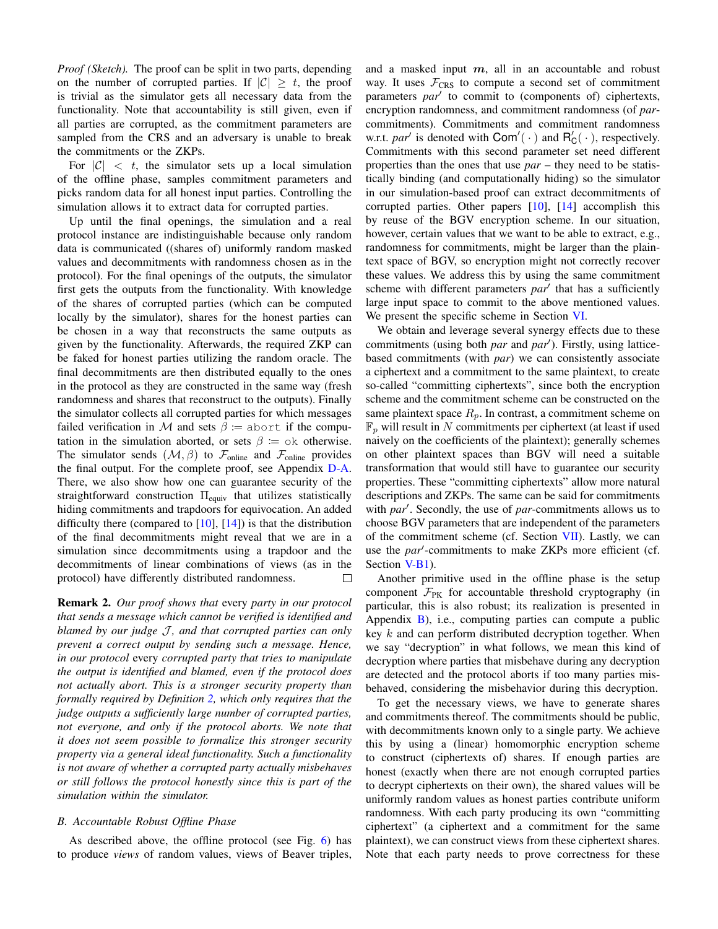*Proof (Sketch).* The proof can be split in two parts, depending on the number of corrupted parties. If  $|C| \geq t$ , the proof is trivial as the simulator gets all necessary data from the functionality. Note that accountability is still given, even if all parties are corrupted, as the commitment parameters are sampled from the CRS and an adversary is unable to break the commitments or the ZKPs.

For  $|C| < t$ , the simulator sets up a local simulation of the offline phase, samples commitment parameters and picks random data for all honest input parties. Controlling the simulation allows it to extract data for corrupted parties.

Up until the final openings, the simulation and a real protocol instance are indistinguishable because only random data is communicated ((shares of) uniformly random masked values and decommitments with randomness chosen as in the protocol). For the final openings of the outputs, the simulator first gets the outputs from the functionality. With knowledge of the shares of corrupted parties (which can be computed locally by the simulator), shares for the honest parties can be chosen in a way that reconstructs the same outputs as given by the functionality. Afterwards, the required ZKP can be faked for honest parties utilizing the random oracle. The final decommitments are then distributed equally to the ones in the protocol as they are constructed in the same way (fresh randomness and shares that reconstruct to the outputs). Finally the simulator collects all corrupted parties for which messages failed verification in M and sets  $\beta$  := abort if the computation in the simulation aborted, or sets  $\beta := \circ \text{k}$  otherwise. The simulator sends  $(\mathcal{M}, \beta)$  to  $\mathcal{F}_{\text{online}}$  and  $\mathcal{F}_{\text{online}}$  provides the final output. For the complete proof, see Appendix [D-A.](#page-23-0) There, we also show how one can guarantee security of the straightforward construction  $\Pi_{equiv}$  that utilizes statistically hiding commitments and trapdoors for equivocation. An added difficulty there (compared to  $[10]$ ,  $[14]$ ) is that the distribution of the final decommitments might reveal that we are in a simulation since decommitments using a trapdoor and the decommitments of linear combinations of views (as in the protocol) have differently distributed randomness.  $\Box$ 

Remark 2. *Our proof shows that* every *party in our protocol that sends a message which cannot be verified is identified and blamed by our judge J, and that corrupted parties can only prevent a correct output by sending such a message. Hence, in our protocol* every *corrupted party that tries to manipulate the output is identified and blamed, even if the protocol does not actually abort. This is a stronger security property than formally required by Definition [2,](#page-6-3) which only requires that the judge outputs a sufficiently large number of corrupted parties, not everyone, and only if the protocol aborts. We note that it does not seem possible to formalize this stronger security property via a general ideal functionality. Such a functionality is not aware of whether a corrupted party actually misbehaves or still follows the protocol honestly since this is part of the simulation within the simulator.*

# <span id="page-9-0"></span>*B. Accountable Robust Offline Phase*

As described above, the offline protocol (see Fig. [6\)](#page-10-0) has to produce *views* of random values, views of Beaver triples, and a masked input  $m$ , all in an accountable and robust way. It uses  $\mathcal{F}_{CRS}$  to compute a second set of commitment parameters par<sup>1</sup> to commit to (components of) ciphertexts, encryption randomness, and commitment randomness (of *par*commitments). Commitments and commitment randomness w.r.t. *par'* is denoted with  $Com'(\cdot)$  and  $R'_C(\cdot)$ , respectively. Commitments with this second parameter set need different properties than the ones that use *par* – they need to be statistically binding (and computationally hiding) so the simulator in our simulation-based proof can extract decommitments of corrupted parties. Other papers [\[10\]](#page-17-19), [\[14\]](#page-17-18) accomplish this by reuse of the BGV encryption scheme. In our situation, however, certain values that we want to be able to extract, e.g., randomness for commitments, might be larger than the plaintext space of BGV, so encryption might not correctly recover these values. We address this by using the same commitment scheme with different parameters par<sup>1</sup> that has a sufficiently large input space to commit to the above mentioned values. We present the specific scheme in Section [VI.](#page-12-0)

We obtain and leverage several synergy effects due to these commitments (using both *par* and *par'*). Firstly, using latticebased commitments (with *par*) we can consistently associate a ciphertext and a commitment to the same plaintext, to create so-called "committing ciphertexts", since both the encryption scheme and the commitment scheme can be constructed on the same plaintext space  $R_p$ . In contrast, a commitment scheme on  $\mathbb{F}_p$  will result in N commitments per ciphertext (at least if used naively on the coefficients of the plaintext); generally schemes on other plaintext spaces than BGV will need a suitable transformation that would still have to guarantee our security properties. These "committing ciphertexts" allow more natural descriptions and ZKPs. The same can be said for commitments with *par'*. Secondly, the use of *par*-commitments allows us to choose BGV parameters that are independent of the parameters of the commitment scheme (cf. Section [VII\)](#page-13-0). Lastly, we can use the *par*'-commitments to make ZKPs more efficient (cf. Section V-B<sub>1</sub>).

Another primitive used in the offline phase is the setup component  $\mathcal{F}_{PK}$  for accountable threshold cryptography (in particular, this is also robust; its realization is presented in Appendix  $B$ ), i.e., computing parties can compute a public key k and can perform distributed decryption together. When we say "decryption" in what follows, we mean this kind of decryption where parties that misbehave during any decryption are detected and the protocol aborts if too many parties misbehaved, considering the misbehavior during this decryption.

To get the necessary views, we have to generate shares and commitments thereof. The commitments should be public, with decommitments known only to a single party. We achieve this by using a (linear) homomorphic encryption scheme to construct (ciphertexts of) shares. If enough parties are honest (exactly when there are not enough corrupted parties to decrypt ciphertexts on their own), the shared values will be uniformly random values as honest parties contribute uniform randomness. With each party producing its own "committing ciphertext" (a ciphertext and a commitment for the same plaintext), we can construct views from these ciphertext shares. Note that each party needs to prove correctness for these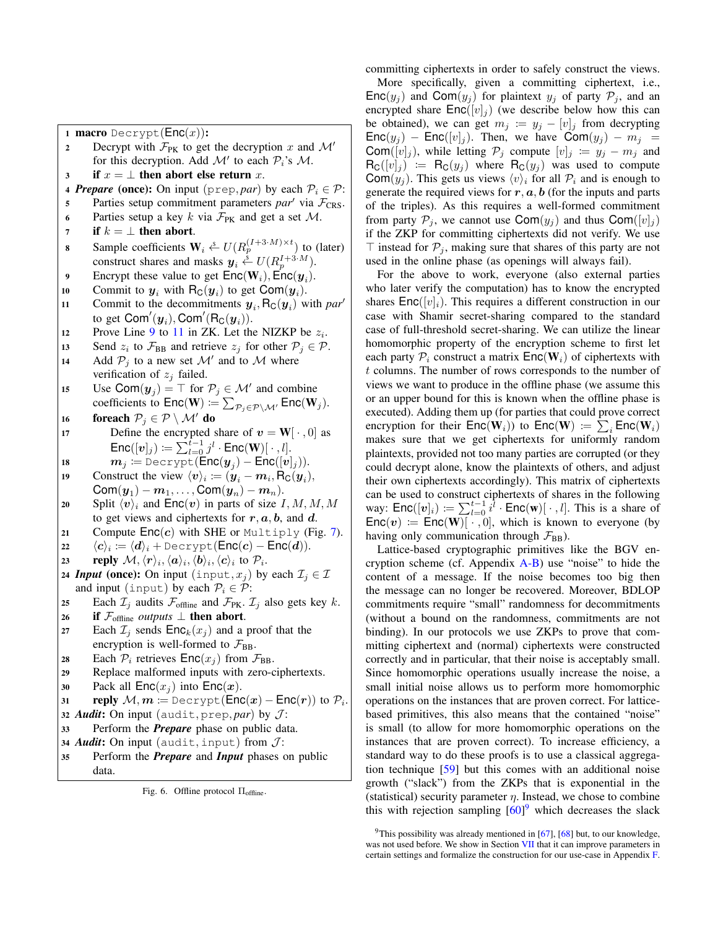1 macro Decrypt $(Enc(x))$ :

- 2 Decrypt with  $\mathcal{F}_{PK}$  to get the decryption x and  $\mathcal{M}'$ for this decryption. Add  $\mathcal{M}'$  to each  $\mathcal{P}_i$ 's  $\mathcal{M}$ .
- 3 if  $x = \perp$  then abort else return x.
- 4 *Prepare* (once): On input ( $prep, par$ ) by each  $P_i \in P$ :
- 5 Parties setup commitment parameters  $par'$  via  $\mathcal{F}_{CRS}$ .
- 6 Parties setup a key k via  $\mathcal{F}_{PK}$  and get a set M.
- 7 if  $k = \perp$  then abort. 8 Sample coefficients  $W_i \stackrel{s}{\leftarrow} U(R_p^{(I+3 \cdot M) \times t})$  to (later)
- construct shares and masks  $y_i \stackrel{s}{\leftarrow} U(R_p^{I+3 \cdot M})$ .
- <span id="page-10-1"></span>9 Encrypt these value to get  $\mathsf{Enc}(\mathbf{W}_i)$ ,  $\mathsf{Enc}(\mathbf{y}_i)$ .
- 10 Commit to  $y_i$  with  $R_C(y_i)$  to get Com $(y_i)$ .
- <span id="page-10-2"></span>11 Commit to the decommitments  $y_i$ ,  $R_C(y_i)$  with *par*<sup>*i*</sup> to get  $\mathsf{Com}'(\bm y_i), \mathsf{Com}'(\mathsf{R}_{\mathsf{C}}(\bm y_i)).$
- 12 Prove Line [9](#page-10-1) to [11](#page-10-2) in ZK. Let the NIZKP be  $z_i$ .
- 13 Send  $z_i$  to  $\mathcal{F}_{BB}$  and retrieve  $z_j$  for other  $\mathcal{P}_j \in \mathcal{P}$ .
- 14 Add  $P_j$  to a new set M' and to M where verification of  $z_i$  failed.
- 15 Use Com $(y_j) = \top$  for  $P_j \in \mathcal{M}'$  and combine coefficients to  $\mathsf{Enc}(\mathbf{W}) \coloneqq \sum_{\mathcal{P}_j \in \mathcal{P} \setminus \mathcal{M}'} \mathsf{Enc}(\mathbf{W}_j).$
- 16 foreach  $\mathcal{P}_j \in \mathcal{P} \setminus \mathcal{M}'$  do
- 17 Define the encrypted share of  $v = W[\cdot, 0]$  as  $\mathsf{Enc}([\boldsymbol{v}]_j) \coloneqq \sum_{l=0}^{t-1} j^l \cdot \mathsf{Enc}(\mathbf{W}) [\ \cdot \ , l].$

$$
\text{is} \hspace{1cm} \bm{m}_j \coloneqq \texttt{Decrypt}(\mathsf{Enc}(\bm{y}_j) - \mathsf{Enc}([{\bm{v}}]_j)).
$$

- 19 Construct the view  $\langle v \rangle_i \coloneqq (\mathbf{y}_i \mathbf{m}_i, \mathsf{R}_{\mathsf{C}}(\mathbf{y}_i)),$  $\mathsf{Com}({\bm y}_1)-{\bm m}_1,\ldots,\mathsf{Com}({\bm y}_n)-{\bm m}_n).$
- 20 Split  $\langle v \rangle_i$  and  $\mathsf{Enc}(v)$  in parts of size I, M, M, M to get views and ciphertexts for  $r, a, b$ , and  $d$ .
- 21 Compute  $Enc(c)$  with SHE or Multiply (Fig. [7\)](#page-12-1).

 $\langle c \rangle_i \coloneqq \langle d \rangle_i +$  Decrypt $(\mathsf{Enc}(c) - \mathsf{Enc}(d)).$ 

- 23 reply  $\mathcal{M}, \langle \bm r \rangle_i, \langle \bm a \rangle_i, \langle \bm b \rangle_i, \langle \bm c \rangle_i$  to  $\mathcal{P}_i$ .
- 24 *Input* (once): On input (input,  $x_j$ ) by each  $\mathcal{I}_j \in \mathcal{I}$ and input (input) by each  $P_i \in \mathcal{P}$ :

25 Each 
$$
\mathcal{I}_j
$$
 and its  $\mathcal{F}_{\text{offline}}$  and  $\mathcal{F}_{\text{PK}}$ .  $\mathcal{I}_j$  also gets key k.

- 26 if  $\mathcal{F}_{\text{offline}}$  *outputs*  $\perp$  then abort.
- 27 Each  $\mathcal{I}_i$  sends  $\mathsf{Enc}_k(x_i)$  and a proof that the encryption is well-formed to  $\mathcal{F}_{BB}$ .
- 28 Each  $P_i$  retrieves  $Enc(x_i)$  from  $\mathcal{F}_{BB}$ .

<sup>29</sup> Replace malformed inputs with zero-ciphertexts.

30 Pack all  $Enc(x_i)$  into  $Enc(x)$ .

$$
\text{supp} \ \mathcal{M}, m \coloneqq \text{Decrypt}(\text{Enc}(x) - \text{Enc}(r)) \text{ to } \mathcal{P}_i.
$$

- 32 *Audit*: On input (audit, prep, *par*) by  $J$ :
- <sup>33</sup> Perform the *Prepare* phase on public data.
- 34 *Audit*: On input (audit, input) from  $J$ :
- <sup>35</sup> Perform the *Prepare* and *Input* phases on public data.

<span id="page-10-0"></span>Fig. 6. Offline protocol Πoffline.

committing ciphertexts in order to safely construct the views.

More specifically, given a committing ciphertext, i.e.,  $\mathsf{Enc}(y_j)$  and  $\mathsf{Com}(y_j)$  for plaintext  $y_j$  of party  $\mathcal{P}_j$ , and an encrypted share  $Enc([v]_j)$  (we describe below how this can be obtained), we can get  $m_j := y_j - [v]_j$  from decrypting  $Enc(y_i)$  – Enc([v]<sub>j</sub>). Then, we have  $Com(y_i)$  –  $m_i$  = Com( $[v]_j$ ), while letting  $\mathcal{P}_j$  compute  $[v]_j := y_j - m_j$  and  $R_{\mathsf{C}}([v]_j) := R_{\mathsf{C}}(y_j)$  where  $R_{\mathsf{C}}(y_j)$  was used to compute Com $(y_i)$ . This gets us views  $\langle v \rangle_i$  for all  $\mathcal{P}_i$  and is enough to generate the required views for  $r, a, b$  (for the inputs and parts of the triples). As this requires a well-formed commitment from party  $P_i$ , we cannot use  $\text{Com}(y_i)$  and thus  $\text{Com}([v]_i)$ if the ZKP for committing ciphertexts did not verify. We use  $\top$  instead for  $\mathcal{P}_i$ , making sure that shares of this party are not used in the online phase (as openings will always fail).

For the above to work, everyone (also external parties who later verify the computation) has to know the encrypted shares  $Enc([v]_i)$ . This requires a different construction in our case with Shamir secret-sharing compared to the standard case of full-threshold secret-sharing. We can utilize the linear homomorphic property of the encryption scheme to first let each party  $P_i$  construct a matrix  $Enc(\mathbf{W}_i)$  of ciphertexts with t columns. The number of rows corresponds to the number of views we want to produce in the offline phase (we assume this or an upper bound for this is known when the offline phase is executed). Adding them up (for parties that could prove correct encryption for their  $\mathsf{Enc}(\mathbf{W}_i)$ ) to  $\mathsf{Enc}(\mathbf{W}) \coloneqq \sum_i \mathsf{Enc}(\mathbf{W}_i)$ makes sure that we get ciphertexts for uniformly random plaintexts, provided not too many parties are corrupted (or they could decrypt alone, know the plaintexts of others, and adjust their own ciphertexts accordingly). This matrix of ciphertexts can be used to construct ciphertexts of shares in the following way:  $\text{Enc}([v]_i) := \sum_{l=0}^{t-1} i^{\overline{l}} \cdot \text{Enc}(\mathbf{w})[\cdot, l].$  This is a share of  $\mathsf{Enc}(v) \coloneqq \mathsf{Enc}(W)[\cdot, 0]$ , which is known to everyone (by having only communication through  $\mathcal{F}_{BB}$ ).

Lattice-based cryptographic primitives like the BGV encryption scheme (cf. Appendix  $A-B$ ) use "noise" to hide the content of a message. If the noise becomes too big then the message can no longer be recovered. Moreover, BDLOP commitments require "small" randomness for decommitments (without a bound on the randomness, commitments are not binding). In our protocols we use ZKPs to prove that committing ciphertext and (normal) ciphertexts were constructed correctly and in particular, that their noise is acceptably small. Since homomorphic operations usually increase the noise, a small initial noise allows us to perform more homomorphic operations on the instances that are proven correct. For latticebased primitives, this also means that the contained "noise" is small (to allow for more homomorphic operations on the instances that are proven correct). To increase efficiency, a standard way to do these proofs is to use a classical aggregation technique [\[59\]](#page-18-17) but this comes with an additional noise growth ("slack") from the ZKPs that is exponential in the (statistical) security parameter  $\eta$ . Instead, we chose to combine this with rejection sampling  $[60]$ <sup>[9](#page-0-0)</sup> which decreases the slack

<sup>&</sup>lt;sup>9</sup>This possibility was already mentioned in  $[67]$ ,  $[68]$  but, to our knowledge, was not used before. We show in Section [VII](#page-13-0) that it can improve parameters in certain settings and formalize the construction for our use-case in Appendix [F.](#page-30-1)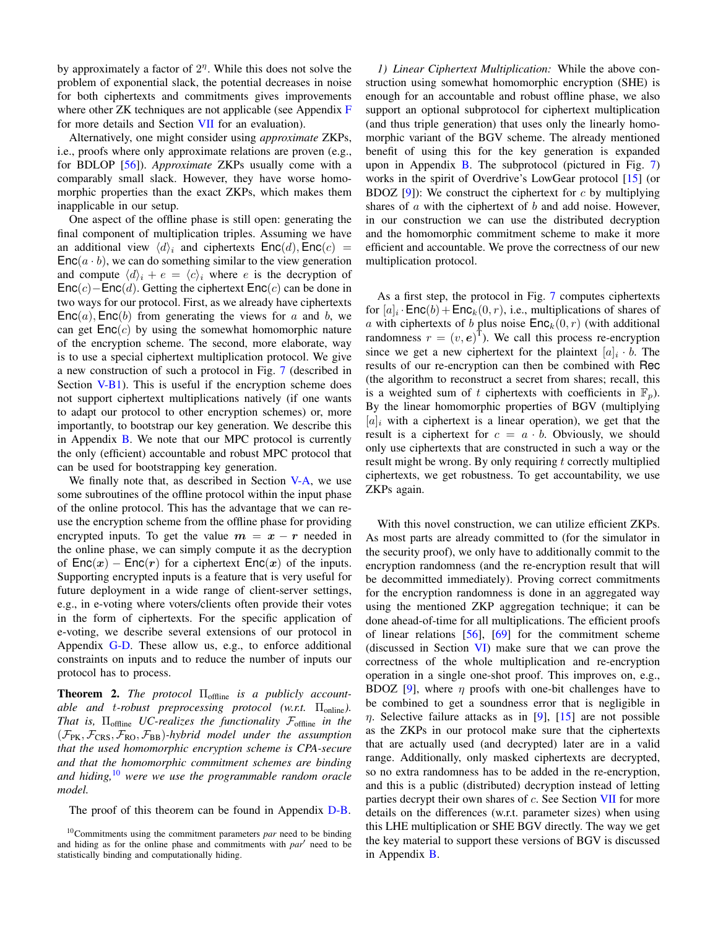by approximately a factor of  $2<sup>\eta</sup>$ . While this does not solve the problem of exponential slack, the potential decreases in noise for both ciphertexts and commitments gives improvements where other ZK techniques are not applicable (see Appendix [F](#page-30-1) for more details and Section [VII](#page-13-0) for an evaluation).

Alternatively, one might consider using *approximate* ZKPs, i.e., proofs where only approximate relations are proven (e.g., for BDLOP [\[56\]](#page-18-14)). *Approximate* ZKPs usually come with a comparably small slack. However, they have worse homomorphic properties than the exact ZKPs, which makes them inapplicable in our setup.

One aspect of the offline phase is still open: generating the final component of multiplication triples. Assuming we have an additional view  $\langle d \rangle_i$  and ciphertexts  $\mathsf{Enc}(d)$ ,  $\mathsf{Enc}(c)$  =  $Enc(a \cdot b)$ , we can do something similar to the view generation and compute  $\langle d \rangle_i + e = \langle c \rangle_i$  where e is the decryption of  $Enc(c) – Enc(d)$ . Getting the ciphertext  $Enc(c)$  can be done in two ways for our protocol. First, as we already have ciphertexts  $Enc(a)$ ,  $Enc(b)$  from generating the views for a and b, we can get  $Enc(c)$  by using the somewhat homomorphic nature of the encryption scheme. The second, more elaborate, way is to use a special ciphertext multiplication protocol. We give a new construction of such a protocol in Fig. [7](#page-12-1) (described in Section [V-B1\)](#page-11-1). This is useful if the encryption scheme does not support ciphertext multiplications natively (if one wants to adapt our protocol to other encryption schemes) or, more importantly, to bootstrap our key generation. We describe this in Appendix [B.](#page-20-0) We note that our MPC protocol is currently the only (efficient) accountable and robust MPC protocol that can be used for bootstrapping key generation.

We finally note that, as described in Section [V-A,](#page-7-0) we use some subroutines of the offline protocol within the input phase of the online protocol. This has the advantage that we can reuse the encryption scheme from the offline phase for providing encrypted inputs. To get the value  $m = x - r$  needed in the online phase, we can simply compute it as the decryption of  $Enc(x) - Enc(r)$  for a ciphertext  $Enc(x)$  of the inputs. Supporting encrypted inputs is a feature that is very useful for future deployment in a wide range of client-server settings, e.g., in e-voting where voters/clients often provide their votes in the form of ciphertexts. For the specific application of e-voting, we describe several extensions of our protocol in Appendix [G-D.](#page-33-1) These allow us, e.g., to enforce additional constraints on inputs and to reduce the number of inputs our protocol has to process.

<span id="page-11-0"></span>Theorem 2. *The protocol* Πoffline *is a publicly accountable and t-robust preprocessing protocol (w.r.t.* Π<sub>online</sub>). *That is,* Πoffline *UC-realizes the functionality* Foffline *in the*  $(\mathcal{F}_{PK}, \mathcal{F}_{CRS}, \mathcal{F}_{RO}, \mathcal{F}_{BB})$ *-hybrid model under the assumption that the used homomorphic encryption scheme is CPA-secure and that the homomorphic commitment schemes are binding and hiding,*[10](#page-0-0) *were we use the programmable random oracle model.*

The proof of this theorem can be found in Appendix [D-B.](#page-25-0)

*1) Linear Ciphertext Multiplication:* While the above construction using somewhat homomorphic encryption (SHE) is enough for an accountable and robust offline phase, we also support an optional subprotocol for ciphertext multiplication (and thus triple generation) that uses only the linearly homomorphic variant of the BGV scheme. The already mentioned benefit of using this for the key generation is expanded upon in Appendix [B.](#page-20-0) The subprotocol (pictured in Fig. [7\)](#page-12-1) works in the spirit of Overdrive's LowGear protocol [\[15\]](#page-17-22) (or BDOZ  $[9]$ : We construct the ciphertext for c by multiplying shares of  $\alpha$  with the ciphertext of  $\beta$  and add noise. However, in our construction we can use the distributed decryption and the homomorphic commitment scheme to make it more efficient and accountable. We prove the correctness of our new multiplication protocol.

As a first step, the protocol in Fig. [7](#page-12-1) computes ciphertexts for  $[a]_i \cdot \textsf{Enc}(b) + \textsf{Enc}_k(0, r)$ , i.e., multiplications of shares of a with ciphertexts of b plus noise  $\mathsf{Enc}_k(0, r)$  (with additional randomness  $r = (v, e)^T$ ). We call this process re-encryption since we get a new ciphertext for the plaintext  $[a]_i \cdot b$ . The results of our re-encryption can then be combined with Rec (the algorithm to reconstruct a secret from shares; recall, this is a weighted sum of t ciphertexts with coefficients in  $\mathbb{F}_p$ ). By the linear homomorphic properties of BGV (multiplying  $[a]_i$  with a ciphertext is a linear operation), we get that the result is a ciphertext for  $c = a \cdot b$ . Obviously, we should only use ciphertexts that are constructed in such a way or the result might be wrong. By only requiring  $t$  correctly multiplied ciphertexts, we get robustness. To get accountability, we use ZKPs again.

With this novel construction, we can utilize efficient ZKPs. As most parts are already committed to (for the simulator in the security proof), we only have to additionally commit to the encryption randomness (and the re-encryption result that will be decommitted immediately). Proving correct commitments for the encryption randomness is done in an aggregated way using the mentioned ZKP aggregation technique; it can be done ahead-of-time for all multiplications. The efficient proofs of linear relations [\[56\]](#page-18-14), [\[69\]](#page-18-23) for the commitment scheme (discussed in Section [VI\)](#page-12-0) make sure that we can prove the correctness of the whole multiplication and re-encryption operation in a single one-shot proof. This improves on, e.g., BDOZ [\[9\]](#page-17-5), where  $\eta$  proofs with one-bit challenges have to be combined to get a soundness error that is negligible in  $\eta$ . Selective failure attacks as in [\[9\]](#page-17-5), [\[15\]](#page-17-22) are not possible as the ZKPs in our protocol make sure that the ciphertexts that are actually used (and decrypted) later are in a valid range. Additionally, only masked ciphertexts are decrypted, so no extra randomness has to be added in the re-encryption, and this is a public (distributed) decryption instead of letting parties decrypt their own shares of c. See Section [VII](#page-13-0) for more details on the differences (w.r.t. parameter sizes) when using this LHE multiplication or SHE BGV directly. The way we get the key material to support these versions of BGV is discussed in Appendix [B.](#page-20-0)

<span id="page-11-1"></span><sup>10</sup>Commitments using the commitment parameters *par* need to be binding and hiding as for the online phase and commitments with *par'* need to be statistically binding and computationally hiding.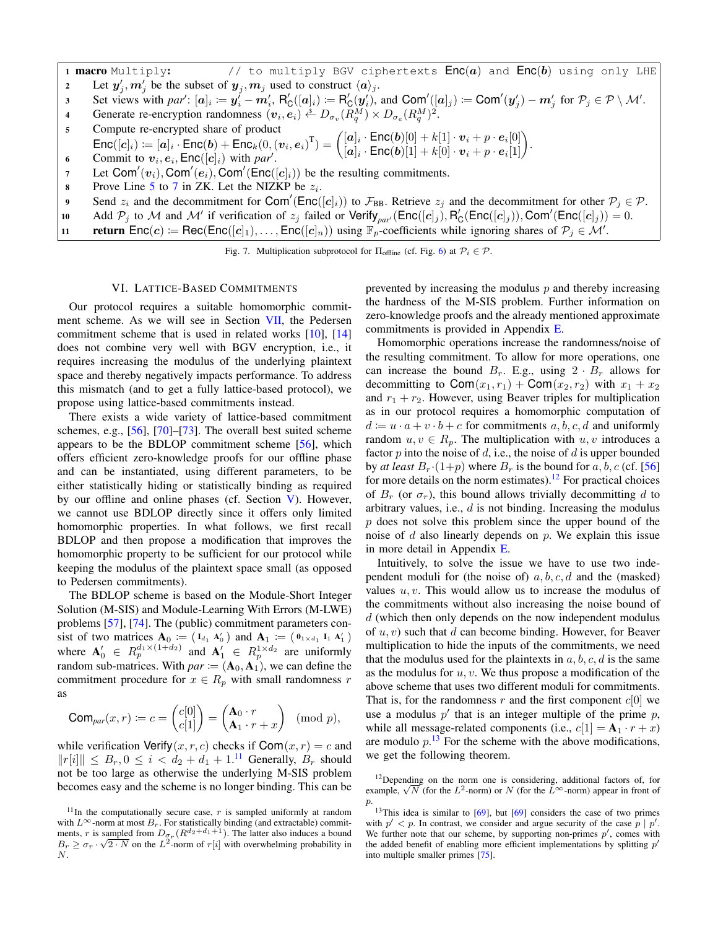1 **macro** Multiply:  $\frac{1}{2}$  to multiply BGV ciphertexts  $Enc(a)$  and  $Enc(b)$  using only LHE 2 Let  $y'_j, m'_j$  be the subset of  $y_j, m_j$  used to construct  $\langle a \rangle_j$ .

- 3 Set views with  $par' : [\mathbf{a}]_i := \mathbf{y}_i \mathbf{m}_i', R'_\mathsf{C}([\mathbf{a}]_i) := R'_\mathsf{C}(\mathbf{y}_i'),$  and  $\mathsf{Com}'([\mathbf{a}]_j) := \mathsf{Com}'(\mathbf{y}_j') \mathbf{m}_j'$  for  $\mathcal{P}_j \in \mathcal{P} \setminus \mathcal{M}'.$
- 4 Generate re-encryption randomness  $(v_i, e_i) \stackrel{s}{\leftarrow} D_{\sigma_v}(R_q^M) \times D_{\sigma_e}(R_q^M)^2$ .
- 5 Compute re-encrypted share of product
- <span id="page-12-2"></span>Enc $([c]_i) := [a]_i \cdot \text{Enc}(b) + \text{Enc}_{k}(0, (v_i, e_i)^T) = \begin{pmatrix} [a]_i \cdot \text{Enc}(b)[0] + k[1] \cdot v_i + p \cdot e_i[0] \\ [a]_i \cdot \text{Enc}(b)[1] + k[0] \cdot v_i + p \cdot e_i[1] \end{pmatrix}$  $\begin{array}{l} [\bm{a}]_i \cdot \mathsf{Enc}(\bm{b})[0] + k[1] \cdot \bm{v}_i + p \cdot \bm{e}_i[0] \ \left[\bm{a}]_i \cdot \mathsf{Enc}(\bm{b})[1] + k[0] \cdot \bm{v}_i + p \cdot \bm{e}_i[1] \end{array} \right)\!.$
- 6 Commit to  $v_i, e_i, \text{Enc}([c]_i)$  with par<sup>*i*</sup>.
- <span id="page-12-3"></span>7 Let Com' $(v_i)$ , Com' $(e_i)$ , Com' $(\text{Enc}([c]_i))$  be the resulting commitments.
- 8 Prove Line [5](#page-12-2) to [7](#page-12-3) in ZK. Let the NIZKP be  $z_i$ .
- 9 Send  $z_i$  and the decommitment for Com'(Enc([c]<sub>i</sub>)) to  $\mathcal{F}_{BB}$ . Retrieve  $z_j$  and the decommitment for other  $\mathcal{P}_j \in \mathcal{P}$ .
- 10 Add  $P_j$  to M and M' if verification of  $z_j$  failed or Verify<sub>par</sub> ( $\text{Enc}([c]_j)$ ,  $R'_C(\text{Enc}([c]_j))$ , Com' ( $\text{Enc}([c]_j)$ ) = 0.
- 11 return  $Enc(c) := Rec(Enc([c]_1), \ldots, Enc([c]_n))$  using  $\mathbb{F}_p$ -coefficients while ignoring shares of  $\mathcal{P}_j \in \mathcal{M}'$ .

<span id="page-12-1"></span>Fig. 7. Multiplication subprotocol for  $\Pi_{\text{offline}}$  (cf. Fig. [6\)](#page-10-0) at  $\mathcal{P}_i \in \mathcal{P}$ .

# VI. LATTICE-BASED COMMITMENTS

<span id="page-12-0"></span>Our protocol requires a suitable homomorphic commitment scheme. As we will see in Section [VII,](#page-13-0) the Pedersen commitment scheme that is used in related works [\[10\]](#page-17-19), [\[14\]](#page-17-18) does not combine very well with BGV encryption, i.e., it requires increasing the modulus of the underlying plaintext space and thereby negatively impacts performance. To address this mismatch (and to get a fully lattice-based protocol), we propose using lattice-based commitments instead.

There exists a wide variety of lattice-based commitment schemes, e.g., [\[56\]](#page-18-14), [\[70\]](#page-18-24)–[\[73\]](#page-18-25). The overall best suited scheme appears to be the BDLOP commitment scheme [\[56\]](#page-18-14), which offers efficient zero-knowledge proofs for our offline phase and can be instantiated, using different parameters, to be either statistically hiding or statistically binding as required by our offline and online phases (cf. Section [V\)](#page-6-1). However, we cannot use BDLOP directly since it offers only limited homomorphic properties. In what follows, we first recall BDLOP and then propose a modification that improves the homomorphic property to be sufficient for our protocol while keeping the modulus of the plaintext space small (as opposed to Pedersen commitments).

The BDLOP scheme is based on the Module-Short Integer Solution (M-SIS) and Module-Learning With Errors (M-LWE) problems [\[57\]](#page-18-15), [\[74\]](#page-18-26). The (public) commitment parameters consist of two matrices  $A_0 := (I_{d_1} A'_0)$  and  $A_1 := (0_{1 \times d_1} I_1 A'_1)$ where  $\mathbf{A}'_0 \in R_p^{d_1 \times (1+d_2)}$  and  $\mathbf{A}'_1 \in R_p^{1 \times d_2}$  are uniformly random sub-matrices. With  $par \coloneqq (\mathbf{A}_0, \mathbf{A}_1)$ , we can define the commitment procedure for  $x \in R_p$  with small randomness r as

$$
\operatorname{Com}_{par}(x,r) \coloneqq c = \begin{pmatrix} c[0] \\ c[1] \end{pmatrix} = \begin{pmatrix} \mathbf{A}_0 \cdot r \\ \mathbf{A}_1 \cdot r + x \end{pmatrix} \pmod{p},
$$

while verification Verify(x, r, c) checks if  $\text{Com}(x, r) = c$  and  $||r[i]|| \leq B_r, 0 \leq i < d_2 + d_1 + 1$ .<sup>[11](#page-0-0)</sup> Generally,  $B_r$  should not be too large as otherwise the underlying M-SIS problem becomes easy and the scheme is no longer binding. This can be prevented by increasing the modulus  $p$  and thereby increasing the hardness of the M-SIS problem. Further information on zero-knowledge proofs and the already mentioned approximate commitments is provided in Appendix [E.](#page-28-0)

Homomorphic operations increase the randomness/noise of the resulting commitment. To allow for more operations, one can increase the bound  $B_r$ . E.g., using  $2 \cdot B_r$  allows for decommitting to Com $(x_1, r_1)$  + Com $(x_2, r_2)$  with  $x_1 + x_2$ and  $r_1 + r_2$ . However, using Beaver triples for multiplication as in our protocol requires a homomorphic computation of  $d := u \cdot a + v \cdot b + c$  for commitments a, b, c, d and uniformly random  $u, v \in R_p$ . The multiplication with  $u, v$  introduces a factor  $p$  into the noise of  $d$ , i.e., the noise of  $d$  is upper bounded by *at least*  $B_r \cdot (1+p)$  where  $B_r$  is the bound for a, b, c (cf. [\[56\]](#page-18-14) for more details on the norm estimates).<sup>[12](#page-0-0)</sup> For practical choices of  $B_r$  (or  $\sigma_r$ ), this bound allows trivially decommitting d to arbitrary values, i.e.,  $d$  is not binding. Increasing the modulus  $p$  does not solve this problem since the upper bound of the noise of  $d$  also linearly depends on  $p$ . We explain this issue in more detail in Appendix [E.](#page-28-0)

Intuitively, to solve the issue we have to use two independent moduli for (the noise of)  $a, b, c, d$  and the (masked) values  $u, v$ . This would allow us to increase the modulus of the commitments without also increasing the noise bound of  $d$  (which then only depends on the now independent modulus of  $u, v$ ) such that  $d$  can become binding. However, for Beaver multiplication to hide the inputs of the commitments, we need that the modulus used for the plaintexts in  $a, b, c, d$  is the same as the modulus for  $u, v$ . We thus propose a modification of the above scheme that uses two different moduli for commitments. That is, for the randomness r and the first component  $c[0]$  we use a modulus  $p'$  that is an integer multiple of the prime  $p$ , while all message-related components (i.e.,  $c[1] = A_1 \cdot r + x$ ) are modulo  $p<sup>13</sup>$  $p<sup>13</sup>$  $p<sup>13</sup>$ . For the scheme with the above modifications, we get the following theorem.

 $11$ In the computationally secure case,  $r$  is sampled uniformly at random with  $L^{\infty}$ -norm at most  $B_r$ . For statistically binding (and extractable) commitments, r is sampled from  $D_{\sigma_r}(R^{d_2+d_1+1})$ . The latter also induces a bound  $B_r \geq \sigma_r \cdot \sqrt{2 \cdot N}$  on the  $L^2$ -norm of  $r[i]$  with overwhelming probability in N.

<sup>&</sup>lt;sup>12</sup>Depending on the norm one is considering, additional factors of, for example,  $\sqrt{N}$  (for the  $L^2$ -norm) or N (for the  $L^{\infty}$ -norm) appear in front of p.

 $13$ This idea is similar to  $[69]$ , but  $[69]$  considers the case of two primes with  $p' < p$ . In contrast, we consider and argue security of the case  $p \mid p'$ . We further note that our scheme, by supporting non-primes  $p'$ , comes with the added benefit of enabling more efficient implementations by splitting  $p'$ into multiple smaller primes [\[75\]](#page-18-27).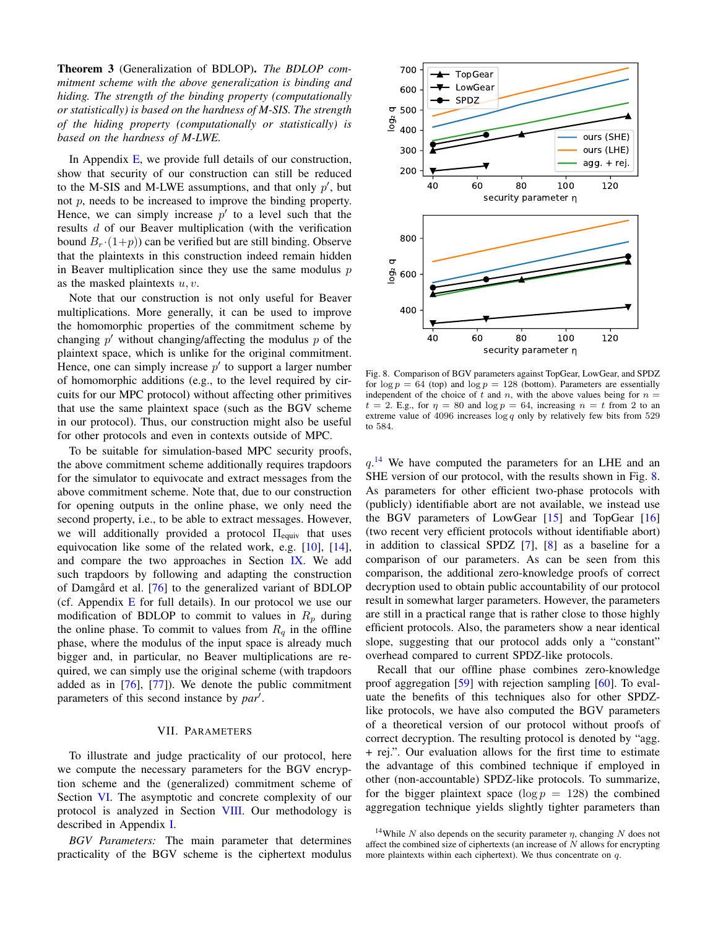Theorem 3 (Generalization of BDLOP). *The BDLOP commitment scheme with the above generalization is binding and hiding. The strength of the binding property (computationally or statistically) is based on the hardness of M-SIS. The strength of the hiding property (computationally or statistically) is based on the hardness of M-LWE.*

In Appendix  $E$ , we provide full details of our construction, show that security of our construction can still be reduced to the M-SIS and M-LWE assumptions, and that only  $p'$ , but not p, needs to be increased to improve the binding property. Hence, we can simply increase  $p'$  to a level such that the results d of our Beaver multiplication (with the verification bound  $B_r (1+p)$  can be verified but are still binding. Observe that the plaintexts in this construction indeed remain hidden in Beaver multiplication since they use the same modulus  $p$ as the masked plaintexts  $u, v$ .

Note that our construction is not only useful for Beaver multiplications. More generally, it can be used to improve the homomorphic properties of the commitment scheme by changing  $p'$  without changing/affecting the modulus  $p$  of the plaintext space, which is unlike for the original commitment. Hence, one can simply increase  $p'$  to support a larger number of homomorphic additions (e.g., to the level required by circuits for our MPC protocol) without affecting other primitives that use the same plaintext space (such as the BGV scheme in our protocol). Thus, our construction might also be useful for other protocols and even in contexts outside of MPC.

To be suitable for simulation-based MPC security proofs, the above commitment scheme additionally requires trapdoors for the simulator to equivocate and extract messages from the above commitment scheme. Note that, due to our construction for opening outputs in the online phase, we only need the second property, i.e., to be able to extract messages. However, we will additionally provided a protocol  $\Pi_{equiv}$  that uses equivocation like some of the related work, e.g. [\[10\]](#page-17-19), [\[14\]](#page-17-18), and compare the two approaches in Section [IX.](#page-15-0) We add such trapdoors by following and adapting the construction of Damgård et al.  $[76]$  $[76]$  to the generalized variant of BDLOP (cf. Appendix  $E$  for full details). In our protocol we use our modification of BDLOP to commit to values in  $R_p$  during the online phase. To commit to values from  $R_q$  in the offline phase, where the modulus of the input space is already much bigger and, in particular, no Beaver multiplications are required, we can simply use the original scheme (with trapdoors added as in  $[76]$ ,  $[77]$ ). We denote the public commitment parameters of this second instance by par<sup>1</sup>.

# VII. PARAMETERS

<span id="page-13-0"></span>To illustrate and judge practicality of our protocol, here we compute the necessary parameters for the BGV encryption scheme and the (generalized) commitment scheme of Section [VI.](#page-12-0) The asymptotic and concrete complexity of our protocol is analyzed in Section [VIII.](#page-14-0) Our methodology is described in Appendix [I.](#page-34-0)

*BGV Parameters:* The main parameter that determines practicality of the BGV scheme is the ciphertext modulus



<span id="page-13-1"></span>Fig. 8. Comparison of BGV parameters against TopGear, LowGear, and SPDZ for  $\log p = 64$  (top) and  $\log p = 128$  (bottom). Parameters are essentially independent of the choice of t and n, with the above values being for  $n =$  $t = 2$ . E.g., for  $\eta = 80$  and  $\log p = 64$ , increasing  $n = t$  from 2 to an extreme value of 4096 increases  $\log q$  only by relatively few bits from 529 to 584.

 $q$ .<sup>[14](#page-0-0)</sup> We have computed the parameters for an LHE and an SHE version of our protocol, with the results shown in Fig. [8.](#page-13-1) As parameters for other efficient two-phase protocols with (publicly) identifiable abort are not available, we instead use the BGV parameters of LowGear [\[15\]](#page-17-22) and TopGear [\[16\]](#page-17-24) (two recent very efficient protocols without identifiable abort) in addition to classical SPDZ [\[7\]](#page-17-3), [\[8\]](#page-17-4) as a baseline for a comparison of our parameters. As can be seen from this comparison, the additional zero-knowledge proofs of correct decryption used to obtain public accountability of our protocol result in somewhat larger parameters. However, the parameters are still in a practical range that is rather close to those highly efficient protocols. Also, the parameters show a near identical slope, suggesting that our protocol adds only a "constant" overhead compared to current SPDZ-like protocols.

Recall that our offline phase combines zero-knowledge proof aggregation [\[59\]](#page-18-17) with rejection sampling [\[60\]](#page-18-18). To evaluate the benefits of this techniques also for other SPDZlike protocols, we have also computed the BGV parameters of a theoretical version of our protocol without proofs of correct decryption. The resulting protocol is denoted by "agg. + rej.". Our evaluation allows for the first time to estimate the advantage of this combined technique if employed in other (non-accountable) SPDZ-like protocols. To summarize, for the bigger plaintext space  $(\log p = 128)$  the combined aggregation technique yields slightly tighter parameters than

<sup>&</sup>lt;sup>14</sup>While N also depends on the security parameter  $\eta$ , changing N does not affect the combined size of ciphertexts (an increase of  $N$  allows for encrypting more plaintexts within each ciphertext). We thus concentrate on q.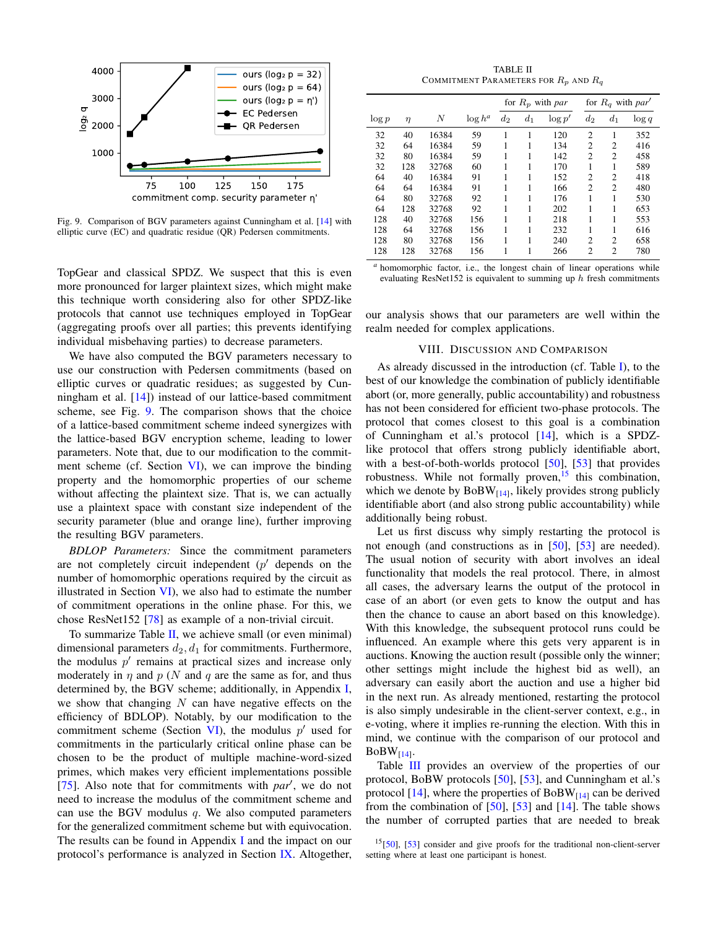

<span id="page-14-1"></span>Fig. 9. Comparison of BGV parameters against Cunningham et al. [\[14\]](#page-17-18) with elliptic curve (EC) and quadratic residue (QR) Pedersen commitments.

TopGear and classical SPDZ. We suspect that this is even more pronounced for larger plaintext sizes, which might make this technique worth considering also for other SPDZ-like protocols that cannot use techniques employed in TopGear (aggregating proofs over all parties; this prevents identifying individual misbehaving parties) to decrease parameters.

We have also computed the BGV parameters necessary to use our construction with Pedersen commitments (based on elliptic curves or quadratic residues; as suggested by Cunningham et al. [\[14\]](#page-17-18)) instead of our lattice-based commitment scheme, see Fig. [9.](#page-14-1) The comparison shows that the choice of a lattice-based commitment scheme indeed synergizes with the lattice-based BGV encryption scheme, leading to lower parameters. Note that, due to our modification to the commit-ment scheme (cf. Section [VI\)](#page-12-0), we can improve the binding property and the homomorphic properties of our scheme without affecting the plaintext size. That is, we can actually use a plaintext space with constant size independent of the security parameter (blue and orange line), further improving the resulting BGV parameters.

*BDLOP Parameters:* Since the commitment parameters are not completely circuit independent  $(p'$  depends on the number of homomorphic operations required by the circuit as illustrated in Section  $VI$ ), we also had to estimate the number of commitment operations in the online phase. For this, we chose ResNet152 [\[78\]](#page-18-30) as example of a non-trivial circuit.

To summarize Table [II,](#page-14-2) we achieve small (or even minimal) dimensional parameters  $d_2$ ,  $d_1$  for commitments. Furthermore, the modulus  $p'$  remains at practical sizes and increase only moderately in  $\eta$  and  $p$  (N and q are the same as for, and thus determined by, the BGV scheme; additionally, in Appendix [I,](#page-34-0) we show that changing  $N$  can have negative effects on the efficiency of BDLOP). Notably, by our modification to the commitment scheme (Section [VI\)](#page-12-0), the modulus  $p'$  used for commitments in the particularly critical online phase can be chosen to be the product of multiple machine-word-sized primes, which makes very efficient implementations possible [\[75\]](#page-18-27). Also note that for commitments with *par'*, we do not need to increase the modulus of the commitment scheme and can use the BGV modulus  $q$ . We also computed parameters for the generalized commitment scheme but with equivocation. The results can be found in Appendix [I](#page-34-0) and the impact on our protocol's performance is analyzed in Section [IX.](#page-15-0) Altogether,

TABLE II COMMITMENT PARAMETERS FOR  $R_p$  and  $R_q$ 

<span id="page-14-2"></span>

|          |        |       |            | for $R_p$ with par |       |           | for $R_q$ with par' |                |          |
|----------|--------|-------|------------|--------------------|-------|-----------|---------------------|----------------|----------|
| $\log p$ | $\eta$ | N     | $\log h^a$ | $d_2$              | $d_1$ | $\log p'$ | $d_2$               | $d_1$          | $\log q$ |
| 32       | 40     | 16384 | 59         | 1                  |       | 120       | $\overline{c}$      | 1              | 352      |
| 32       | 64     | 16384 | 59         | 1                  | 1     | 134       | 2                   | 2              | 416      |
| 32       | 80     | 16384 | 59         |                    |       | 142       | $\overline{c}$      | $\overline{c}$ | 458      |
| 32       | 128    | 32768 | 60         |                    |       | 170       | 1                   | 1              | 589      |
| 64       | 40     | 16384 | 91         |                    |       | 152       | 2                   | 2              | 418      |
| 64       | 64     | 16384 | 91         | 1                  |       | 166       | $\overline{c}$      | $\overline{c}$ | 480      |
| 64       | 80     | 32768 | 92         |                    |       | 176       |                     |                | 530      |
| 64       | 128    | 32768 | 92         | 1                  |       | 202       | 1                   | 1              | 653      |
| 128      | 40     | 32768 | 156        | 1                  |       | 218       | 1                   | 1              | 553      |
| 128      | 64     | 32768 | 156        |                    |       | 232       |                     |                | 616      |
| 128      | 80     | 32768 | 156        |                    |       | 240       | $\overline{c}$      | $\overline{c}$ | 658      |
| 128      | 128    | 32768 | 156        | 1                  |       | 266       | 2                   | 2              | 780      |

*<sup>a</sup>* homomorphic factor, i.e., the longest chain of linear operations while evaluating ResNet152 is equivalent to summing up  $h$  fresh commitments

our analysis shows that our parameters are well within the realm needed for complex applications.

# VIII. DISCUSSION AND COMPARISON

<span id="page-14-0"></span>As already discussed in the introduction (cf. Table [I\)](#page-3-0), to the best of our knowledge the combination of publicly identifiable abort (or, more generally, public accountability) and robustness has not been considered for efficient two-phase protocols. The protocol that comes closest to this goal is a combination of Cunningham et al.'s protocol [\[14\]](#page-17-18), which is a SPDZlike protocol that offers strong publicly identifiable abort, with a best-of-both-worlds protocol [\[50\]](#page-18-10), [\[53\]](#page-18-11) that provides robustness. While not formally proven,  $15$  this combination, which we denote by  $\text{BoBW}_{[14]}$  $\text{BoBW}_{[14]}$  $\text{BoBW}_{[14]}$ , likely provides strong publicly identifiable abort (and also strong public accountability) while additionally being robust.

Let us first discuss why simply restarting the protocol is not enough (and constructions as in [\[50\]](#page-18-10), [\[53\]](#page-18-11) are needed). The usual notion of security with abort involves an ideal functionality that models the real protocol. There, in almost all cases, the adversary learns the output of the protocol in case of an abort (or even gets to know the output and has then the chance to cause an abort based on this knowledge). With this knowledge, the subsequent protocol runs could be influenced. An example where this gets very apparent is in auctions. Knowing the auction result (possible only the winner; other settings might include the highest bid as well), an adversary can easily abort the auction and use a higher bid in the next run. As already mentioned, restarting the protocol is also simply undesirable in the client-server context, e.g., in e-voting, where it implies re-running the election. With this in mind, we continue with the comparison of our protocol and  $BoBW_{[14]}$  $BoBW_{[14]}$  $BoBW_{[14]}$ .

Table [III](#page-15-1) provides an overview of the properties of our protocol, BoBW protocols [\[50\]](#page-18-10), [\[53\]](#page-18-11), and Cunningham et al.'s protocol [\[14\]](#page-17-18), where the properties of  $BoBW_{[14]}$  can be derived from the combination of  $[50]$ ,  $[53]$  and  $[14]$ . The table shows the number of corrupted parties that are needed to break

 $15[50]$  $15[50]$ ,  $[53]$  consider and give proofs for the traditional non-client-server setting where at least one participant is honest.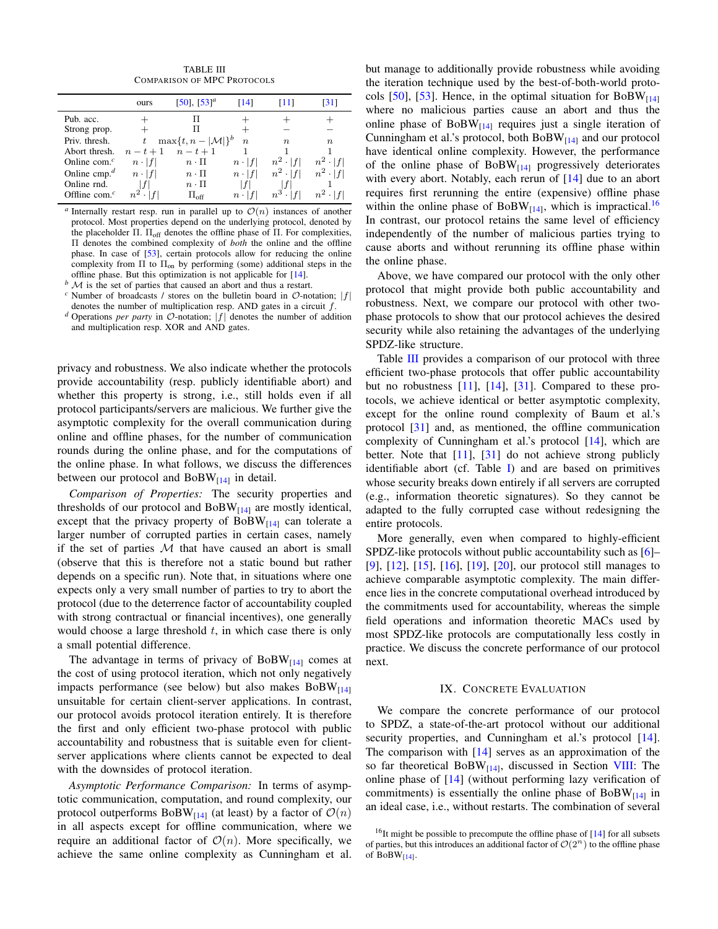TABLE III COMPARISON OF MPC PROTOCOLS

<span id="page-15-1"></span>

|                                       | ours          | $[50]$ , $[53]$ <sup>a</sup>     | [14]          | [11]             | [31]             |
|---------------------------------------|---------------|----------------------------------|---------------|------------------|------------------|
| Pub. acc.                             |               |                                  |               |                  |                  |
| Strong prop.                          |               |                                  |               |                  |                  |
| Priv. thresh.                         | t             | $\max\{t, n -  \mathcal{M} \}^b$ | $\, n$        | $\boldsymbol{n}$ | $\boldsymbol{n}$ |
| Abort thresh.                         | $n-t+1$       | $n-t+1$                          |               |                  |                  |
| Online com. $c$                       | $n \cdot  f $ | $n \cdot \Pi$                    | $n \cdot  f $ | $n^2 \cdot  f $  | $n^2 \cdot  f $  |
| Online cmp. <sup><math>d</math></sup> | $n \cdot  f $ | $n \cdot \Pi$                    | $n \cdot  f $ | $n^2 \cdot  f $  | $n^2 \cdot  f $  |
| Online rnd.                           |               | $n \cdot \Pi$                    |               |                  |                  |
| Offline com. $c$                      |               | $\Pi_{\rm off}$                  | $n \cdot  f $ | $n^3$ .          | $n^2 \cdot  f $  |
|                                       |               |                                  |               |                  |                  |

*a* Internally restart resp. run in parallel up to  $O(n)$  instances of another protocol. Most properties depend on the underlying protocol, denoted by the placeholder Π.  $\Pi_{\text{off}}$  denotes the offline phase of Π. For complexities, Π denotes the combined complexity of *both* the online and the offline phase. In case of [\[53\]](#page-18-11), certain protocols allow for reducing the online complexity from  $\Pi$  to  $\Pi_{\text{on}}$  by performing (some) additional steps in the offline phase. But this optimization is not applicable for [\[14\]](#page-17-18).

 $M$  is the set of parties that caused an abort and thus a restart.

 $c$  Number of broadcasts / stores on the bulletin board in  $\mathcal{O}$ -notation; |f| denotes the number of multiplication resp. AND gates in a circuit  $f$ .

*<sup>d</sup>* Operations *per party* in <sup>O</sup>-notation; <sup>|</sup>f<sup>|</sup> denotes the number of addition and multiplication resp. XOR and AND gates.

privacy and robustness. We also indicate whether the protocols provide accountability (resp. publicly identifiable abort) and whether this property is strong, i.e., still holds even if all protocol participants/servers are malicious. We further give the asymptotic complexity for the overall communication during online and offline phases, for the number of communication rounds during the online phase, and for the computations of the online phase. In what follows, we discuss the differences between our protocol and  $BoBW_{[14]}$  $BoBW_{[14]}$  $BoBW_{[14]}$  in detail.

*Comparison of Properties:* The security properties and thresholds of our protocol and  $BoBW_{[14]}$  $BoBW_{[14]}$  $BoBW_{[14]}$  are mostly identical, except that the privacy property of  $BoBW_{[14]}$  $BoBW_{[14]}$  $BoBW_{[14]}$  can tolerate a larger number of corrupted parties in certain cases, namely if the set of parties  $M$  that have caused an abort is small (observe that this is therefore not a static bound but rather depends on a specific run). Note that, in situations where one expects only a very small number of parties to try to abort the protocol (due to the deterrence factor of accountability coupled with strong contractual or financial incentives), one generally would choose a large threshold  $t$ , in which case there is only a small potential difference.

The advantage in terms of privacy of  $BoBW_{[14]}$  $BoBW_{[14]}$  $BoBW_{[14]}$  comes at the cost of using protocol iteration, which not only negatively impacts performance (see below) but also makes  $BoBW_{[14]}$  $BoBW_{[14]}$  $BoBW_{[14]}$ unsuitable for certain client-server applications. In contrast, our protocol avoids protocol iteration entirely. It is therefore the first and only efficient two-phase protocol with public accountability and robustness that is suitable even for clientserver applications where clients cannot be expected to deal with the downsides of protocol iteration.

*Asymptotic Performance Comparison:* In terms of asymptotic communication, computation, and round complexity, our protocol outperforms BoBW $_{[14]}$  $_{[14]}$  $_{[14]}$  (at least) by a factor of  $\mathcal{O}(n)$ in all aspects except for offline communication, where we require an additional factor of  $\mathcal{O}(n)$ . More specifically, we achieve the same online complexity as Cunningham et al. but manage to additionally provide robustness while avoiding the iteration technique used by the best-of-both-world proto-cols [\[50\]](#page-18-10), [\[53\]](#page-18-11). Hence, in the optimal situation for  $BoBW_{[14]}$  $BoBW_{[14]}$  $BoBW_{[14]}$ where no malicious parties cause an abort and thus the online phase of  $BoBW_{[14]}$  $BoBW_{[14]}$  $BoBW_{[14]}$  requires just a single iteration of Cunningham et al.'s protocol, both  $BoBW_{[14]}$  $BoBW_{[14]}$  $BoBW_{[14]}$  and our protocol have identical online complexity. However, the performance of the online phase of  $BoBW_{[14]}$  $BoBW_{[14]}$  $BoBW_{[14]}$  progressively deteriorates with every abort. Notably, each rerun of [\[14\]](#page-17-18) due to an abort requires first rerunning the entire (expensive) offline phase within the online phase of  $BoBW_{[14]}$  $BoBW_{[14]}$  $BoBW_{[14]}$ , which is impractical.<sup>[16](#page-0-0)</sup> In contrast, our protocol retains the same level of efficiency independently of the number of malicious parties trying to cause aborts and without rerunning its offline phase within the online phase.

Above, we have compared our protocol with the only other protocol that might provide both public accountability and robustness. Next, we compare our protocol with other twophase protocols to show that our protocol achieves the desired security while also retaining the advantages of the underlying SPDZ-like structure.

Table [III](#page-15-1) provides a comparison of our protocol with three efficient two-phase protocols that offer public accountability but no robustness [\[11\]](#page-17-17), [\[14\]](#page-17-18), [\[31\]](#page-18-0). Compared to these protocols, we achieve identical or better asymptotic complexity, except for the online round complexity of Baum et al.'s protocol [\[31\]](#page-18-0) and, as mentioned, the offline communication complexity of Cunningham et al.'s protocol [\[14\]](#page-17-18), which are better. Note that  $[11]$ ,  $[31]$  do not achieve strong publicly identifiable abort (cf. Table [I\)](#page-3-0) and are based on primitives whose security breaks down entirely if all servers are corrupted (e.g., information theoretic signatures). So they cannot be adapted to the fully corrupted case without redesigning the entire protocols.

More generally, even when compared to highly-efficient SPDZ-like protocols without public accountability such as [\[6\]](#page-17-2)– [\[9\]](#page-17-5), [\[12\]](#page-17-21), [\[15\]](#page-17-22), [\[16\]](#page-17-24), [\[19\]](#page-17-25), [\[20\]](#page-17-6), our protocol still manages to achieve comparable asymptotic complexity. The main difference lies in the concrete computational overhead introduced by the commitments used for accountability, whereas the simple field operations and information theoretic MACs used by most SPDZ-like protocols are computationally less costly in practice. We discuss the concrete performance of our protocol next.

# IX. CONCRETE EVALUATION

<span id="page-15-0"></span>We compare the concrete performance of our protocol to SPDZ, a state-of-the-art protocol without our additional security properties, and Cunningham et al.'s protocol [\[14\]](#page-17-18). The comparison with [\[14\]](#page-17-18) serves as an approximation of the so far theoretical BoBW<sub>[\[14\]](#page-17-18)</sub>, discussed in Section [VIII:](#page-14-0) The online phase of [\[14\]](#page-17-18) (without performing lazy verification of commitments) is essentially the online phase of  $BoBW_{[14]}$  $BoBW_{[14]}$  $BoBW_{[14]}$  in an ideal case, i.e., without restarts. The combination of several

<sup>&</sup>lt;sup>16</sup>It might be possible to precompute the offline phase of  $[14]$  for all subsets of parties, but this introduces an additional factor of  $\mathcal{O}(2^n)$  to the offline phase of  $BoBW_{[14]}$  $BoBW_{[14]}$  $BoBW_{[14]}$ .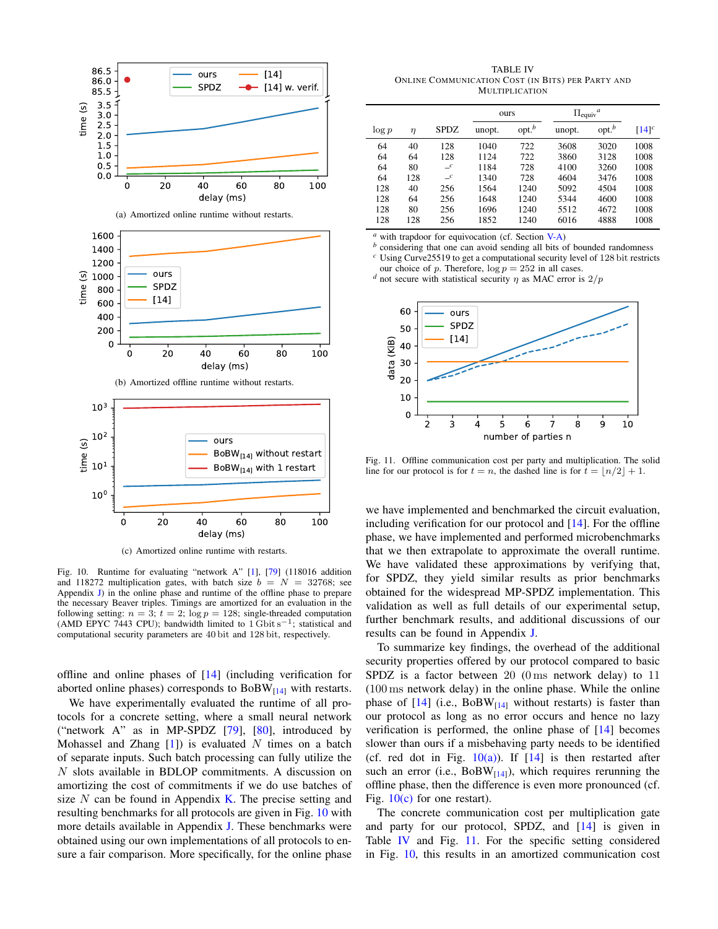<span id="page-16-1"></span>

<span id="page-16-5"></span><span id="page-16-2"></span><span id="page-16-0"></span>Fig. 10. Runtime for evaluating "network A" [\[1\]](#page-17-1), [\[79\]](#page-18-31) (118016 addition and 118272 multiplication gates, with batch size  $b = N = 32768$ ; see Appendix [J\)](#page-36-0) in the online phase and runtime of the offline phase to prepare the necessary Beaver triples. Timings are amortized for an evaluation in the following setting:  $n = 3$ ;  $t = 2$ ;  $\log p = 128$ ; single-threaded computation (AMD EPYC 7443 CPU); bandwidth limited to  $1 \text{ Gbit s}^{-1}$ ; statistical and

computational security parameters are 40 bit and 128 bit, respectively.

offline and online phases of [\[14\]](#page-17-18) (including verification for aborted online phases) corresponds to  $BoBW_{[14]}$  $BoBW_{[14]}$  $BoBW_{[14]}$  with restarts.

We have experimentally evaluated the runtime of all protocols for a concrete setting, where a small neural network ("network A" as in MP-SPDZ  $[79]$ ,  $[80]$ , introduced by Mohassel and Zhang  $[1]$ ) is evaluated N times on a batch of separate inputs. Such batch processing can fully utilize the N slots available in BDLOP commitments. A discussion on amortizing the cost of commitments if we do use batches of size  $N$  can be found in Appendix [K.](#page-38-0) The precise setting and resulting benchmarks for all protocols are given in Fig. [10](#page-16-0) with more details available in Appendix [J.](#page-36-0) These benchmarks were obtained using our own implementations of all protocols to ensure a fair comparison. More specifically, for the online phase

<span id="page-16-3"></span>TABLE IV ONLINE COMMUNICATION COST (IN BITS) PER PARTY AND MULTIPLICATION

|          |     |               |        | ours              |        | $\Pi_{\text{equiv}}^a$ |            |
|----------|-----|---------------|--------|-------------------|--------|------------------------|------------|
| $\log p$ | η   | <b>SPDZ</b>   | unopt. | opt. <sup>b</sup> | unopt. | opt. <sup>b</sup>      | $[14]^{c}$ |
| 64       | 40  | 128           | 1040   | 722               | 3608   | 3020                   | 1008       |
| 64       | 64  | 128           | 1124   | 722               | 3860   | 3128                   | 1008       |
| 64       | 80  | $\mathcal{L}$ | 1184   | 728               | 4100   | 3260                   | 1008       |
| 64       | 128 | $\mathcal{L}$ | 1340   | 728               | 4604   | 3476                   | 1008       |
| 128      | 40  | 256           | 1564   | 1240              | 5092   | 4504                   | 1008       |
| 128      | 64  | 256           | 1648   | 1240              | 5344   | 4600                   | 1008       |
| 128      | 80  | 256           | 1696   | 1240              | 5512   | 4672                   | 1008       |
| 128      | 128 | 256           | 1852   | 1240              | 6016   | 4888                   | 1008       |

*<sup>a</sup>* with trapdoor for equivocation (cf. Section [V-A\)](#page-7-0)

*b* considering that one can avoid sending all bits of bounded randomness *<sup>c</sup>* Using Curve25519 to get a computational security level of 128 bit restricts

our choice of p. Therefore,  $log p = 252$  in all cases.

*d* not secure with statistical security  $\eta$  as MAC error is  $2/p$ 



<span id="page-16-4"></span>Fig. 11. Offline communication cost per party and multiplication. The solid line for our protocol is for  $t = n$ , the dashed line is for  $t = |n/2| + 1$ .

we have implemented and benchmarked the circuit evaluation, including verification for our protocol and [\[14\]](#page-17-18). For the offline phase, we have implemented and performed microbenchmarks that we then extrapolate to approximate the overall runtime. We have validated these approximations by verifying that, for SPDZ, they yield similar results as prior benchmarks obtained for the widespread MP-SPDZ implementation. This validation as well as full details of our experimental setup, further benchmark results, and additional discussions of our results can be found in Appendix [J.](#page-36-0)

To summarize key findings, the overhead of the additional security properties offered by our protocol compared to basic SPDZ is a factor between  $20$  (0 ms network delay) to  $11$ (100 ms network delay) in the online phase. While the online phase of  $[14]$  (i.e., BoBW<sub>[14]</sub> without restarts) is faster than our protocol as long as no error occurs and hence no lazy verification is performed, the online phase of [\[14\]](#page-17-18) becomes slower than ours if a misbehaving party needs to be identified (cf. red dot in Fig.  $10(a)$ ). If  $[14]$  is then restarted after such an error (i.e.,  $BoBW_{[14]}$  $BoBW_{[14]}$  $BoBW_{[14]}$ ), which requires rerunning the offline phase, then the difference is even more pronounced (cf. Fig.  $10(c)$  for one restart).

The concrete communication cost per multiplication gate and party for our protocol, SPDZ, and [\[14\]](#page-17-18) is given in Table [IV](#page-16-3) and Fig. [11.](#page-16-4) For the specific setting considered in Fig. [10,](#page-16-0) this results in an amortized communication cost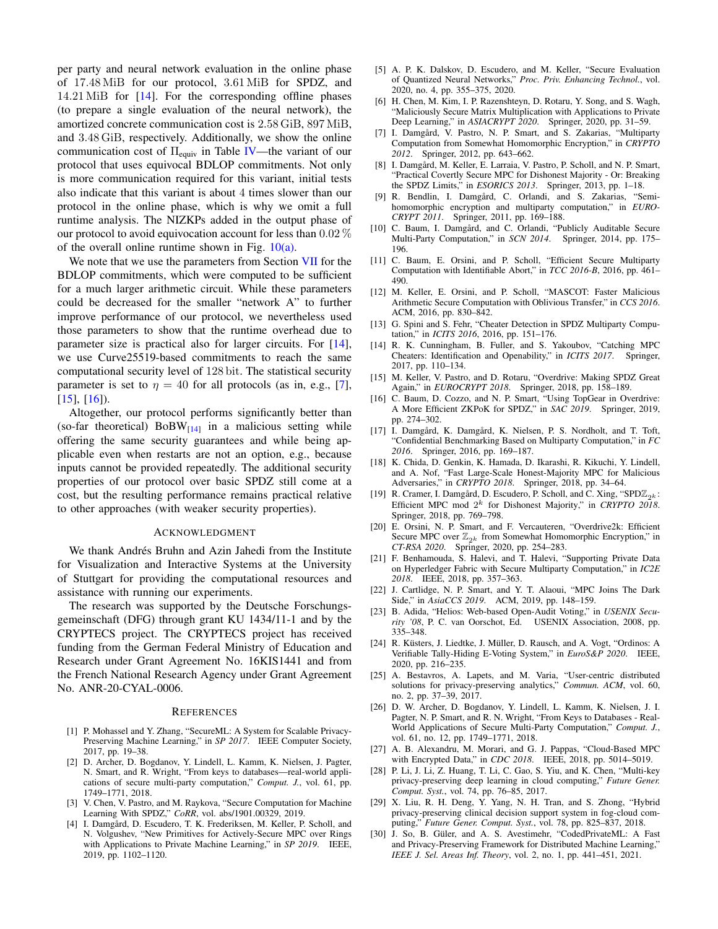per party and neural network evaluation in the online phase of 17.48 MiB for our protocol, 3.61 MiB for SPDZ, and 14.21 MiB for [\[14\]](#page-17-18). For the corresponding offline phases (to prepare a single evaluation of the neural network), the amortized concrete communication cost is 2.58 GiB, 897 MiB, and 3.48 GiB, respectively. Additionally, we show the online communication cost of  $\Pi_{\text{equiv}}$  in Table [IV—](#page-16-3)the variant of our protocol that uses equivocal BDLOP commitments. Not only is more communication required for this variant, initial tests also indicate that this variant is about 4 times slower than our protocol in the online phase, which is why we omit a full runtime analysis. The NIZKPs added in the output phase of our protocol to avoid equivocation account for less than  $0.02\%$ of the overall online runtime shown in Fig.  $10(a)$ .

We note that we use the parameters from Section [VII](#page-13-0) for the BDLOP commitments, which were computed to be sufficient for a much larger arithmetic circuit. While these parameters could be decreased for the smaller "network A" to further improve performance of our protocol, we nevertheless used those parameters to show that the runtime overhead due to parameter size is practical also for larger circuits. For [\[14\]](#page-17-18), we use Curve25519-based commitments to reach the same computational security level of 128 bit. The statistical security parameter is set to  $\eta = 40$  for all protocols (as in, e.g., [\[7\]](#page-17-3),  $[15]$ ,  $[16]$ ).

Altogether, our protocol performs significantly better than (so-far theoretical)  $\text{BoBW}_{[14]}$  $\text{BoBW}_{[14]}$  $\text{BoBW}_{[14]}$  in a malicious setting while offering the same security guarantees and while being applicable even when restarts are not an option, e.g., because inputs cannot be provided repeatedly. The additional security properties of our protocol over basic SPDZ still come at a cost, but the resulting performance remains practical relative to other approaches (with weaker security properties).

#### ACKNOWLEDGMENT

We thank Andrés Bruhn and Azin Jahedi from the Institute for Visualization and Interactive Systems at the University of Stuttgart for providing the computational resources and assistance with running our experiments.

The research was supported by the Deutsche Forschungsgemeinschaft (DFG) through grant KU 1434/11-1 and by the CRYPTECS project. The CRYPTECS project has received funding from the German Federal Ministry of Education and Research under Grant Agreement No. 16KIS1441 and from the French National Research Agency under Grant Agreement No. ANR-20-CYAL-0006.

#### <span id="page-17-0"></span>**REFERENCES**

- <span id="page-17-1"></span>[1] P. Mohassel and Y. Zhang, "SecureML: A System for Scalable Privacy-Preserving Machine Learning," in *SP 2017*. IEEE Computer Society, 2017, pp. 19–38.
- [2] D. Archer, D. Bogdanov, Y. Lindell, L. Kamm, K. Nielsen, J. Pagter, N. Smart, and R. Wright, "From keys to databases—real-world applications of secure multi-party computation," *Comput. J.*, vol. 61, pp. 1749–1771, 2018.
- [3] V. Chen, V. Pastro, and M. Raykova, "Secure Computation for Machine Learning With SPDZ," *CoRR*, vol. abs/1901.00329, 2019.
- [4] I. Damgård, D. Escudero, T. K. Frederiksen, M. Keller, P. Scholl, and N. Volgushev, "New Primitives for Actively-Secure MPC over Rings with Applications to Private Machine Learning," in *SP 2019*. IEEE, 2019, pp. 1102–1120.
- <span id="page-17-14"></span>[5] A. P. K. Dalskov, D. Escudero, and M. Keller, "Secure Evaluation of Quantized Neural Networks," *Proc. Priv. Enhancing Technol.*, vol. 2020, no. 4, pp. 355–375, 2020.
- <span id="page-17-2"></span>[6] H. Chen, M. Kim, I. P. Razenshteyn, D. Rotaru, Y. Song, and S. Wagh, "Maliciously Secure Matrix Multiplication with Applications to Private Deep Learning," in *ASIACRYPT 2020*. Springer, 2020, pp. 31–59.
- <span id="page-17-3"></span>[7] I. Damgård, V. Pastro, N. P. Smart, and S. Zakarias, "Multiparty Computation from Somewhat Homomorphic Encryption," in *CRYPTO 2012*. Springer, 2012, pp. 643–662.
- <span id="page-17-4"></span>[8] I. Damgård, M. Keller, E. Larraia, V. Pastro, P. Scholl, and N. P. Smart, "Practical Covertly Secure MPC for Dishonest Majority - Or: Breaking the SPDZ Limits," in *ESORICS 2013*. Springer, 2013, pp. 1–18.
- <span id="page-17-5"></span>[9] R. Bendlin, I. Damgård, C. Orlandi, and S. Zakarias, "Semihomomorphic encryption and multiparty computation," in *EURO-CRYPT 2011*. Springer, 2011, pp. 169–188.
- <span id="page-17-19"></span>[10] C. Baum, I. Damgård, and C. Orlandi, "Publicly Auditable Secure Multi-Party Computation," in *SCN 2014*. Springer, 2014, pp. 175– 196.
- <span id="page-17-17"></span>[11] C. Baum, E. Orsini, and P. Scholl, "Efficient Secure Multiparty Computation with Identifiable Abort," in *TCC 2016-B*, 2016, pp. 461– 490.
- <span id="page-17-21"></span>[12] M. Keller, E. Orsini, and P. Scholl, "MASCOT: Faster Malicious Arithmetic Secure Computation with Oblivious Transfer," in *CCS 2016*. ACM, 2016, pp. 830–842.
- <span id="page-17-20"></span>[13] G. Spini and S. Fehr, "Cheater Detection in SPDZ Multiparty Computation," in *ICITS 2016*, 2016, pp. 151–176.
- <span id="page-17-18"></span>[14] R. K. Cunningham, B. Fuller, and S. Yakoubov, "Catching MPC Cheaters: Identification and Openability," in *ICITS 2017*. Springer, 2017, pp. 110–134.
- <span id="page-17-22"></span>[15] M. Keller, V. Pastro, and D. Rotaru, "Overdrive: Making SPDZ Great Again," in *EUROCRYPT 2018*. Springer, 2018, pp. 158–189.
- <span id="page-17-24"></span>[16] C. Baum, D. Cozzo, and N. P. Smart, "Using TopGear in Overdrive: A More Efficient ZKPoK for SPDZ," in *SAC 2019*. Springer, 2019, pp. 274–302.
- <span id="page-17-11"></span>[17] I. Damgård, K. Damgård, K. Nielsen, P. S. Nordholt, and T. Toft, "Confidential Benchmarking Based on Multiparty Computation," in *FC 2016*. Springer, 2016, pp. 169–187.
- <span id="page-17-23"></span>[18] K. Chida, D. Genkin, K. Hamada, D. Ikarashi, R. Kikuchi, Y. Lindell, and A. Nof, "Fast Large-Scale Honest-Majority MPC for Malicious Adversaries," in *CRYPTO 2018*. Springer, 2018, pp. 34–64.
- <span id="page-17-25"></span>[19] R. Cramer, I. Damgård, D. Escudero, P. Scholl, and C. Xing, "SPD $\mathbb{Z}_{2k}$ : Efficient MPC mod  $2^k$  for Dishonest Majority," in *CRYPTO 2018*. Springer, 2018, pp. 769–798.
- <span id="page-17-6"></span>[20] E. Orsini, N. P. Smart, and F. Vercauteren, "Overdrive2k: Efficient Secure MPC over  $\mathbb{Z}_{2k}$  from Somewhat Homomorphic Encryption," in *CT-RSA 2020*. Springer, 2020, pp. 254–283.
- <span id="page-17-7"></span>[21] F. Benhamouda, S. Halevi, and T. Halevi, "Supporting Private Data on Hyperledger Fabric with Secure Multiparty Computation," in *IC2E 2018*. IEEE, 2018, pp. 357–363.
- <span id="page-17-8"></span>[22] J. Cartlidge, N. P. Smart, and Y. T. Alaoui, "MPC Joins The Dark Side," in *AsiaCCS 2019*. ACM, 2019, pp. 148–159.
- <span id="page-17-9"></span>[23] B. Adida, "Helios: Web-based Open-Audit Voting," in *USENIX Security '08*, P. C. van Oorschot, Ed. USENIX Association, 2008, pp. 335–348.
- <span id="page-17-10"></span>[24] R. Küsters, J. Liedtke, J. Müller, D. Rausch, and A. Vogt, "Ordinos: A Verifiable Tally-Hiding E-Voting System," in *EuroS&P 2020*. IEEE, 2020, pp. 216–235.
- <span id="page-17-12"></span>[25] A. Bestavros, A. Lapets, and M. Varia, "User-centric distributed solutions for privacy-preserving analytics," *Commun. ACM*, vol. 60, no. 2, pp. 37–39, 2017.
- [26] D. W. Archer, D. Bogdanov, Y. Lindell, L. Kamm, K. Nielsen, J. I. Pagter, N. P. Smart, and R. N. Wright, "From Keys to Databases - Real-World Applications of Secure Multi-Party Computation," *Comput. J.*, vol. 61, no. 12, pp. 1749–1771, 2018.
- <span id="page-17-13"></span>[27] A. B. Alexandru, M. Morari, and G. J. Pappas, "Cloud-Based MPC with Encrypted Data," in *CDC 2018*. IEEE, 2018, pp. 5014–5019.
- <span id="page-17-15"></span>[28] P. Li, J. Li, Z. Huang, T. Li, C. Gao, S. Yiu, and K. Chen, "Multi-key privacy-preserving deep learning in cloud computing," *Future Gener. Comput. Syst.*, vol. 74, pp. 76–85, 2017.
- [29] X. Liu, R. H. Deng, Y. Yang, N. H. Tran, and S. Zhong, "Hybrid privacy-preserving clinical decision support system in fog-cloud computing," *Future Gener. Comput. Syst.*, vol. 78, pp. 825–837, 2018.
- <span id="page-17-16"></span>[30] J. So, B. Güler, and A. S. Avestimehr, "CodedPrivateML: A Fast and Privacy-Preserving Framework for Distributed Machine Learning," *IEEE J. Sel. Areas Inf. Theory*, vol. 2, no. 1, pp. 441–451, 2021.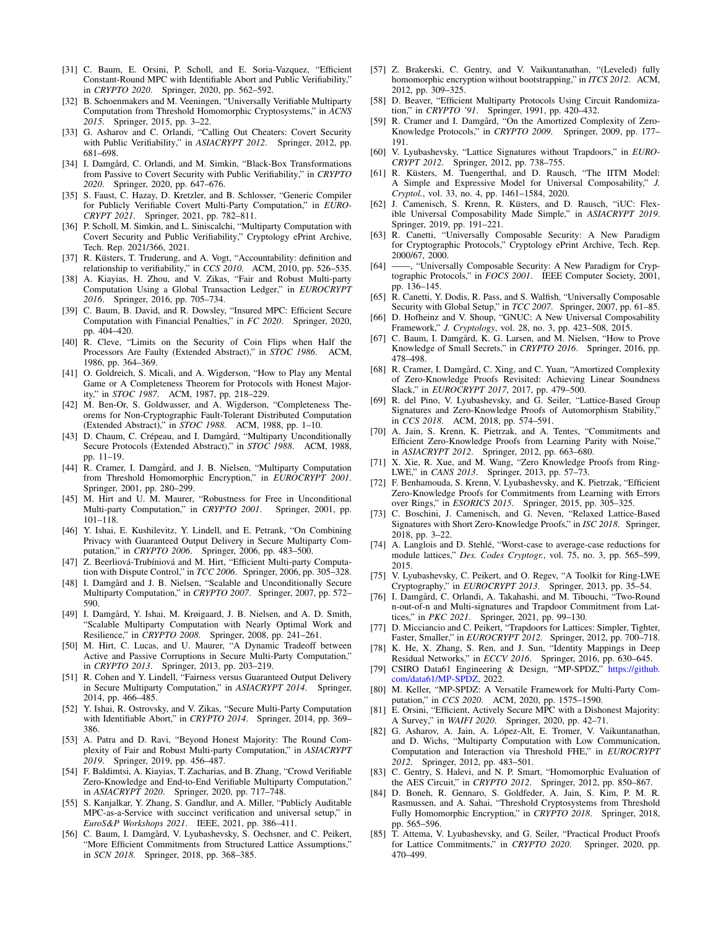- <span id="page-18-0"></span>[31] C. Baum, E. Orsini, P. Scholl, and E. Soria-Vazquez, "Efficient Constant-Round MPC with Identifiable Abort and Public Verifiability," in *CRYPTO 2020*. Springer, 2020, pp. 562–592.
- <span id="page-18-4"></span>[32] B. Schoenmakers and M. Veeningen, "Universally Verifiable Multiparty Computation from Threshold Homomorphic Cryptosystems," in *ACNS 2015*. Springer, 2015, pp. 3–22.
- [33] G. Asharov and C. Orlandi, "Calling Out Cheaters: Covert Security with Public Verifiability," in *ASIACRYPT 2012*. Springer, 2012, pp. 681–698.
- [34] I. Damgård, C. Orlandi, and M. Simkin, "Black-Box Transformations from Passive to Covert Security with Public Verifiability," in *CRYPTO 2020*. Springer, 2020, pp. 647–676.
- [35] S. Faust, C. Hazay, D. Kretzler, and B. Schlosser, "Generic Compiler for Publicly Verifiable Covert Multi-Party Computation," in *EURO-CRYPT 2021*. Springer, 2021, pp. 782–811.
- <span id="page-18-7"></span>[36] P. Scholl, M. Simkin, and L. Siniscalchi, "Multiparty Computation with Covert Security and Public Verifiability," Cryptology ePrint Archive, Tech. Rep. 2021/366, 2021.
- <span id="page-18-8"></span>[37] R. Küsters, T. Truderung, and A. Vogt, "Accountability: definition and relationship to verifiability," in *CCS 2010*. ACM, 2010, pp. 526–535.
- <span id="page-18-1"></span>[38] A. Kiayias, H. Zhou, and V. Zikas, "Fair and Robust Multi-party Computation Using a Global Transaction Ledger," in *EUROCRYPT 2016*. Springer, 2016, pp. 705–734.
- <span id="page-18-2"></span>[39] C. Baum, B. David, and R. Dowsley, "Insured MPC: Efficient Secure Computation with Financial Penalties," in *FC 2020*. Springer, 2020, pp. 404–420.
- <span id="page-18-3"></span>[40] R. Cleve, "Limits on the Security of Coin Flips when Half the Processors Are Faulty (Extended Abstract)," in *STOC 1986*. ACM, 1986, pp. 364–369.
- <span id="page-18-5"></span>[41] O. Goldreich, S. Micali, and A. Wigderson, "How to Play any Mental Game or A Completeness Theorem for Protocols with Honest Majority," in *STOC 1987*. ACM, 1987, pp. 218–229.
- [42] M. Ben-Or, S. Goldwasser, and A. Wigderson, "Completeness Theorems for Non-Cryptographic Fault-Tolerant Distributed Computation (Extended Abstract)," in *STOC 1988*. ACM, 1988, pp. 1–10.
- [43] D. Chaum, C. Crépeau, and I. Damgård, "Multiparty Unconditionally Secure Protocols (Extended Abstract)," in *STOC 1988*. ACM, 1988, pp. 11–19.
- [44] R. Cramer, I. Damgård, and J. B. Nielsen, "Multiparty Computation from Threshold Homomorphic Encryption," in *EUROCRYPT 2001*. Springer, 2001, pp. 280–299.
- [45] M. Hirt and U. M. Maurer, "Robustness for Free in Unconditional Multi-party Computation," in *CRYPTO 2001*. Springer, 2001, pp. 101–118.
- [46] Y. Ishai, E. Kushilevitz, Y. Lindell, and E. Petrank, "On Combining Privacy with Guaranteed Output Delivery in Secure Multiparty Computation," in *CRYPTO 2006*. Springer, 2006, pp. 483–500.
- [47] Z. Beerliová-Trubíniová and M. Hirt, "Efficient Multi-party Computation with Dispute Control," in *TCC 2006*. Springer, 2006, pp. 305–328.
- <span id="page-18-39"></span>[48] I. Damgård and J. B. Nielsen, "Scalable and Unconditionally Secure Multiparty Computation," in *CRYPTO 2007*. Springer, 2007, pp. 572– 590.
- [49] I. Damgård, Y. Ishai, M. Krøigaard, J. B. Nielsen, and A. D. Smith, "Scalable Multiparty Computation with Nearly Optimal Work and Resilience," in *CRYPTO 2008*. Springer, 2008, pp. 241–261.
- <span id="page-18-10"></span>[50] M. Hirt, C. Lucas, and U. Maurer, "A Dynamic Tradeoff between Active and Passive Corruptions in Secure Multi-Party Computation," in *CRYPTO 2013*. Springer, 2013, pp. 203–219.
- <span id="page-18-6"></span>[51] R. Cohen and Y. Lindell, "Fairness versus Guaranteed Output Delivery in Secure Multiparty Computation," in *ASIACRYPT 2014*. Springer, 2014, pp. 466–485.
- <span id="page-18-9"></span>[52] Y. Ishai, R. Ostrovsky, and V. Zikas, "Secure Multi-Party Computation with Identifiable Abort," in *CRYPTO 2014*. Springer, 2014, pp. 369– 386.
- <span id="page-18-11"></span>[53] A. Patra and D. Ravi, "Beyond Honest Majority: The Round Complexity of Fair and Robust Multi-party Computation," in *ASIACRYPT 2019*. Springer, 2019, pp. 456–487.
- <span id="page-18-12"></span>[54] F. Baldimtsi, A. Kiayias, T. Zacharias, and B. Zhang, "Crowd Verifiable Zero-Knowledge and End-to-End Verifiable Multiparty Computation," in *ASIACRYPT 2020*. Springer, 2020, pp. 717–748.
- <span id="page-18-13"></span>[55] S. Kanjalkar, Y. Zhang, S. Gandlur, and A. Miller, "Publicly Auditable MPC-as-a-Service with succinct verification and universal setup," in *EuroS&P Workshops 2021*. IEEE, 2021, pp. 386–411.
- <span id="page-18-14"></span>[56] C. Baum, I. Damgård, V. Lyubashevsky, S. Oechsner, and C. Peikert, "More Efficient Commitments from Structured Lattice Assumptions," in *SCN 2018*. Springer, 2018, pp. 368–385.
- <span id="page-18-15"></span>[57] Z. Brakerski, C. Gentry, and V. Vaikuntanathan, "(Leveled) fully homomorphic encryption without bootstrapping," in *ITCS 2012*. ACM, 2012, pp. 309–325.
- <span id="page-18-16"></span>[58] D. Beaver, "Efficient Multiparty Protocols Using Circuit Randomization," in *CRYPTO '91*. Springer, 1991, pp. 420–432.
- <span id="page-18-17"></span>[59] R. Cramer and I. Damgård, "On the Amortized Complexity of Zero-Knowledge Protocols," in *CRYPTO 2009*. Springer, 2009, pp. 177– 191.
- <span id="page-18-18"></span>[60] V. Lyubashevsky, "Lattice Signatures without Trapdoors," in *EURO-CRYPT 2012*. Springer, 2012, pp. 738–755.
- <span id="page-18-19"></span>[61] R. Küsters, M. Tuengerthal, and D. Rausch, "The IITM Model: A Simple and Expressive Model for Universal Composability," *J. Cryptol.*, vol. 33, no. 4, pp. 1461–1584, 2020.
- [62] J. Camenisch, S. Krenn, R. Küsters, and D. Rausch, "iUC: Flexible Universal Composability Made Simple," in *ASIACRYPT 2019*. Springer, 2019, pp. 191–221.
- [63] R. Canetti, "Universally Composable Security: A New Paradigm for Cryptographic Protocols," Cryptology ePrint Archive, Tech. Rep. 2000/67, 2000.
- [64] -, "Universally Composable Security: A New Paradigm for Cryptographic Protocols," in *FOCS 2001*. IEEE Computer Society, 2001, pp. 136–145.
- [65] R. Canetti, Y. Dodis, R. Pass, and S. Walfish, "Universally Composable Security with Global Setup," in *TCC 2007*. Springer, 2007, pp. 61–85.
- <span id="page-18-20"></span>[66] D. Hofheinz and V. Shoup, "GNUC: A New Universal Composability Framework," *J. Cryptology*, vol. 28, no. 3, pp. 423–508, 2015.
- <span id="page-18-21"></span>[67] C. Baum, I. Damgård, K. G. Larsen, and M. Nielsen, "How to Prove Knowledge of Small Secrets," in *CRYPTO 2016*. Springer, 2016, pp. 478–498.
- <span id="page-18-22"></span>[68] R. Cramer, I. Damgård, C. Xing, and C. Yuan, "Amortized Complexity of Zero-Knowledge Proofs Revisited: Achieving Linear Soundness Slack," in *EUROCRYPT 2017*, 2017, pp. 479–500.
- <span id="page-18-23"></span>[69] R. del Pino, V. Lyubashevsky, and G. Seiler, "Lattice-Based Group Signatures and Zero-Knowledge Proofs of Automorphism Stability," in *CCS 2018*. ACM, 2018, pp. 574–591.
- <span id="page-18-24"></span>[70] A. Jain, S. Krenn, K. Pietrzak, and A. Tentes, "Commitments and Efficient Zero-Knowledge Proofs from Learning Parity with Noise," in *ASIACRYPT 2012*. Springer, 2012, pp. 663–680.
- <span id="page-18-38"></span>[71] X. Xie, R. Xue, and M. Wang, "Zero Knowledge Proofs from Ring-LWE," in *CANS 2013*. Springer, 2013, pp. 57–73.
- [72] F. Benhamouda, S. Krenn, V. Lyubashevsky, and K. Pietrzak, "Efficient Zero-Knowledge Proofs for Commitments from Learning with Errors over Rings," in *ESORICS 2015*. Springer, 2015, pp. 305–325.
- <span id="page-18-25"></span>[73] C. Boschini, J. Camenisch, and G. Neven, "Relaxed Lattice-Based Signatures with Short Zero-Knowledge Proofs," in *ISC 2018*. Springer, 2018, pp. 3–22.
- <span id="page-18-26"></span>[74] A. Langlois and D. Stehlé, "Worst-case to average-case reductions for module lattices," *Des. Codes Cryptogr.*, vol. 75, no. 3, pp. 565–599, 2015.
- <span id="page-18-27"></span>[75] V. Lyubashevsky, C. Peikert, and O. Regev, "A Toolkit for Ring-LWE Cryptography," in *EUROCRYPT 2013*. Springer, 2013, pp. 35–54.
- <span id="page-18-28"></span>[76] I. Damgård, C. Orlandi, A. Takahashi, and M. Tibouchi, "Two-Round n-out-of-n and Multi-signatures and Trapdoor Commitment from Lattices," in *PKC 2021*. Springer, 2021, pp. 99–130.
- <span id="page-18-29"></span>[77] D. Micciancio and C. Peikert, "Trapdoors for Lattices: Simpler, Tighter, Faster, Smaller," in *EUROCRYPT 2012*. Springer, 2012, pp. 700–718.
- <span id="page-18-30"></span>[78] K. He, X. Zhang, S. Ren, and J. Sun, "Identity Mappings in Deep Residual Networks," in *ECCV 2016*. Springer, 2016, pp. 630–645.
- <span id="page-18-31"></span>[79] CSIRO Data61 Engineering & Design, "MP-SPDZ," [https://github.](https://github.com/data61/MP-SPDZ) [com/data61/MP-SPDZ,](https://github.com/data61/MP-SPDZ) 2022.
- <span id="page-18-32"></span>[80] M. Keller, "MP-SPDZ: A Versatile Framework for Multi-Party Computation," in *CCS 2020*. ACM, 2020, pp. 1575–1590.
- <span id="page-18-33"></span>[81] E. Orsini, "Efficient, Actively Secure MPC with a Dishonest Majority: A Survey," in *WAIFI 2020*. Springer, 2020, pp. 42–71.
- <span id="page-18-34"></span>[82] G. Asharov, A. Jain, A. López-Alt, E. Tromer, V. Vaikuntanathan, and D. Wichs, "Multiparty Computation with Low Communication, Computation and Interaction via Threshold FHE," in *EUROCRYPT 2012*. Springer, 2012, pp. 483–501.
- <span id="page-18-37"></span>[83] C. Gentry, S. Halevi, and N. P. Smart, "Homomorphic Evaluation of the AES Circuit," in *CRYPTO 2012*. Springer, 2012, pp. 850–867.
- <span id="page-18-35"></span>[84] D. Boneh, R. Gennaro, S. Goldfeder, A. Jain, S. Kim, P. M. R. Rasmussen, and A. Sahai, "Threshold Cryptosystems from Threshold Fully Homomorphic Encryption," in *CRYPTO 2018*. Springer, 2018, pp. 565–596.
- <span id="page-18-36"></span>[85] T. Attema, V. Lyubashevsky, and G. Seiler, "Practical Product Proofs for Lattice Commitments," in *CRYPTO 2020*. Springer, 2020, pp. 470–499.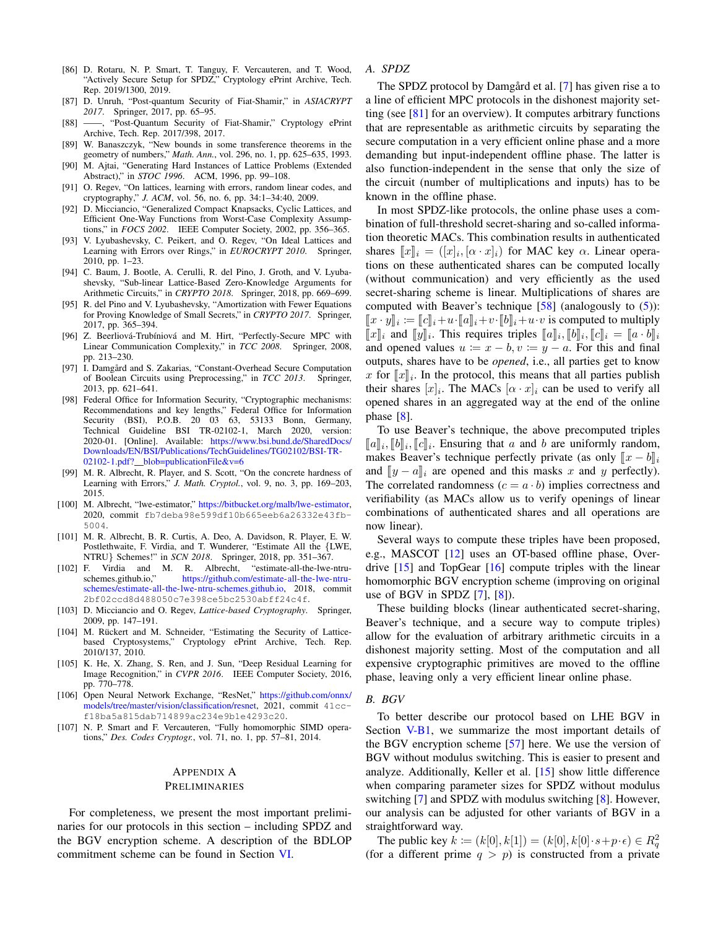- <span id="page-19-3"></span>[86] D. Rotaru, N. P. Smart, T. Tanguy, F. Vercauteren, and T. Wood, "Actively Secure Setup for SPDZ," Cryptology ePrint Archive, Tech. Rep. 2019/1300, 2019.
- <span id="page-19-4"></span>[87] D. Unruh, "Post-quantum Security of Fiat-Shamir," in *ASIACRYPT 2017*. Springer, 2017, pp. 65–95.
- <span id="page-19-5"></span>[88] ——, "Post-Quantum Security of Fiat-Shamir," Cryptology ePrint Archive, Tech. Rep. 2017/398, 2017.
- <span id="page-19-6"></span>[89] W. Banaszczyk, "New bounds in some transference theorems in the geometry of numbers," *Math. Ann.*, vol. 296, no. 1, pp. 625–635, 1993.
- <span id="page-19-7"></span>[90] M. Ajtai, "Generating Hard Instances of Lattice Problems (Extended Abstract)," in *STOC 1996*. ACM, 1996, pp. 99–108.
- <span id="page-19-8"></span>[91] O. Regev, "On lattices, learning with errors, random linear codes, and cryptography," *J. ACM*, vol. 56, no. 6, pp. 34:1–34:40, 2009.
- <span id="page-19-9"></span>[92] D. Micciancio, "Generalized Compact Knapsacks, Cyclic Lattices, and Efficient One-Way Functions from Worst-Case Complexity Assumptions," in *FOCS 2002*. IEEE Computer Society, 2002, pp. 356–365.
- <span id="page-19-10"></span>[93] V. Lyubashevsky, C. Peikert, and O. Regev, "On Ideal Lattices and Learning with Errors over Rings," in *EUROCRYPT 2010*. Springer, 2010, pp. 1–23.
- <span id="page-19-11"></span>[94] C. Baum, J. Bootle, A. Cerulli, R. del Pino, J. Groth, and V. Lyubashevsky, "Sub-linear Lattice-Based Zero-Knowledge Arguments for Arithmetic Circuits," in *CRYPTO 2018*. Springer, 2018, pp. 669–699.
- <span id="page-19-12"></span>[95] R. del Pino and V. Lyubashevsky, "Amortization with Fewer Equations for Proving Knowledge of Small Secrets," in *CRYPTO 2017*. Springer, 2017, pp. 365–394.
- <span id="page-19-13"></span>[96] Z. Beerliová-Trubíniová and M. Hirt, "Perfectly-Secure MPC with Linear Communication Complexity," in *TCC 2008*. Springer, 2008, pp. 213–230.
- <span id="page-19-14"></span>[97] I. Damgård and S. Zakarias, "Constant-Overhead Secure Computation of Boolean Circuits using Preprocessing." in *TCC* 2013. Springer. of Boolean Circuits using Preprocessing," in *TCC 2013*. 2013, pp. 621–641.
- <span id="page-19-15"></span>[98] Federal Office for Information Security, "Cryptographic mechanisms: Recommendations and key lengths," Federal Office for Information Security (BSI), P.O.B. 20 03 63, 53133 Bonn, Germany, Technical Guideline BSI TR-02102-1, March 2020, version: 2020-01. [Online]. Available: [https://www.bsi.bund.de/SharedDocs/](https://www.bsi.bund.de/SharedDocs/Downloads/EN/BSI/Publications/TechGuidelines/TG02102/BSI-TR-02102-1.pdf?__blob=publicationFile&v=6) [Downloads/EN/BSI/Publications/TechGuidelines/TG02102/BSI-TR-](https://www.bsi.bund.de/SharedDocs/Downloads/EN/BSI/Publications/TechGuidelines/TG02102/BSI-TR-02102-1.pdf?__blob=publicationFile&v=6)02102-1.pdf? [blob=publicationFile&v=6](https://www.bsi.bund.de/SharedDocs/Downloads/EN/BSI/Publications/TechGuidelines/TG02102/BSI-TR-02102-1.pdf?__blob=publicationFile&v=6)
- <span id="page-19-16"></span>[99] M. R. Albrecht, R. Player, and S. Scott, "On the concrete hardness of Learning with Errors," *J. Math. Cryptol.*, vol. 9, no. 3, pp. 169–203, 2015.
- <span id="page-19-17"></span>[100] M. Albrecht, "lwe-estimator," [https://bitbucket.org/malb/lwe-estimator,](https://bitbucket.org/malb/lwe-estimator) 2020, commit fb7deba98e599df10b665eeb6a26332e43fb-5004.
- <span id="page-19-18"></span>[101] M. R. Albrecht, B. R. Curtis, A. Deo, A. Davidson, R. Player, E. W. Postlethwaite, F. Virdia, and T. Wunderer, "Estimate All the {LWE, NTRU} Schemes!" in *SCN 2018*. Springer, 2018, pp. 351–367.
- <span id="page-19-19"></span>[102] F. Virdia and M. R. Albrecht, "estimate-all-the-lwe-ntru[https://github.com/estimate-all-the-lwe-ntru](https://github.com/estimate-all-the-lwe-ntru-schemes/estimate-all-the-lwe-ntru-schemes.github.io)[schemes/estimate-all-the-lwe-ntru-schemes.github.io,](https://github.com/estimate-all-the-lwe-ntru-schemes/estimate-all-the-lwe-ntru-schemes.github.io) 2018, commit 2bf02ccd8d488050c7e398ce5bc2530abff24c4f.
- <span id="page-19-20"></span>[103] D. Micciancio and O. Regev, *Lattice-based Cryptography*. Springer, 2009, pp. 147–191.
- <span id="page-19-21"></span>[104] M. Rückert and M. Schneider, "Estimating the Security of Latticebased Cryptosystems," Cryptology ePrint Archive, Tech. Rep. 2010/137, 2010.
- <span id="page-19-22"></span>[105] K. He, X. Zhang, S. Ren, and J. Sun, "Deep Residual Learning for Image Recognition," in *CVPR 2016*. IEEE Computer Society, 2016, pp. 770–778.
- <span id="page-19-23"></span>[106] Open Neural Network Exchange, "ResNet," [https://github.com/onnx/](https://github.com/onnx/models/tree/master/vision/classification/resnet) [models/tree/master/vision/classification/resnet,](https://github.com/onnx/models/tree/master/vision/classification/resnet) 2021, commit 41ccf18ba5a815dab714899ac234e9b1e4293c20.
- <span id="page-19-24"></span>[107] N. P. Smart and F. Vercauteren, "Fully homomorphic SIMD operations," *Des. Codes Cryptogr.*, vol. 71, no. 1, pp. 57–81, 2014.

# <span id="page-19-0"></span>APPENDIX A

# PRELIMINARIES

For completeness, we present the most important preliminaries for our protocols in this section – including SPDZ and the BGV encryption scheme. A description of the BDLOP commitment scheme can be found in Section [VI.](#page-12-0)

# <span id="page-19-1"></span>*A. SPDZ*

The SPDZ protocol by Damgård et al. [[7\]](#page-17-3) has given rise a to a line of efficient MPC protocols in the dishonest majority setting (see  $[81]$  for an overview). It computes arbitrary functions that are representable as arithmetic circuits by separating the secure computation in a very efficient online phase and a more demanding but input-independent offline phase. The latter is also function-independent in the sense that only the size of the circuit (number of multiplications and inputs) has to be known in the offline phase.

In most SPDZ-like protocols, the online phase uses a combination of full-threshold secret-sharing and so-called information theoretic MACs. This combination results in authenticated shares  $[x]_i = ([x]_i, [\alpha \cdot x]_i)$  for MAC key  $\alpha$ . Linear opera-<br>tions on these authorizated shares can be computed locally tions on these authenticated shares can be computed locally (without communication) and very efficiently as the used secret-sharing scheme is linear. Multiplications of shares are computed with Beaver's technique  $[58]$  (analogously to  $(5)$ ):  $[[x \cdot y]]_i := [[c]]_i + u \cdot [[a]]_i + v \cdot [[b]]_i + u \cdot v$  is computed to multiply<br> $[[x]]_i$  and  $[[a]]_i$ . This requires triples  $[[a]]_i$ ,  $[[b]]_i$ ,  $[[c]]_i$ ,  $[[c]]_i$ ,  $[[c]]_i$ ,  $[[c]]_i$  $[[x]]_i$  and  $[[y]]_i$ . This requires triples  $[[a]]_i, [[b]]_i, [[c]]_i = [[a \cdot b]]_i$ <br>and opened values  $a := x - b$ ,  $x = a$ . For this and final and opened values  $u := x - b$ ,  $v := y - a$ . For this and final outputs, shares have to be *opened*, i.e., all parties get to know x for  $\llbracket x \rrbracket_i$ . In the protocol, this means that all parties publish their shares  $[x]$ . The MACs  $[x, x]$ , can be used to verify all their shares  $[x]_i$ . The MACs  $[\alpha \cdot x]_i$  can be used to verify all opened shares in an aggregated way at the end of the online phase [\[8\]](#page-17-4).

To use Beaver's technique, the above precomputed triples  $[\![a]\!]_i, [\![b]\!]_i, [\![c]\!]_i$ . Ensuring that a and b are uniformly random,<br>makes Bequar's technique perfectly private (as only  $[\![x - b]\!]$ makes Beaver's technique perfectly private (as only  $\llbracket x - b \rrbracket_i$ and  $\llbracket y - a \rrbracket_i$  are opened and this masks x and y perfectly). The correlated randomness  $(c = a \cdot b)$  implies correctness and verifiability (as MACs allow us to verify openings of linear combinations of authenticated shares and all operations are now linear).

Several ways to compute these triples have been proposed, e.g., MASCOT [\[12\]](#page-17-21) uses an OT-based offline phase, Overdrive [\[15\]](#page-17-22) and TopGear [\[16\]](#page-17-24) compute triples with the linear homomorphic BGV encryption scheme (improving on original use of BGV in SPDZ  $[7]$ ,  $[8]$ ).

These building blocks (linear authenticated secret-sharing, Beaver's technique, and a secure way to compute triples) allow for the evaluation of arbitrary arithmetic circuits in a dishonest majority setting. Most of the computation and all expensive cryptographic primitives are moved to the offline phase, leaving only a very efficient linear online phase.

#### <span id="page-19-2"></span>*B. BGV*

To better describe our protocol based on LHE BGV in Section [V-B1,](#page-11-1) we summarize the most important details of the BGV encryption scheme [\[57\]](#page-18-15) here. We use the version of BGV without modulus switching. This is easier to present and analyze. Additionally, Keller et al. [\[15\]](#page-17-22) show little difference when comparing parameter sizes for SPDZ without modulus switching [\[7\]](#page-17-3) and SPDZ with modulus switching [\[8\]](#page-17-4). However, our analysis can be adjusted for other variants of BGV in a straightforward way.

The public key  $k := (k[0], k[1]) = (k[0], k[0] \cdot s + p \cdot \epsilon) \in R_q^2$ (for a different prime  $q > p$ ) is constructed from a private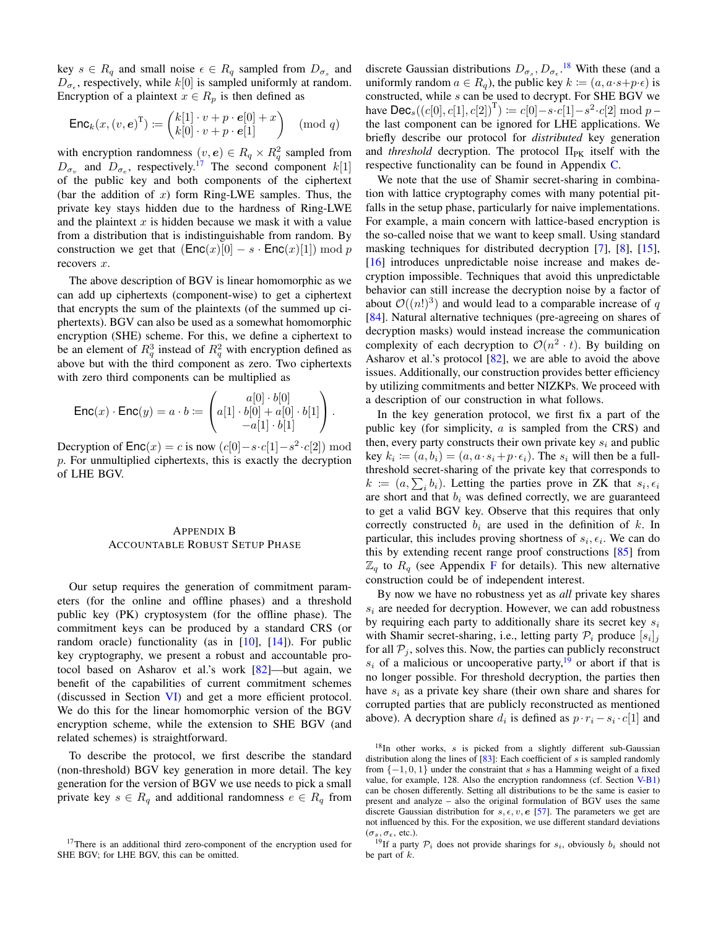key  $s \in R_q$  and small noise  $\epsilon \in R_q$  sampled from  $D_{\sigma_s}$  and  $D_{\sigma_{\epsilon}}$ , respectively, while  $k[0]$  is sampled uniformly at random. Encryption of a plaintext  $x \in R_p$  is then defined as

$$
\mathsf{Enc}_k(x, (v, e)^{\mathrm{T}}) \coloneqq \begin{pmatrix} k[1] \cdot v + p \cdot e[0] + x \\ k[0] \cdot v + p \cdot e[1] \end{pmatrix} \pmod{q}
$$

with encryption randomness  $(v, e) \in R_q \times R_q^2$  sampled from  $D_{\sigma_v}$  and  $D_{\sigma_e}$ , respectively.<sup>[17](#page-0-0)</sup> The second component  $k[1]$ of the public key and both components of the ciphertext (bar the addition of  $x$ ) form Ring-LWE samples. Thus, the private key stays hidden due to the hardness of Ring-LWE and the plaintext  $x$  is hidden because we mask it with a value from a distribution that is indistinguishable from random. By construction we get that  $(Enc(x)[0] - s \cdot Enc(x)[1]) \bmod p$ recovers x.

The above description of BGV is linear homomorphic as we can add up ciphertexts (component-wise) to get a ciphertext that encrypts the sum of the plaintexts (of the summed up ciphertexts). BGV can also be used as a somewhat homomorphic encryption (SHE) scheme. For this, we define a ciphertext to be an element of  $R_q^3$  instead of  $R_q^2$  with encryption defined as above but with the third component as zero. Two ciphertexts with zero third components can be multiplied as

$$
\mathsf{Enc}(x) \cdot \mathsf{Enc}(y) = a \cdot b \coloneqq \begin{pmatrix} a[0] \cdot b[0] \\ a[1] \cdot b[0] + a[0] \cdot b[1] \\ -a[1] \cdot b[1] \end{pmatrix}.
$$

Decryption of  $\mathsf{Enc}(x) = c$  is now  $(c[0] - s \cdot c[1] - s^2 \cdot c[2]) \mod$ p. For unmultiplied ciphertexts, this is exactly the decryption of LHE BGV.

# <span id="page-20-0"></span>APPENDIX B ACCOUNTABLE ROBUST SETUP PHASE

Our setup requires the generation of commitment parameters (for the online and offline phases) and a threshold public key (PK) cryptosystem (for the offline phase). The commitment keys can be produced by a standard CRS (or random oracle) functionality (as in [\[10\]](#page-17-19), [\[14\]](#page-17-18)). For public key cryptography, we present a robust and accountable protocol based on Asharov et al.'s work [\[82\]](#page-18-34)—but again, we benefit of the capabilities of current commitment schemes (discussed in Section [VI\)](#page-12-0) and get a more efficient protocol. We do this for the linear homomorphic version of the BGV encryption scheme, while the extension to SHE BGV (and related schemes) is straightforward.

To describe the protocol, we first describe the standard (non-threshold) BGV key generation in more detail. The key generation for the version of BGV we use needs to pick a small private key  $s \in R_q$  and additional randomness  $e \in R_q$  from

discrete Gaussian distributions  $D_{\sigma_s}, D_{\sigma_{\epsilon}}$ .<sup>[18](#page-0-0)</sup> With these (and a uniformly random  $a \in R_q$ ), the public key  $k := (a, a \cdot s + p \cdot \epsilon)$  is constructed, while s can be used to decrypt. For SHE BGV we have  $\textsf{Dec}_s((c[0], c[1], c[2])^T) \coloneqq c[0] - s \cdot c[1] - s^2 \cdot c[2] \bmod p$ the last component can be ignored for LHE applications. We briefly describe our protocol for *distributed* key generation and *threshold* decryption. The protocol Π<sub>PK</sub> itself with the respective functionality can be found in Appendix [C.](#page-21-0)

We note that the use of Shamir secret-sharing in combination with lattice cryptography comes with many potential pitfalls in the setup phase, particularly for naive implementations. For example, a main concern with lattice-based encryption is the so-called noise that we want to keep small. Using standard masking techniques for distributed decryption [\[7\]](#page-17-3), [\[8\]](#page-17-4), [\[15\]](#page-17-22), [\[16\]](#page-17-24) introduces unpredictable noise increase and makes decryption impossible. Techniques that avoid this unpredictable behavior can still increase the decryption noise by a factor of about  $\mathcal{O}((n!)^3)$  and would lead to a comparable increase of q [\[84\]](#page-18-35). Natural alternative techniques (pre-agreeing on shares of decryption masks) would instead increase the communication complexity of each decryption to  $\mathcal{O}(n^2 \cdot t)$ . By building on Asharov et al.'s protocol [\[82\]](#page-18-34), we are able to avoid the above issues. Additionally, our construction provides better efficiency by utilizing commitments and better NIZKPs. We proceed with a description of our construction in what follows.

In the key generation protocol, we first fix a part of the public key (for simplicity,  $a$  is sampled from the CRS) and then, every party constructs their own private key  $s_i$  and public key  $k_i \coloneqq (a, b_i) = (a, a \cdot s_i + p \cdot \epsilon_i)$ . The  $s_i$  will then be a fullthreshold secret-sharing of the private key that corresponds to  $k := (a, \sum_i b_i)$ . Letting the parties prove in ZK that  $s_i, \epsilon_i$ are short and that  $b_i$  was defined correctly, we are guaranteed to get a valid BGV key. Observe that this requires that only correctly constructed  $b_i$  are used in the definition of k. In particular, this includes proving shortness of  $s_i, \epsilon_i$ . We can do this by extending recent range proof constructions [\[85\]](#page-18-36) from  $\mathbb{Z}_q$  to  $R_q$  (see Appendix [F](#page-30-1) for details). This new alternative construction could be of independent interest.

By now we have no robustness yet as *all* private key shares  $s_i$  are needed for decryption. However, we can add robustness by requiring each party to additionally share its secret key  $s_i$ with Shamir secret-sharing, i.e., letting party  $P_i$  produce  $[s_i]_j$ for all  $P_i$ , solves this. Now, the parties can publicly reconstruct  $s_i$  of a malicious or uncooperative party, <sup>[19](#page-0-0)</sup> or abort if that is no longer possible. For threshold decryption, the parties then have  $s_i$  as a private key share (their own share and shares for corrupted parties that are publicly reconstructed as mentioned above). A decryption share  $d_i$  is defined as  $p \cdot r_i - s_i \cdot c[1]$  and

<sup>&</sup>lt;sup>17</sup>There is an additional third zero-component of the encryption used for SHE BGV; for LHE BGV, this can be omitted.

 $18$ In other works, s is picked from a slightly different sub-Gaussian distribution along the lines of  $[83]$ : Each coefficient of s is sampled randomly from  $\{-1, 0, 1\}$  under the constraint that s has a Hamming weight of a fixed value, for example, 128. Also the encryption randomness (cf. Section [V-B1\)](#page-11-1) can be chosen differently. Setting all distributions to be the same is easier to present and analyze – also the original formulation of BGV uses the same discrete Gaussian distribution for  $s, \epsilon, v, e$  [\[57\]](#page-18-15). The parameters we get are not influenced by this. For the exposition, we use different standard deviations  $(\sigma_s, \sigma_\epsilon,$  etc.).

<sup>&</sup>lt;sup>19</sup>If a party  $P_i$  does not provide sharings for  $s_i$ , obviously  $b_i$  should not be part of  $k$ .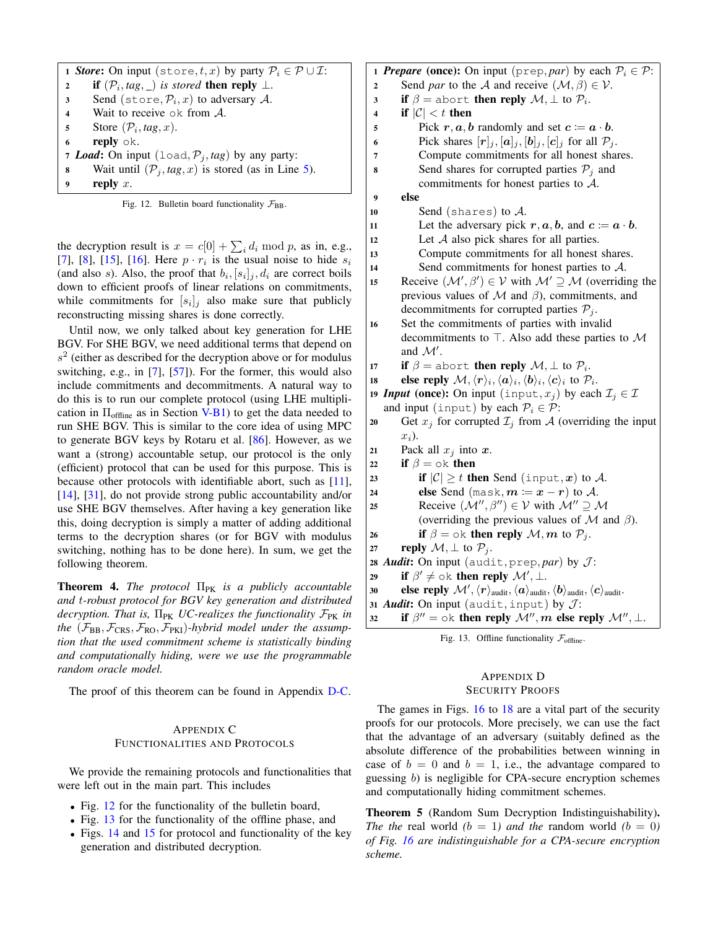<span id="page-21-4"></span>

|                | 1 <b>Store:</b> On input (store, t, x) by party $P_i \in \mathcal{P} \cup \mathcal{I}$ : |
|----------------|------------------------------------------------------------------------------------------|
| $\overline{2}$ | <b>if</b> $(\mathcal{P}_i, tag, \_)$ is stored <b>then reply</b> $\perp$ .               |
| 3              | Send (store, $P_i$ , x) to adversary A.                                                  |
| $\overline{4}$ | Wait to receive $\circ$ k from A.                                                        |
| 5              | Store $(\mathcal{P}_i, tag, x)$ .                                                        |
| 6              | reply $\circ$ k.                                                                         |
|                | 7 Load: On input (load, $P_i$ , tag) by any party:                                       |
| 8              | Wait until $(\mathcal{P}_j, tag, x)$ is stored (as in Line 5).                           |
| 9              | reply $x$ .                                                                              |

<span id="page-21-5"></span>Fig. 12. Bulletin board functionality  $\mathcal{F}_{BB}$ .

the decryption result is  $x = c[0] + \sum_i d_i \bmod p$ , as in, e.g., [\[7\]](#page-17-3), [\[8\]](#page-17-4), [\[15\]](#page-17-22), [\[16\]](#page-17-24). Here  $p \cdot r_i$  is the usual noise to hide  $s_i$ (and also s). Also, the proof that  $b_i$ ,  $[s_i]_j$ ,  $d_i$  are correct boils down to efficient proofs of linear relations on commitments, while commitments for  $[s_i]_j$  also make sure that publicly reconstructing missing shares is done correctly.

Until now, we only talked about key generation for LHE BGV. For SHE BGV, we need additional terms that depend on  $s<sup>2</sup>$  (either as described for the decryption above or for modulus switching, e.g., in [\[7\]](#page-17-3), [\[57\]](#page-18-15)). For the former, this would also include commitments and decommitments. A natural way to do this is to run our complete protocol (using LHE multiplication in  $\Pi_{\text{offline}}$  as in Section [V-B1\)](#page-11-1) to get the data needed to run SHE BGV. This is similar to the core idea of using MPC to generate BGV keys by Rotaru et al. [\[86\]](#page-19-3). However, as we want a (strong) accountable setup, our protocol is the only (efficient) protocol that can be used for this purpose. This is because other protocols with identifiable abort, such as [\[11\]](#page-17-17), [\[14\]](#page-17-18), [\[31\]](#page-18-0), do not provide strong public accountability and/or use SHE BGV themselves. After having a key generation like this, doing decryption is simply a matter of adding additional terms to the decryption shares (or for BGV with modulus switching, nothing has to be done here). In sum, we get the following theorem.

<span id="page-21-2"></span>**Theorem 4.** *The protocol* Π<sub>PK</sub> *is a publicly accountable and* t*-robust protocol for BGV key generation and distributed*  $decription. That is,  $\Pi_{PK}$  *UC-realizes the functionality*  $\mathcal{F}_{PK}$  *in*$ the  $(\mathcal{F}_{BB}, \mathcal{F}_{CRS}, \mathcal{F}_{RO}, \mathcal{F}_{PKI})$ -hybrid model under the assump*tion that the used commitment scheme is statistically binding and computationally hiding, were we use the programmable random oracle model.*

The proof of this theorem can be found in Appendix [D-C.](#page-27-0)

# <span id="page-21-0"></span>APPENDIX C FUNCTIONALITIES AND PROTOCOLS

We provide the remaining protocols and functionalities that were left out in the main part. This includes

- Fig. [12](#page-21-5) for the functionality of the bulletin board,
- Fig. [13](#page-21-3) for the functionality of the offline phase, and
- Figs. [14](#page-22-0) and [15](#page-23-1) for protocol and functionality of the key generation and distributed decryption.

1 **Prepare** (once): On input ( $prep, par$ ) by each  $P_i \in P$ : 2 Send *par* to the A and receive  $(M, \beta) \in V$ . **3** if  $\beta$  = abort then reply  $\mathcal{M}, \perp$  to  $\mathcal{P}_i$ . 4 if  $|\mathcal{C}| < t$  then 5 Pick  $r, a, b$  randomly and set  $c = a \cdot b$ . 6 Pick shares  $[r]_j$ ,  $[a]_j$ ,  $[b]_j$ ,  $[c]_j$  for all  $\mathcal{P}_j$ . 7 Compute commitments for all honest shares. 8 Send shares for corrupted parties  $P_i$  and commitments for honest parties to A. 9 else 10 Send (shares) to  $A$ . 11 Let the adversary pick  $r, a, b$ , and  $c = a \cdot b$ . 12 Let  $A$  also pick shares for all parties. 13 Compute commitments for all honest shares. 14 Send commitments for honest parties to A. 15 Receive  $(\mathcal{M}', \beta') \in \mathcal{V}$  with  $\mathcal{M}' \supseteq \mathcal{M}$  (overriding the previous values of  $\mathcal M$  and  $\beta$ ), commitments, and decommitments for corrupted parties  $P_i$ . <sup>16</sup> Set the commitments of parties with invalid decommitments to  $\top$ . Also add these parties to M and  $\mathcal{M}'$ . 17 if  $\beta =$  abort then reply  $\mathcal{M}, \perp$  to  $\mathcal{P}_i$ . 18 else reply  $\mathcal{M}, \langle r \rangle_i, \langle a \rangle_i, \langle b \rangle_i, \langle c \rangle_i$  to  $\mathcal{P}_i$ . 19 *Input* (once): On input (input,  $x_j$ ) by each  $\mathcal{I}_i \in \mathcal{I}$ and input (input) by each  $P_i \in \mathcal{P}$ : 20 Get  $x_j$  for corrupted  $\mathcal{I}_j$  from A (overriding the input  $x_i$ ). 21 Pack all  $x_i$  into  $x$ . 22 if  $\beta = \infty$  then 23 if  $|\mathcal{C}| \geq t$  then Send (input, x) to A. 24 else Send (mask,  $m := x - r$ ) to A. 25 Receive  $(\mathcal{M}'', \beta'') \in \mathcal{V}$  with  $\mathcal{M}'' \supseteq \mathcal{M}$ (overriding the previous values of  $\mathcal M$  and  $\beta$ ). 26 if  $\beta = \infty$  then reply  $\mathcal{M}, m$  to  $\mathcal{P}_i$ . 27 reply  $\mathcal{M}, \perp$  to  $\mathcal{P}_j$ . 28 *Audit*: On input (audit, prep, par) by  $J$ : 29 if  $\beta' \neq \infty$ k then reply  $\mathcal{M}', \perp$ . 30 else reply  $\mathcal{M}',\langle r\rangle_{\text{audit}},\langle a\rangle_{\text{audit}},\langle b\rangle_{\text{audit}},\langle c\rangle_{\text{audit}}.$ 31 *Audit*: On input (audit, input) by  $J$ : 32 if  $\beta'' = \infty$  then reply  $\mathcal{M}''$ , m else reply  $\mathcal{M}''$ ,  $\bot$ .

<span id="page-21-3"></span>Fig. 13. Offline functionality  $\mathcal{F}_{\text{offline}}$ .

# <span id="page-21-1"></span>APPENDIX D SECURITY PROOFS

The games in Figs. [16](#page-24-0) to [18](#page-24-1) are a vital part of the security proofs for our protocols. More precisely, we can use the fact that the advantage of an adversary (suitably defined as the absolute difference of the probabilities between winning in case of  $b = 0$  and  $b = 1$ , i.e., the advantage compared to guessing b) is negligible for CPA-secure encryption schemes and computationally hiding commitment schemes.

<span id="page-21-7"></span><span id="page-21-6"></span>Theorem 5 (Random Sum Decryption Indistinguishability). *The the* real world  $(b = 1)$  *and the* random world  $(b = 0)$ *of Fig. [16](#page-24-0) are indistinguishable for a CPA-secure encryption scheme.*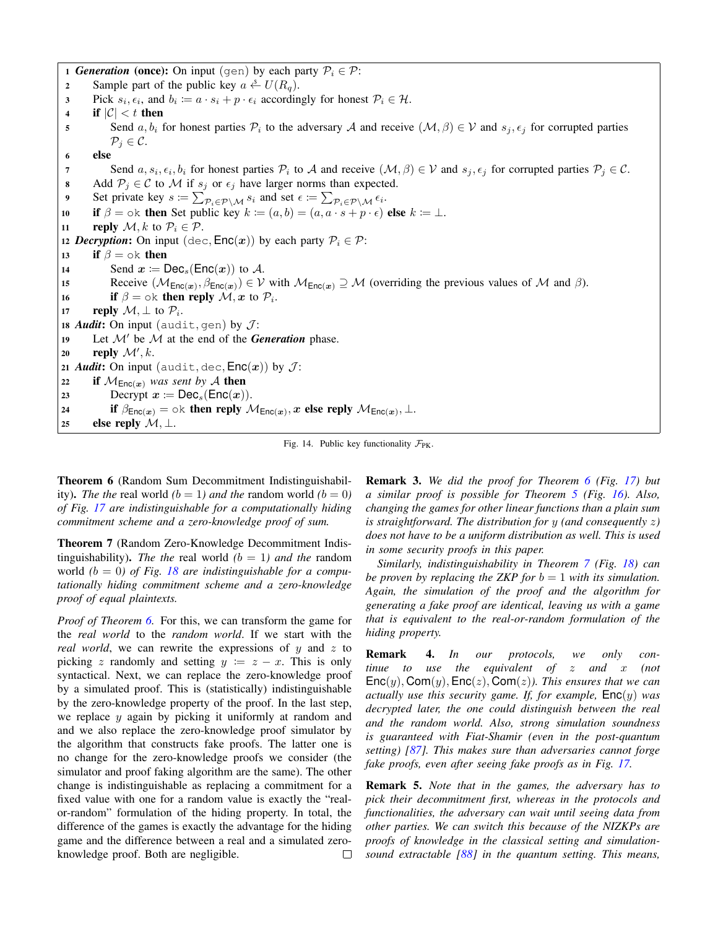1 *Generation* (once): On input (gen) by each party  $P_i \in \mathcal{P}$ :

- 2 Sample part of the public key  $a \stackrel{s}{\leftarrow} U(R_q)$ .
- 3 Pick  $s_i, \epsilon_i$ , and  $b_i \coloneqq a \cdot s_i + p \cdot \epsilon_i$  accordingly for honest  $\mathcal{P}_i \in \mathcal{H}$ .
- 4 if  $|\mathcal{C}| < t$  then
- 5 Send  $a, b_i$  for honest parties  $\mathcal{P}_i$  to the adversary A and receive  $(\mathcal{M}, \beta) \in \mathcal{V}$  and  $s_j, \epsilon_j$  for corrupted parties  $\mathcal{P}_j \in \mathcal{C}.$
- 6 else
- 57 Send  $a, s_i, \epsilon_i, b_i$  for honest parties  $P_i$  to A and receive  $(\mathcal{M}, \beta) \in \mathcal{V}$  and  $s_j, \epsilon_j$  for corrupted parties  $P_j \in \mathcal{C}$ .
- 8 Add  $P_j \in \mathcal{C}$  to M if  $s_j$  or  $\epsilon_j$  have larger norms than expected.
- 9 Set private key  $s := \sum_{\mathcal{P}_i \in \mathcal{P} \setminus \mathcal{M}} s_i$  and set  $\epsilon := \sum_{\mathcal{P}_i \in \mathcal{P} \setminus \mathcal{M}} \epsilon_i$ .
- 10 if  $\beta = \infty$  then Set public key  $k \coloneqq (a, b) = (a, a \cdot s + p \cdot \epsilon)$  else  $k \coloneqq \bot$ .
- 11 reply  $\mathcal{M}, k$  to  $\mathcal{P}_i \in \mathcal{P}$ .

12 *Decryption*: On input (dec,  $Enc(x)$ ) by each party  $P_i \in \mathcal{P}$ :

13 if  $\beta = \infty$  then

```
14 Send x := \text{Dec}_s(\text{Enc}(x)) to A.
```
- 15 Receive  $(M_{Enc(x)}, \beta_{Enc(x)}) \in V$  with  $M_{Enc(x)} \supseteq M$  (overriding the previous values of M and  $\beta$ ).
- 16 if  $\beta = \circ \text{k}$  then reply  $\mathcal{M}, x$  to  $\mathcal{P}_i$ .

17 reply  $\mathcal{M}, \perp$  to  $\mathcal{P}_i$ .

- 18 *Audit*: On input (audit, gen) by  $J$ :
- 19 Let  $\mathcal{M}'$  be  $\mathcal M$  at the end of the *Generation* phase.
- 20 reply  $\mathcal{M}', k$ .
- 21 *Audit*: On input (audit, dec,  $Enc(x)$ ) by  $J$ :
- 22 if  $M_{Enc(x)}$  *was sent by* A then
- 23 Decrypt  $x := \text{Dec}_s(\text{Enc}(x)).$
- 24 if  $\beta_{\mathsf{Enc}(x)} = \circ \Bbbk$  then reply  $\mathcal{M}_{\mathsf{Enc}(x)}, x$  else reply  $\mathcal{M}_{\mathsf{Enc}(x)}, \bot$ .
- 25 else reply  $\mathcal{M}, \perp$ .

<span id="page-22-0"></span>Fig. 14. Public key functionality  $\mathcal{F}_{PK}$ .

Theorem 6 (Random Sum Decommitment Indistinguishability). *The the* real world  $(b = 1)$  *and the* random world  $(b = 0)$ *of Fig. [17](#page-24-2) are indistinguishable for a computationally hiding commitment scheme and a zero-knowledge proof of sum.*

<span id="page-22-1"></span>Theorem 7 (Random Zero-Knowledge Decommitment Indistinguishability). *The the* real world  $(b = 1)$  *and the* random world *(*b = 0*) of Fig. [18](#page-24-1) are indistinguishable for a computationally hiding commitment scheme and a zero-knowledge proof of equal plaintexts.*

*Proof of Theorem [6.](#page-21-6)* For this, we can transform the game for the *real world* to the *random world*. If we start with the *real world*, we can rewrite the expressions of  $y$  and  $z$  to picking z randomly and setting  $y := z - x$ . This is only syntactical. Next, we can replace the zero-knowledge proof by a simulated proof. This is (statistically) indistinguishable by the zero-knowledge property of the proof. In the last step, we replace  $y$  again by picking it uniformly at random and and we also replace the zero-knowledge proof simulator by the algorithm that constructs fake proofs. The latter one is no change for the zero-knowledge proofs we consider (the simulator and proof faking algorithm are the same). The other change is indistinguishable as replacing a commitment for a fixed value with one for a random value is exactly the "realor-random" formulation of the hiding property. In total, the difference of the games is exactly the advantage for the hiding game and the difference between a real and a simulated zeroknowledge proof. Both are negligible.  $\Box$  Remark 3. *We did the proof for Theorem [6](#page-21-6) (Fig. [17\)](#page-24-2) but a similar proof is possible for Theorem [5](#page-21-7) (Fig. [16\)](#page-24-0). Also, changing the games for other linear functions than a plain sum is straightforward. The distribution for* y *(and consequently* z*) does not have to be a uniform distribution as well. This is used in some security proofs in this paper.*

*Similarly, indistinguishability in Theorem [7](#page-22-1) (Fig. [18\)](#page-24-1) can be proven by replacing the ZKP for*  $b = 1$  *with its simulation. Again, the simulation of the proof and the algorithm for generating a fake proof are identical, leaving us with a game that is equivalent to the real-or-random formulation of the hiding property.*

<span id="page-22-2"></span>Remark 4. *In our protocols, we only continue to use the equivalent of* z *and* x *(not* Enc(y), Com(y), Enc(z), Com(z)*). This ensures that we can actually use this security game. If, for example,* Enc(y) *was decrypted later, the one could distinguish between the real and the random world. Also, strong simulation soundness is guaranteed with Fiat-Shamir (even in the post-quantum setting) [\[87\]](#page-19-4). This makes sure than adversaries cannot forge fake proofs, even after seeing fake proofs as in Fig. [17.](#page-24-2)*

Remark 5. *Note that in the games, the adversary has to pick their decommitment first, whereas in the protocols and functionalities, the adversary can wait until seeing data from other parties. We can switch this because of the NIZKPs are proofs of knowledge in the classical setting and simulationsound extractable [\[88\]](#page-19-5) in the quantum setting. This means,*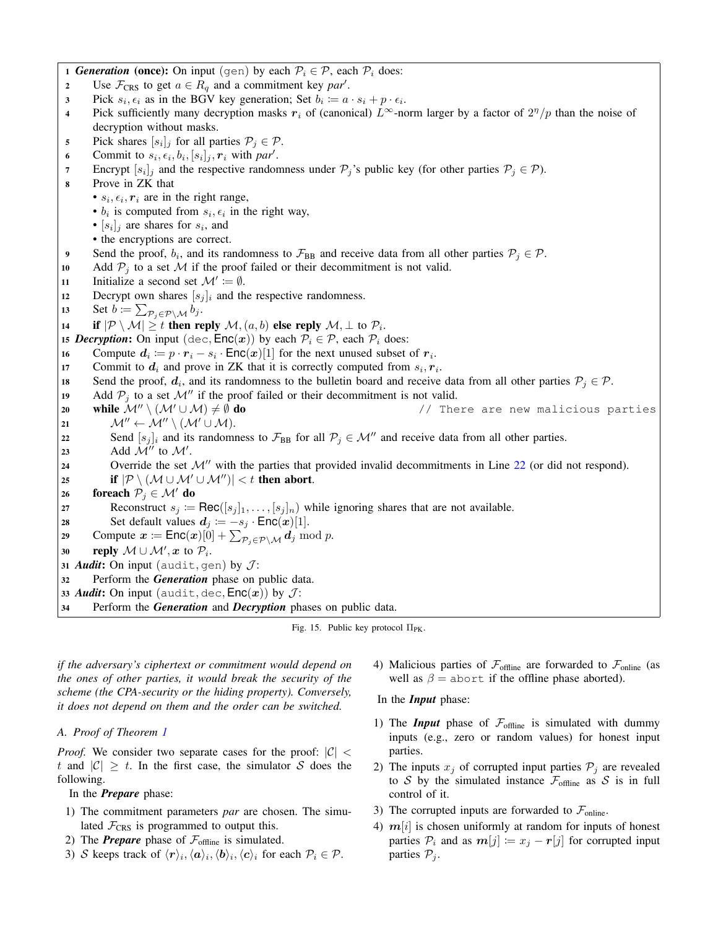1 *Generation* (once): On input (gen) by each  $P_i \in \mathcal{P}$ , each  $P_i$  does: 2 Use  $\mathcal{F}_{CRS}$  to get  $a \in R_q$  and a commitment key *par'*. 3 Pick  $s_i, \epsilon_i$  as in the BGV key generation; Set  $b_i := a \cdot s_i + p \cdot \epsilon_i$ . 4 Pick sufficiently many decryption masks  $r_i$  of (canonical)  $L^\infty$ -norm larger by a factor of  $2^n/p$  than the noise of decryption without masks. 5 Pick shares  $[s_i]_j$  for all parties  $\mathcal{P}_j \in \mathcal{P}$ . 6 Commit to  $s_i$ ,  $\epsilon_i$ ,  $b_i$ ,  $[s_i]_j$ ,  $r_i$  with par<sup>t</sup>. Finally 7 Encrypt  $[s_i]_j$  and the respective randomness under  $\mathcal{P}_j$ 's public key (for other parties  $\mathcal{P}_j \in \mathcal{P}$ ). 8 Prove in ZK that •  $s_i, \epsilon_i, r_i$  are in the right range, •  $b_i$  is computed from  $s_i, \epsilon_i$  in the right way, •  $[s_i]_j$  are shares for  $s_i$ , and • the encryptions are correct. 9 Send the proof,  $b_i$ , and its randomness to  $\mathcal{F}_{BB}$  and receive data from all other parties  $\mathcal{P}_j \in \mathcal{P}$ . 10 Add  $P_i$  to a set M if the proof failed or their decommitment is not valid. 11 Initialize a second set  $\mathcal{M}' \coloneqq \emptyset$ . 12 Decrypt own shares  $[s_j]_i$  and the respective randomness. 13 Set  $b \coloneqq \sum_{\mathcal{P}_j \in \mathcal{P} \setminus \mathcal{M}} b_j$ . 14 if  $|\mathcal{P} \setminus \mathcal{M}| \geq t$  then reply  $\mathcal{M}, (a, b)$  else reply  $\mathcal{M}, \perp$  to  $\mathcal{P}_i$ . 15 *Decryption*: On input (dec,  $Enc(x)$ ) by each  $P_i \in P$ , each  $P_i$  does: 16 Compute  $d_i := p \cdot r_i - s_i \cdot \text{Enc}(x)[1]$  for the next unused subset of  $r_i$ . 17 Commit to  $d_i$  and prove in ZK that it is correctly computed from  $s_i, r_i$ . 18 Send the proof,  $d_i$ , and its randomness to the bulletin board and receive data from all other parties  $P_j \in \mathcal{P}$ . 19 Add  $P_j$  to a set  $\mathcal{M}''$  if the proof failed or their decommitment is not valid. 20 while  $\mathcal{M}''\setminus (\mathcal{M}'\cup \mathcal{M})\neq \emptyset$  do  $\qquad$  // There are new malicious parties 21  $\mathcal{M}'' \leftarrow \mathcal{M}'' \setminus (\mathcal{M}' \cup \mathcal{M}).$ 22 Send  $[s_i]_i$  and its randomness to  $\mathcal{F}_{BB}$  for all  $\mathcal{P}_j \in \mathcal{M}''$  and receive data from all other parties. 23 Add  $\mathcal{M}''$  to  $\mathcal{M}'$ . 24 Override the set  $\mathcal{M}''$  with the parties that provided invalid decommitments in Line [22](#page-23-2) (or did not respond). 25 if  $|\mathcal{P} \setminus (\mathcal{M} \cup \mathcal{M}' \cup \mathcal{M}'')| < t$  then abort. 26 foreach  $P_j \in \mathcal{M}'$  do 27 Reconstruct  $s_j \coloneqq \text{Rec}([s_j]_1, \ldots, [s_j]_n)$  while ignoring shares that are not available. 28 Set default values  $d_j := -s_j \cdot \textsf{Enc}(x)[1].$ 29 Compute  $x \coloneqq \textsf{Enc}(x)[0] + \sum_{\mathcal{P}_j \in \mathcal{P} \setminus \mathcal{M}} d_j \bmod p$ . 30 reply  $\mathcal{M} \cup \mathcal{M}'$ , x to  $\mathcal{P}_i$ . 31 *Audit*: On input (audit, gen) by  $J$ : <sup>32</sup> Perform the *Generation* phase on public data. 33 *Audit*: On input (audit, dec,  $\mathsf{Enc}(x)$ ) by  $\mathcal{J}$ : <sup>34</sup> Perform the *Generation* and *Decryption* phases on public data.

<span id="page-23-1"></span>Fig. 15. Public key protocol  $\Pi_{\text{PK}}$ .

<span id="page-23-2"></span>*if the adversary's ciphertext or commitment would depend on the ones of other parties, it would break the security of the scheme (the CPA-security or the hiding property). Conversely, it does not depend on them and the order can be switched.*

<span id="page-23-0"></span>*A. Proof of Theorem [1](#page-8-0)*

*Proof.* We consider two separate cases for the proof:  $|C|$  < t and  $|\mathcal{C}| \geq t$ . In the first case, the simulator S does the following.

In the *Prepare* phase:

- 1) The commitment parameters *par* are chosen. The simulated  $\mathcal{F}_{CRS}$  is programmed to output this.
- 2) The **Prepare** phase of  $\mathcal{F}_{\text{offline}}$  is simulated.
- 3) S keeps track of  $\langle r \rangle_i, \langle a \rangle_i, \langle b \rangle_i, \langle c \rangle_i$  for each  $\mathcal{P}_i \in \mathcal{P}$ .

4) Malicious parties of  $\mathcal{F}_{\text{offline}}$  are forwarded to  $\mathcal{F}_{\text{online}}$  (as well as  $\beta$  = abort if the offline phase aborted).

In the *Input* phase:

- 1) The *Input* phase of  $\mathcal{F}_{\text{offline}}$  is simulated with dummy inputs (e.g., zero or random values) for honest input parties.
- 2) The inputs  $x_j$  of corrupted input parties  $\mathcal{P}_j$  are revealed to S by the simulated instance  $\mathcal{F}_{\text{offline}}$  as S is in full control of it.
- 3) The corrupted inputs are forwarded to  $\mathcal{F}_{\text{online}}$ .
- 4)  $m[i]$  is chosen uniformly at random for inputs of honest parties  $P_i$  and as  $m[j] \coloneqq x_j - r[j]$  for corrupted input parties  $P_i$ .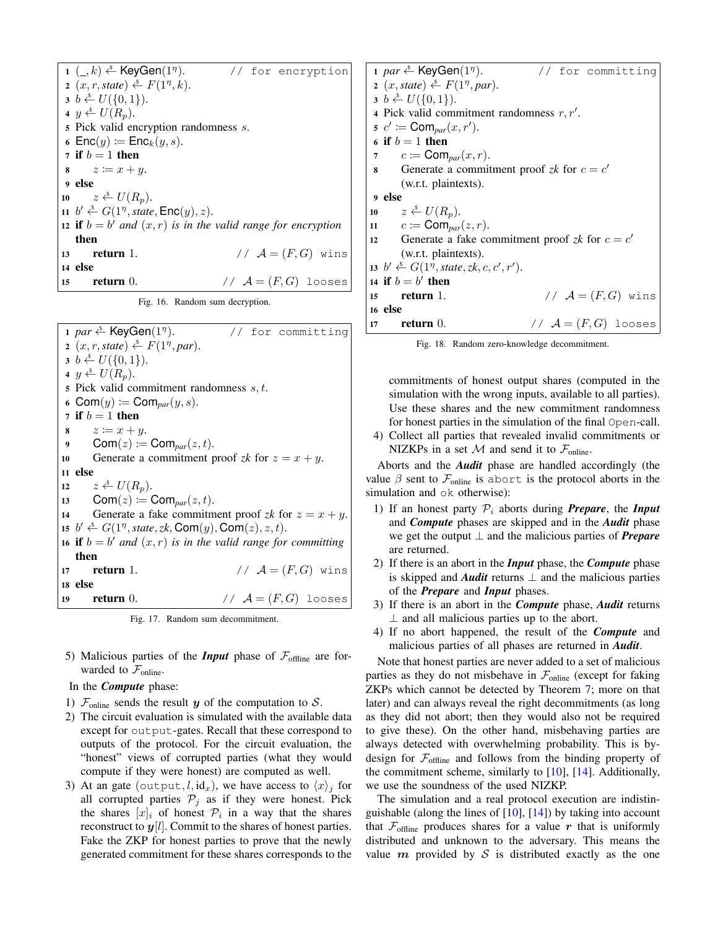$1 \, (-k) \stackrel{\mathsf{s}}{\leftarrow}$  KeyGen $(1^n)$ . for encryption  $2(x, r, state) \stackrel{s}{\leftarrow} F(1^n, k).$  $3 b \leftarrow U({0, 1}).$ 4  $y \leftarrow U(R_p)$ . <sup>5</sup> Pick valid encryption randomness s. 6 Enc $(y) \coloneqq \mathsf{Enc}_k(y, s)$ . 7 if  $b = 1$  then 8  $z \coloneqq x + y$ . 9 else 10  $z \leftarrow U(R_p)$ . 11  $b' \leftarrow G(1^n, state, \text{Enc}(y), z)$ . 12 if  $b = b'$  *and*  $(x, r)$  *is in the valid range for encryption* then 13 return 1.  $\angle/\angle A = (F, G)$  wins 14 else 15 return 0.  $\angle A = (F, G)$  looses

<span id="page-24-0"></span>Fig. 16. Random sum decryption.

1 *par*  $\overset{\circ}{\leftarrow}$  KeyGen(1<sup>*n*</sup>). for committing  $2(x, r, state) \overset{\simeq}{\leftarrow} F(1^n, par).$  $3 \; b \stackrel{\$}{\leftarrow} U(\{0,1\}).$ 4  $y \leftarrow U(R_p)$ . 5 Pick valid commitment randomness  $s, t$ . 6 Com $(y) \coloneqq \text{Com}_{par}(y, s)$ . 7 if  $b = 1$  then 8  $z \coloneqq x + y$ . 9 Com $(z) \coloneqq \text{Com}_{par}(z, t)$ . 10 Generate a commitment proof *zk* for  $z = x + y$ . 11 else 12  $z \leftarrow U(R_p)$ . 13 Com(*z*) := Com<sub>par</sub>(*z*, *t*). 14 Generate a fake commitment proof  $zk$  for  $z = x + y$ . 15  $b' \stackrel{s}{\leftarrow} G(1^n, state, zk, \text{Com}(y), \text{Com}(z), z, t).$ 16 if  $b = b'$  *and*  $(x, r)$  *is in the valid range for committing* then 17 **return** 1.  $\angle$  //  $\mathcal{A} = (F, G)$  wins 18 else 19 return 0.  $\angle$  //  $\mathcal{A} = (F, G)$  looses

<span id="page-24-2"></span>Fig. 17. Random sum decommitment.

5) Malicious parties of the *Input* phase of  $\mathcal{F}_{\text{offline}}$  are forwarded to  $\mathcal{F}_{\text{online}}$ .

# In the *Compute* phase:

- 1)  $\mathcal{F}_{\text{online}}$  sends the result y of the computation to S.
- 2) The circuit evaluation is simulated with the available data except for output-gates. Recall that these correspond to outputs of the protocol. For the circuit evaluation, the "honest" views of corrupted parties (what they would compute if they were honest) are computed as well.
- 3) At an gate (output,  $l$ , id<sub>x</sub>), we have access to  $\langle x \rangle_i$  for all corrupted parties  $P_j$  as if they were honest. Pick the shares  $[x]_i$  of honest  $\mathcal{P}_i$  in a way that the shares reconstruct to  $y[l]$ . Commit to the shares of honest parties. Fake the ZKP for honest parties to prove that the newly generated commitment for these shares corresponds to the

1 *par*  $\overset{\circ}{\leftarrow}$  KeyGen(1<sup>*n*</sup>). for committing  $2(x, state) \stackrel{\$}{\leftarrow} F(1^n, par).$  $3 b \leftarrow U({0, 1}).$ 4 Pick valid commitment randomness  $r, r'$ .  $s \ c' \coloneqq \mathsf{Com}_{par}(x,r').$ 6 if  $b = 1$  then 7  $c := \text{Com}_{par}(x, r)$ . 8 Generate a commitment proof  $zk$  for  $c = c'$ (w.r.t. plaintexts). 9 else 10  $z \stackrel{\hspace{0.1em}\mathsf{\scriptscriptstyle\$}}{=} U(R_p).$ 11  $c \coloneqq \text{Com}_{par}(z, r)$ . 12 Generate a fake commitment proof  $zk$  for  $c = c'$ (w.r.t. plaintexts). 13  $b' \leftarrow G(1^n, state, zk, c, c', r').$ 14 if  $b = b'$  then 15 return 1.  $\angle$  /  $\mathcal{A} = (F, G)$  wins 16 else 17 return 0.  $\angle$  //  $\mathcal{A} = (F, G)$  looses

<span id="page-24-1"></span>Fig. 18. Random zero-knowledge decommitment.

commitments of honest output shares (computed in the simulation with the wrong inputs, available to all parties). Use these shares and the new commitment randomness for honest parties in the simulation of the final Open-call.

4) Collect all parties that revealed invalid commitments or NIZKPs in a set  $M$  and send it to  $\mathcal{F}_{\text{online}}$ .

Aborts and the *Audit* phase are handled accordingly (the value  $\beta$  sent to  $\mathcal{F}_{\text{online}}$  is abort is the protocol aborts in the simulation and ok otherwise):

- 1) If an honest party  $P_i$  aborts during **Prepare**, the **Input** and *Compute* phases are skipped and in the *Audit* phase we get the output ⊥ and the malicious parties of *Prepare* are returned.
- 2) If there is an abort in the *Input* phase, the *Compute* phase is skipped and *Audit* returns ⊥ and the malicious parties of the *Prepare* and *Input* phases.
- 3) If there is an abort in the *Compute* phase, *Audit* returns  $\perp$  and all malicious parties up to the abort.
- 4) If no abort happened, the result of the *Compute* and malicious parties of all phases are returned in *Audit*.

Note that honest parties are never added to a set of malicious parties as they do not misbehave in  $\mathcal{F}_{\text{online}}$  (except for faking ZKPs which cannot be detected by Theorem [7;](#page-22-1) more on that later) and can always reveal the right decommitments (as long as they did not abort; then they would also not be required to give these). On the other hand, misbehaving parties are always detected with overwhelming probability. This is bydesign for  $\mathcal{F}_{\text{offline}}$  and follows from the binding property of the commitment scheme, similarly to [\[10\]](#page-17-19), [\[14\]](#page-17-18). Additionally, we use the soundness of the used NIZKP.

The simulation and a real protocol execution are indistinguishable (along the lines of  $[10]$ ,  $[14]$ ) by taking into account that  $\mathcal{F}_{\text{offline}}$  produces shares for a value r that is uniformly distributed and unknown to the adversary. This means the value  $m$  provided by  $S$  is distributed exactly as the one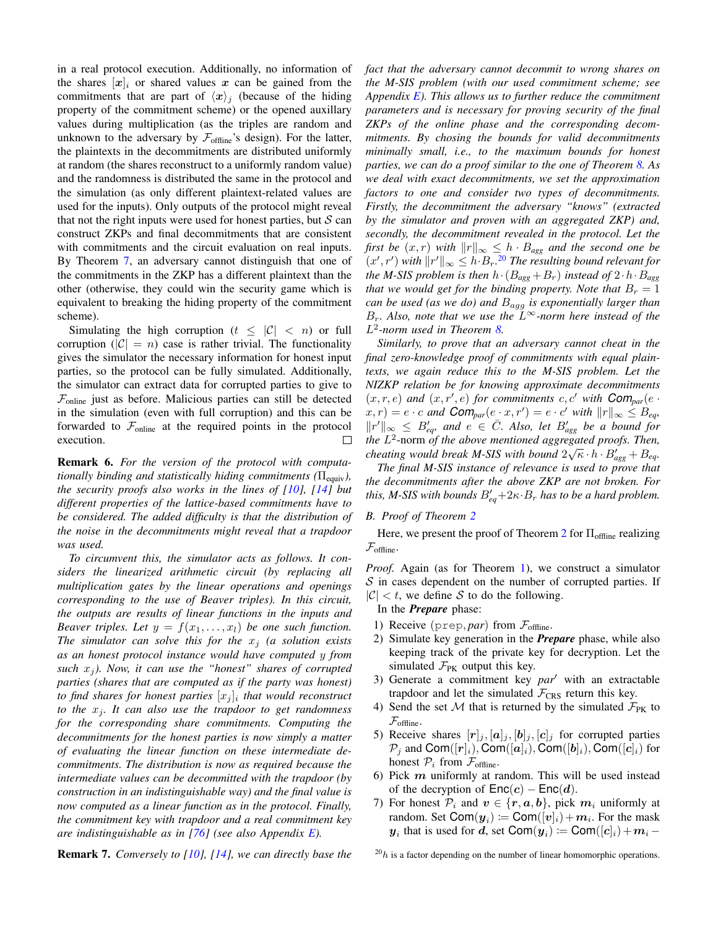in a real protocol execution. Additionally, no information of the shares  $[x]_i$  or shared values x can be gained from the commitments that are part of  $\langle x \rangle_i$  (because of the hiding property of the commitment scheme) or the opened auxillary values during multiplication (as the triples are random and unknown to the adversary by  $\mathcal{F}_{\text{offline}}$ 's design). For the latter, the plaintexts in the decommitments are distributed uniformly at random (the shares reconstruct to a uniformly random value) and the randomness is distributed the same in the protocol and the simulation (as only different plaintext-related values are used for the inputs). Only outputs of the protocol might reveal that not the right inputs were used for honest parties, but  $S$  can construct ZKPs and final decommitments that are consistent with commitments and the circuit evaluation on real inputs. By Theorem [7,](#page-22-1) an adversary cannot distinguish that one of the commitments in the ZKP has a different plaintext than the other (otherwise, they could win the security game which is equivalent to breaking the hiding property of the commitment scheme).

Simulating the high corruption  $(t \leq |\mathcal{C}| < n)$  or full corruption  $(|C| = n)$  case is rather trivial. The functionality gives the simulator the necessary information for honest input parties, so the protocol can be fully simulated. Additionally, the simulator can extract data for corrupted parties to give to  $\mathcal{F}_{\text{online}}$  just as before. Malicious parties can still be detected in the simulation (even with full corruption) and this can be forwarded to  $\mathcal{F}_{\text{online}}$  at the required points in the protocol execution. П

Remark 6. *For the version of the protocol with computationally binding and statistically hiding commitments* (Π<sub>equiv</sub>), *the security proofs also works in the lines of [\[10\]](#page-17-19), [\[14\]](#page-17-18) but different properties of the lattice-based commitments have to be considered. The added difficulty is that the distribution of the noise in the decommitments might reveal that a trapdoor was used.*

*To circumvent this, the simulator acts as follows. It considers the linearized arithmetic circuit (by replacing all multiplication gates by the linear operations and openings corresponding to the use of Beaver triples). In this circuit, the outputs are results of linear functions in the inputs and Beaver triples. Let*  $y = f(x_1, \ldots, x_l)$  *be one such function. The simulator can solve this for the*  $x_i$  *(a solution exists as an honest protocol instance would have computed* y *from such*  $x_j$ *). Now, it can use the "honest" shares of corrupted parties (shares that are computed as if the party was honest) to find shares for honest parties* [x<sup>j</sup> ]<sup>i</sup> *that would reconstruct to the*  $x_j$ *. It can also use the trapdoor to get randomness for the corresponding share commitments. Computing the decommitments for the honest parties is now simply a matter of evaluating the linear function on these intermediate decommitments. The distribution is now as required because the intermediate values can be decommitted with the trapdoor (by construction in an indistinguishable way) and the final value is now computed as a linear function as in the protocol. Finally, the commitment key with trapdoor and a real commitment key are indistinguishable as in [\[76\]](#page-18-28) (see also Appendix [E\)](#page-28-0).*

*fact that the adversary cannot decommit to wrong shares on the M-SIS problem (with our used commitment scheme; see Appendix [E\)](#page-28-0). This allows us to further reduce the commitment parameters and is necessary for proving security of the final ZKPs of the online phase and the corresponding decommitments. By chosing the bounds for valid decommitments minimally small, i.e., to the maximum bounds for honest parties, we can do a proof similar to the one of Theorem [8.](#page-29-0) As we deal with exact decommitments, we set the approximation factors to one and consider two types of decommitments. Firstly, the decommitment the adversary "knows" (extracted by the simulator and proven with an aggregated ZKP) and, secondly, the decommitment revealed in the protocol. Let the first be*  $(x, r)$  *with*  $||r||_{\infty} \leq h \cdot B_{agg}$  *and the second one be*  $(x', r')$  with  $||r'||_{\infty} \leq h \cdot B_r$ .<sup>[20](#page-0-0)</sup> *The resulting bound relevant for the M-SIS problem is then*  $h \cdot (B_{agg} + B_r)$  *instead of*  $2 \cdot h \cdot B_{agg}$ *that we would get for the binding property. Note that*  $B_r = 1$ *can be used (as we do) and* Bagg *is exponentially larger than*  $B_r$ . Also, note that we use the  $L^{\infty}$ -norm here instead of the L 2 *-norm used in Theorem [8.](#page-29-0)*

*Similarly, to prove that an adversary cannot cheat in the final zero-knowledge proof of commitments with equal plaintexts, we again reduce this to the M-SIS problem. Let the NIZKP relation be for knowing approximate decommitments*  $(x, r, e)$  and  $(x, r', e)$  for commitments c, c' with  $\text{Com}_{\text{par}}(e \cdot$  $(x, r) = e \cdot c$  and  $\text{Com}_{par}(e \cdot x, r') = e \cdot c'$  with  $||r||_{\infty} \leq B_{eq}$ ,  $||r'||_{\infty} \leq B'_{eq}$ , and  $e \in \overline{C}$ . Also, let  $B'_{agg}$  be a bound for *the* L<sup>2</sup>-norm *of the above mentioned aggregated proofs. Then, cheating would break M-SIS with bound*  $2\sqrt{\kappa} \cdot h \cdot B'_{agg} + B_{eq}$ .

*The final M-SIS instance of relevance is used to prove that the decommitments after the above ZKP are not broken. For this, M-SIS with bounds*  $B'_{eq} + 2\kappa \cdot B_r$  *has to be a hard problem.* 

# <span id="page-25-0"></span>*B. Proof of Theorem [2](#page-11-0)*

Here, we present the proof of Theorem [2](#page-11-0) for  $\Pi_{\text{offline}}$  realizing  $\mathcal{F}_{\text{offline}}$ .

*Proof.* Again (as for Theorem [1\)](#page-8-0), we construct a simulator  $S$  in cases dependent on the number of corrupted parties. If  $|\mathcal{C}| < t$ , we define S to do the following.

In the *Prepare* phase:

- 1) Receive ( $prep, par$ ) from  $\mathcal{F}_{\text{offline}}$ .
- 2) Simulate key generation in the *Prepare* phase, while also keeping track of the private key for decryption. Let the simulated  $\mathcal{F}_{PK}$  output this key.
- 3) Generate a commitment key *par*<sup>1</sup> with an extractable trapdoor and let the simulated  $\mathcal{F}_{CRS}$  return this key.
- 4) Send the set M that is returned by the simulated  $\mathcal{F}_{PK}$  to  $\mathcal{F}_{\textrm{offline}}.$
- 5) Receive shares  $[r]_j, [\boldsymbol{a}]_j, [\boldsymbol{b}]_j, [\boldsymbol{c}]_j$  for corrupted parties  $\mathcal{P}_j$  and Com([r]<sub>i</sub>), Com([a]<sub>i</sub>), Com([b]<sub>i</sub>), Com([c]<sub>i</sub>) for honest  $P_i$  from  $\mathcal{F}_{\text{offline}}$ .
- 6) Pick  $m$  uniformly at random. This will be used instead of the decryption of  $Enc(c) - Enc(d)$ .
- 7) For honest  $P_i$  and  $v \in \{r, a, b\}$ , pick  $m_i$  uniformly at random. Set Com $(y_i) \coloneqq \mathsf{Com}([v]_i) + m_i$ . For the mask  $y_i$  that is used for d, set Com $(y_i) \coloneqq \mathsf{Com}([c]_i) + m_i -$

Remark 7. *Conversely to [\[10\]](#page-17-19), [\[14\]](#page-17-18), we can directly base the*

 $^{20}h$  is a factor depending on the number of linear homomorphic operations.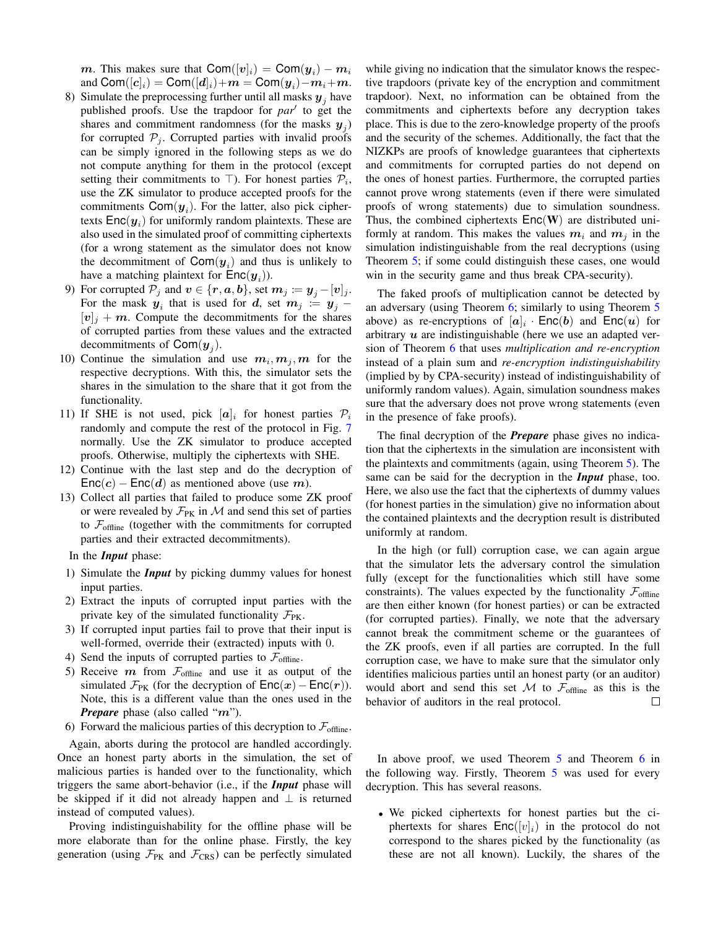$\boldsymbol{m}$ . This makes sure that  $\mathsf{Com}([{\boldsymbol v}]_i) = \mathsf{Com}({\boldsymbol y}_i) - \boldsymbol{m}_i$ and  $\mathsf{Com}([{\boldsymbol c}]_i) = \mathsf{Com}([{\boldsymbol d}]_i) \!+\! {\boldsymbol m} = \mathsf{Com}({\boldsymbol y}_i) \!-\! {\boldsymbol m}_i \!+\! {\boldsymbol m}.$ 

- 8) Simulate the preprocessing further until all masks  $y_i$  have published proofs. Use the trapdoor for *par'* to get the shares and commitment randomness (for the masks  $y_j$ ) for corrupted  $P_i$ . Corrupted parties with invalid proofs can be simply ignored in the following steps as we do not compute anything for them in the protocol (except setting their commitments to  $\top$ ). For honest parties  $\mathcal{P}_i$ , use the ZK simulator to produce accepted proofs for the commitments  $\text{Com}(y_i)$ . For the latter, also pick ciphertexts  $\mathsf{Enc}(\boldsymbol{y}_i)$  for uniformly random plaintexts. These are also used in the simulated proof of committing ciphertexts (for a wrong statement as the simulator does not know the decommitment of  $\text{Com}(y_i)$  and thus is unlikely to have a matching plaintext for  $\mathsf{Enc}(\boldsymbol{y}_i)$ ).
- 9) For corrupted  $\mathcal{P}_j$  and  $\boldsymbol{v} \in \{\boldsymbol{r}, \boldsymbol{a}, \boldsymbol{b}\},$  set  $\boldsymbol{m}_j \coloneqq \boldsymbol{y}_j [\boldsymbol{v}]_j$ . For the mask  $y_i$  that is used for d, set  $m_j := y_j [v]_i + m$ . Compute the decommitments for the shares of corrupted parties from these values and the extracted decommitments of  $\text{Com}(\bm{y}_j)$ .
- 10) Continue the simulation and use  $m_i, m_j, m$  for the respective decryptions. With this, the simulator sets the shares in the simulation to the share that it got from the functionality.
- 11) If SHE is not used, pick  $[a]_i$  for honest parties  $\mathcal{P}_i$ randomly and compute the rest of the protocol in Fig. [7](#page-12-1) normally. Use the ZK simulator to produce accepted proofs. Otherwise, multiply the ciphertexts with SHE.
- 12) Continue with the last step and do the decryption of  $Enc(c) - Enc(d)$  as mentioned above (use m).
- 13) Collect all parties that failed to produce some ZK proof or were revealed by  $\mathcal{F}_{PK}$  in M and send this set of parties to  $\mathcal{F}_{\text{offline}}$  (together with the commitments for corrupted parties and their extracted decommitments).

In the *Input* phase:

- 1) Simulate the *Input* by picking dummy values for honest input parties.
- 2) Extract the inputs of corrupted input parties with the private key of the simulated functionality  $\mathcal{F}_{PK}$ .
- 3) If corrupted input parties fail to prove that their input is well-formed, override their (extracted) inputs with 0.
- 4) Send the inputs of corrupted parties to  $\mathcal{F}_{\text{offline}}$ .
- 5) Receive  $m$  from  $\mathcal{F}_{\text{offline}}$  and use it as output of the simulated  $\mathcal{F}_{PK}$  (for the decryption of  $Enc(x) - Enc(r)$ ). Note, this is a different value than the ones used in the *Prepare* phase (also called "m").
- 6) Forward the malicious parties of this decryption to  $\mathcal{F}_{\text{offline}}$ .

Again, aborts during the protocol are handled accordingly. Once an honest party aborts in the simulation, the set of malicious parties is handed over to the functionality, which triggers the same abort-behavior (i.e., if the *Input* phase will be skipped if it did not already happen and ⊥ is returned instead of computed values).

Proving indistinguishability for the offline phase will be more elaborate than for the online phase. Firstly, the key generation (using  $\mathcal{F}_{PK}$  and  $\mathcal{F}_{CRS}$ ) can be perfectly simulated

while giving no indication that the simulator knows the respective trapdoors (private key of the encryption and commitment trapdoor). Next, no information can be obtained from the commitments and ciphertexts before any decryption takes place. This is due to the zero-knowledge property of the proofs and the security of the schemes. Additionally, the fact that the NIZKPs are proofs of knowledge guarantees that ciphertexts and commitments for corrupted parties do not depend on the ones of honest parties. Furthermore, the corrupted parties cannot prove wrong statements (even if there were simulated proofs of wrong statements) due to simulation soundness. Thus, the combined ciphertexts  $Enc(W)$  are distributed uniformly at random. This makes the values  $m_i$  and  $m_j$  in the simulation indistinguishable from the real decryptions (using Theorem [5;](#page-21-7) if some could distinguish these cases, one would win in the security game and thus break CPA-security).

The faked proofs of multiplication cannot be detected by an adversary (using Theorem [6;](#page-21-6) similarly to using Theorem [5](#page-21-7) above) as re-encryptions of  $[a]_i$  ·  $\mathsf{Enc}(b)$  and  $\mathsf{Enc}(u)$  for arbitrary  $u$  are indistinguishable (here we use an adapted version of Theorem [6](#page-21-6) that uses *multiplication and re-encryption* instead of a plain sum and *re-encryption indistinguishability* (implied by by CPA-security) instead of indistinguishability of uniformly random values). Again, simulation soundness makes sure that the adversary does not prove wrong statements (even in the presence of fake proofs).

The final decryption of the *Prepare* phase gives no indication that the ciphertexts in the simulation are inconsistent with the plaintexts and commitments (again, using Theorem [5\)](#page-21-7). The same can be said for the decryption in the *Input* phase, too. Here, we also use the fact that the ciphertexts of dummy values (for honest parties in the simulation) give no information about the contained plaintexts and the decryption result is distributed uniformly at random.

In the high (or full) corruption case, we can again argue that the simulator lets the adversary control the simulation fully (except for the functionalities which still have some constraints). The values expected by the functionality  $\mathcal{F}_{\text{offline}}$ are then either known (for honest parties) or can be extracted (for corrupted parties). Finally, we note that the adversary cannot break the commitment scheme or the guarantees of the ZK proofs, even if all parties are corrupted. In the full corruption case, we have to make sure that the simulator only identifies malicious parties until an honest party (or an auditor) would abort and send this set M to  $\mathcal{F}_{\text{offline}}$  as this is the behavior of auditors in the real protocol.  $\Box$ 

In above proof, we used Theorem [5](#page-21-7) and Theorem [6](#page-21-6) in the following way. Firstly, Theorem [5](#page-21-7) was used for every decryption. This has several reasons.

• We picked ciphertexts for honest parties but the ciphertexts for shares  $Enc([v]_i)$  in the protocol do not correspond to the shares picked by the functionality (as these are not all known). Luckily, the shares of the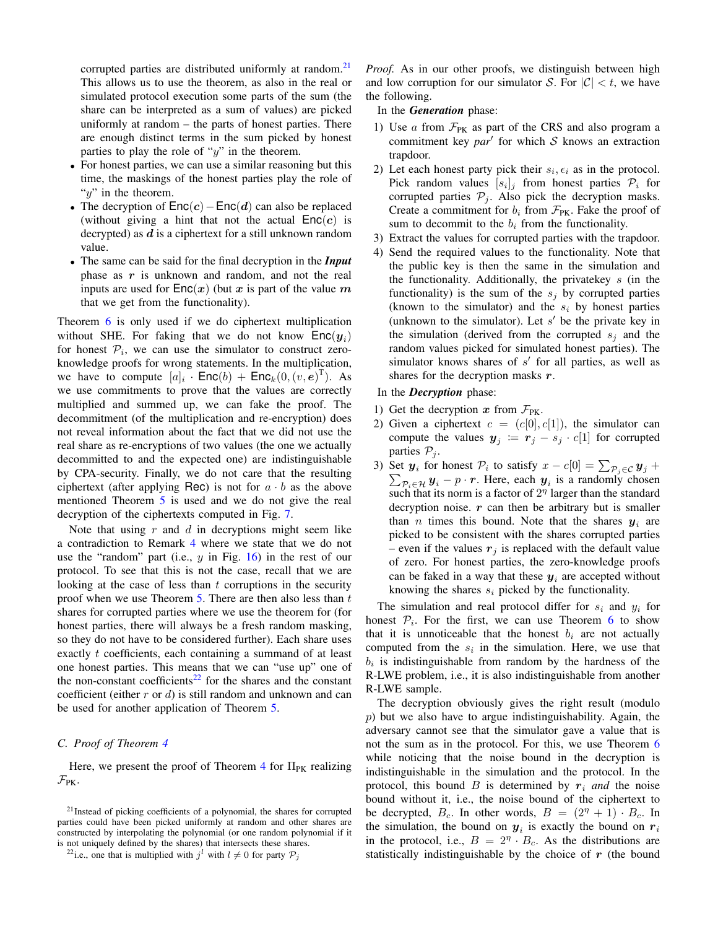corrupted parties are distributed uniformly at random.<sup>[21](#page-0-0)</sup> This allows us to use the theorem, as also in the real or simulated protocol execution some parts of the sum (the share can be interpreted as a sum of values) are picked uniformly at random – the parts of honest parties. There are enough distinct terms in the sum picked by honest parties to play the role of " $y$ " in the theorem.

- For honest parties, we can use a similar reasoning but this time, the maskings of the honest parties play the role of " $y$ " in the theorem.
- The decryption of  $Enc(c) Enc(d)$  can also be replaced (without giving a hint that not the actual  $Enc(c)$  is decrypted) as  $d$  is a ciphertext for a still unknown random value.
- The same can be said for the final decryption in the *Input* phase as  $r$  is unknown and random, and not the real inputs are used for  $Enc(x)$  (but x is part of the value m that we get from the functionality).

Theorem [6](#page-21-6) is only used if we do ciphertext multiplication without SHE. For faking that we do not know  $\mathsf{Enc}(\mathbf{y}_i)$ for honest  $P_i$ , we can use the simulator to construct zeroknowledge proofs for wrong statements. In the multiplication, we have to compute  $[a]_i$ . Enc $(b)$  + Enc $_k(0,(v,e)^T)$ . As we use commitments to prove that the values are correctly multiplied and summed up, we can fake the proof. The decommitment (of the multiplication and re-encryption) does not reveal information about the fact that we did not use the real share as re-encryptions of two values (the one we actually decommitted to and the expected one) are indistinguishable by CPA-security. Finally, we do not care that the resulting ciphertext (after applying Rec) is not for  $a \cdot b$  as the above mentioned Theorem [5](#page-21-7) is used and we do not give the real decryption of the ciphertexts computed in Fig. [7.](#page-12-1)

Note that using  $r$  and  $d$  in decryptions might seem like a contradiction to Remark [4](#page-22-2) where we state that we do not use the "random" part (i.e.,  $y$  in Fig. [16\)](#page-24-0) in the rest of our protocol. To see that this is not the case, recall that we are looking at the case of less than  $t$  corruptions in the security proof when we use Theorem  $5$ . There are then also less than  $t$ shares for corrupted parties where we use the theorem for (for honest parties, there will always be a fresh random masking, so they do not have to be considered further). Each share uses exactly t coefficients, each containing a summand of at least one honest parties. This means that we can "use up" one of the non-constant coefficients<sup>[22](#page-0-0)</sup> for the shares and the constant coefficient (either  $r$  or  $d$ ) is still random and unknown and can be used for another application of Theorem [5.](#page-21-7)

# <span id="page-27-0"></span>*C. Proof of Theorem [4](#page-21-2)*

Here, we present the proof of Theorem [4](#page-21-2) for  $\Pi_{PK}$  realizing  $\mathcal{F}_{PK}$ .

*Proof.* As in our other proofs, we distinguish between high and low corruption for our simulator S. For  $|\mathcal{C}| < t$ , we have the following.

- In the *Generation* phase:
- 1) Use  $\alpha$  from  $\mathcal{F}_{PK}$  as part of the CRS and also program a commitment key  $par'$  for which  $S$  knows an extraction trapdoor.
- 2) Let each honest party pick their  $s_i, \epsilon_i$  as in the protocol. Pick random values  $[s_i]_j$  from honest parties  $\mathcal{P}_i$  for corrupted parties  $P_i$ . Also pick the decryption masks. Create a commitment for  $b_i$  from  $\mathcal{F}_{PK}$ . Fake the proof of sum to decommit to the  $b_i$  from the functionality.
- 3) Extract the values for corrupted parties with the trapdoor.
- 4) Send the required values to the functionality. Note that the public key is then the same in the simulation and the functionality. Additionally, the privatekey  $s$  (in the functionality) is the sum of the  $s_i$  by corrupted parties (known to the simulator) and the  $s_i$  by honest parties (unknown to the simulator). Let  $s'$  be the private key in the simulation (derived from the corrupted  $s_i$  and the random values picked for simulated honest parties). The simulator knows shares of  $s'$  for all parties, as well as shares for the decryption masks  $r$ .

# In the *Decryption* phase:

- 1) Get the decryption x from  $\mathcal{F}_{PK}$ .
- 2) Given a ciphertext  $c = (c[0], c[1])$ , the simulator can compute the values  $y_j := r_j - s_j \cdot c[1]$  for corrupted parties  $P_j$ .
- 3) Set  $y_i$  for honest  $P_i$  to satisfy  $x c[0] = \sum_{P_j \in C} y_j + c$  $\sum_{\mathcal{P}_i \in \mathcal{H}} \mathcal{Y}_i - p \cdot \mathcal{r}$ . Here, each  $\mathcal{Y}_i$  is a randomly chosen such that its norm is a factor of  $2<sup>\eta</sup>$  larger than the standard decryption noise.  $r$  can then be arbitrary but is smaller than *n* times this bound. Note that the shares  $y_i$  are picked to be consistent with the shares corrupted parties – even if the values  $r_i$  is replaced with the default value of zero. For honest parties, the zero-knowledge proofs can be faked in a way that these  $y_i$  are accepted without knowing the shares  $s_i$  picked by the functionality.

The simulation and real protocol differ for  $s_i$  and  $y_i$  for honest  $P_i$ . For the first, we can use Theorem [6](#page-21-6) to show that it is unnoticeable that the honest  $b_i$  are not actually computed from the  $s_i$  in the simulation. Here, we use that  $b_i$  is indistinguishable from random by the hardness of the R-LWE problem, i.e., it is also indistinguishable from another R-LWE sample.

The decryption obviously gives the right result (modulo  $p$ ) but we also have to argue indistinguishability. Again, the adversary cannot see that the simulator gave a value that is not the sum as in the protocol. For this, we use Theorem [6](#page-21-6) while noticing that the noise bound in the decryption is indistinguishable in the simulation and the protocol. In the protocol, this bound  $B$  is determined by  $r_i$  *and* the noise bound without it, i.e., the noise bound of the ciphertext to be decrypted,  $B_c$ . In other words,  $B = (2<sup>\eta</sup> + 1) \cdot B_c$ . In the simulation, the bound on  $y_i$  is exactly the bound on  $r_i$ in the protocol, i.e.,  $B = 2^{\eta} \cdot B_c$ . As the distributions are statistically indistinguishable by the choice of  $r$  (the bound

<sup>21</sup>Instead of picking coefficients of a polynomial, the shares for corrupted parties could have been picked uniformly at random and other shares are constructed by interpolating the polynomial (or one random polynomial if it is not uniquely defined by the shares) that intersects these shares.

<sup>&</sup>lt;sup>22</sup>i.e., one that is multiplied with  $j^l$  with  $l \neq 0$  for party  $P_j$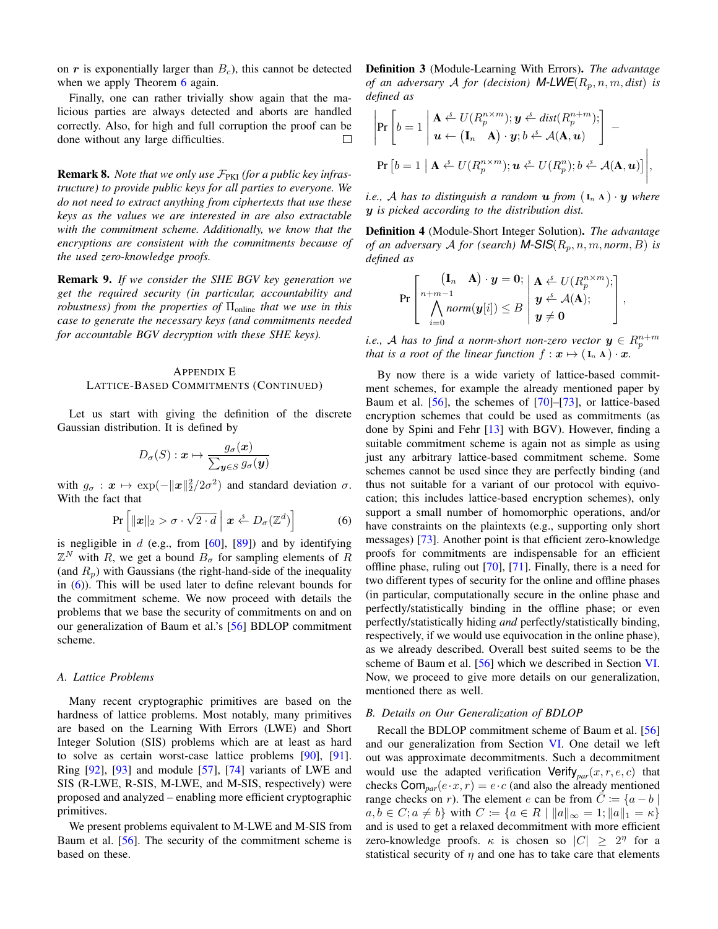on  $r$  is exponentially larger than  $B<sub>c</sub>$ ), this cannot be detected when we apply Theorem [6](#page-21-6) again.

Finally, one can rather trivially show again that the malicious parties are always detected and aborts are handled correctly. Also, for high and full corruption the proof can be done without any large difficulties.  $\Box$ 

Remark 8. Note that we only use  $\mathcal{F}_{\text{PKI}}$  (for a public key infras*tructure) to provide public keys for all parties to everyone. We do not need to extract anything from ciphertexts that use these keys as the values we are interested in are also extractable with the commitment scheme. Additionally, we know that the encryptions are consistent with the commitments because of the used zero-knowledge proofs.*

Remark 9. *If we consider the SHE BGV key generation we get the required security (in particular, accountability and robustness) from the properties of*  $\Pi_{\text{online}}$  *that we use in this case to generate the necessary keys (and commitments needed for accountable BGV decryption with these SHE keys).*

# APPENDIX E LATTICE-BASED COMMITMENTS (CONTINUED)

Let us start with giving the definition of the discrete Gaussian distribution. It is defined by

<span id="page-28-0"></span>
$$
D_{\sigma}(S): \boldsymbol{x} \mapsto \frac{g_{\sigma}(\boldsymbol{x})}{\sum_{\boldsymbol{y} \in S} g_{\sigma}(\boldsymbol{y})}
$$

with  $g_{\sigma}: \mathbf{x} \mapsto \exp(-\|\mathbf{x}\|_2^2/2\sigma^2)$  and standard deviation  $\sigma$ . With the fact that

$$
\Pr\left[\|\boldsymbol{x}\|_2 > \sigma \cdot \sqrt{2 \cdot d} \mid \boldsymbol{x} \stackrel{\text{s}}{\leftarrow} D_{\sigma}(\mathbb{Z}^d)\right] \tag{6}
$$

is negligible in  $d$  (e.g., from [\[60\]](#page-18-18), [\[89\]](#page-19-6)) and by identifying  $\mathbb{Z}^N$  with R, we get a bound  $B_{\sigma}$  for sampling elements of R (and  $R_p$ ) with Gaussians (the right-hand-side of the inequality in [\(6\)](#page-28-3)). This will be used later to define relevant bounds for the commitment scheme. We now proceed with details the problems that we base the security of commitments on and on our generalization of Baum et al.'s [\[56\]](#page-18-14) BDLOP commitment scheme.

#### <span id="page-28-1"></span>*A. Lattice Problems*

Many recent cryptographic primitives are based on the hardness of lattice problems. Most notably, many primitives are based on the Learning With Errors (LWE) and Short Integer Solution (SIS) problems which are at least as hard to solve as certain worst-case lattice problems [\[90\]](#page-19-7), [\[91\]](#page-19-8). Ring  $[92]$ ,  $[93]$  and module  $[57]$ ,  $[74]$  variants of LWE and SIS (R-LWE, R-SIS, M-LWE, and M-SIS, respectively) were proposed and analyzed – enabling more efficient cryptographic primitives.

We present problems equivalent to M-LWE and M-SIS from Baum et al. [\[56\]](#page-18-14). The security of the commitment scheme is based on these.

Definition 3 (Module-Learning With Errors). *The advantage of an adversary* A *for (decision)* **M-LWE** $(R_p, n, m, dist)$  *is defined as*

$$
\left| \Pr \left[ b = 1 \left| \begin{array}{l} \mathbf{A} \stackrel{s}{\leftarrow} U(R_p^{n \times m}); \mathbf{y} \stackrel{s}{\leftarrow} dist(R_p^{n+m}); \\ \mathbf{u} \leftarrow (\mathbf{I}_n \mathbf{A}) \cdot \mathbf{y}; b \stackrel{s}{\leftarrow} \mathcal{A}(\mathbf{A}, \mathbf{u}) \end{array} \right| \right. \right. -
$$
\n
$$
\Pr \left[ b = 1 \left| \mathbf{A} \stackrel{s}{\leftarrow} U(R_p^{n \times m}); \mathbf{u} \stackrel{s}{\leftarrow} U(R_p^{n}); b \stackrel{s}{\leftarrow} \mathcal{A}(\mathbf{A}, \mathbf{u}) \right] \right|,
$$

*i.e.,* A has to distinguish a random **u** from  $(I_n A) \cdot y$  where y *is picked according to the distribution dist.*

Definition 4 (Module-Short Integer Solution). *The advantage of an adversary* A *for (search)* **M-SIS** $(R_p, n, m, norm, B)$  *is defined as*

$$
\Pr\left[\begin{matrix}(\mathbf{I}_n & \mathbf{A})\cdot \boldsymbol{y} = \mathbf{0}; & \mathbf{A} \stackrel{s}{\leftarrow} U(R_p^{n \times m});\\ n+m-1 & \text{norm}(\boldsymbol{y}[i]) \leq B & \boldsymbol{y} \stackrel{s}{\leftarrow} \mathcal{A}(\mathbf{A});\\ \boldsymbol{y} \neq \mathbf{0}\end{matrix}\right],\right]
$$

*i.e.,* A has to find a norm-short non-zero vector  $y \in R_p^{n+m}$ *that is a root of the linear function*  $f : \mathbf{x} \mapsto (\mathbf{I}_n \mathbf{A}) \cdot \mathbf{x}$ *.* 

<span id="page-28-3"></span>By now there is a wide variety of lattice-based commitment schemes, for example the already mentioned paper by Baum et al. [\[56\]](#page-18-14), the schemes of [\[70\]](#page-18-24)–[\[73\]](#page-18-25), or lattice-based encryption schemes that could be used as commitments (as done by Spini and Fehr [\[13\]](#page-17-20) with BGV). However, finding a suitable commitment scheme is again not as simple as using just any arbitrary lattice-based commitment scheme. Some schemes cannot be used since they are perfectly binding (and thus not suitable for a variant of our protocol with equivocation; this includes lattice-based encryption schemes), only support a small number of homomorphic operations, and/or have constraints on the plaintexts (e.g., supporting only short messages) [\[73\]](#page-18-25). Another point is that efficient zero-knowledge proofs for commitments are indispensable for an efficient offline phase, ruling out [\[70\]](#page-18-24), [\[71\]](#page-18-38). Finally, there is a need for two different types of security for the online and offline phases (in particular, computationally secure in the online phase and perfectly/statistically binding in the offline phase; or even perfectly/statistically hiding *and* perfectly/statistically binding, respectively, if we would use equivocation in the online phase), as we already described. Overall best suited seems to be the scheme of Baum et al. [\[56\]](#page-18-14) which we described in Section [VI.](#page-12-0) Now, we proceed to give more details on our generalization, mentioned there as well.

#### <span id="page-28-2"></span>*B. Details on Our Generalization of BDLOP*

Recall the BDLOP commitment scheme of Baum et al. [\[56\]](#page-18-14) and our generalization from Section [VI.](#page-12-0) One detail we left out was approximate decommitments. Such a decommitment would use the adapted verification  $Verify_{par}(x, r, e, c)$  that checks  $\text{Com}_{par}(e \cdot x, r) = e \cdot c$  (and also the already mentioned range checks on r). The element e can be from  $\overline{C} := \{a - b \mid a$  $a, b \in C; a \neq b\}$  with  $C := \{a \in R \mid ||a||_{\infty} = 1; ||a||_1 = \kappa\}$ and is used to get a relaxed decommitment with more efficient zero-knowledge proofs.  $\kappa$  is chosen so  $|C| \geq 2^{\eta}$  for a statistical security of  $\eta$  and one has to take care that elements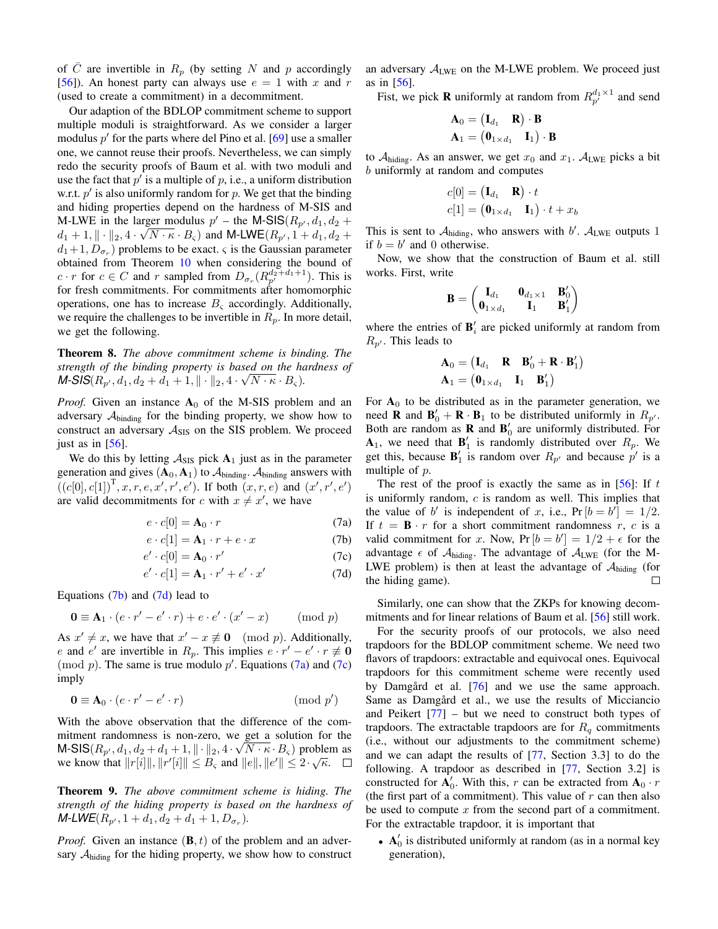of C are invertible in  $R_p$  (by setting N and p accordingly [\[56\]](#page-18-14)). An honest party can always use  $e = 1$  with x and r (used to create a commitment) in a decommitment.

Our adaption of the BDLOP commitment scheme to support multiple moduli is straightforward. As we consider a larger modulus  $p'$  for the parts where del Pino et al.  $[69]$  use a smaller one, we cannot reuse their proofs. Nevertheless, we can simply redo the security proofs of Baum et al. with two moduli and use the fact that  $p'$  is a multiple of  $p$ , i.e., a uniform distribution w.r.t.  $p'$  is also uniformly random for  $p$ . We get that the binding and hiding properties depend on the hardness of M-SIS and M-LWE in the larger modulus  $p'$  – the M-SIS( $R_{p'}$ ,  $d_1$ ,  $d_2$  +  $d_1 + 1, \|\cdot\|_2, 4 \cdot \sqrt{N \cdot \kappa \cdot B_{\varsigma}}$  and M-LWE $(R_{p'}, 1 + d_1, d_2 +$  $d_1+1, D_{\sigma_r}$ ) problems to be exact.  $\varsigma$  is the Gaussian parameter obtained from Theorem [10](#page-30-4) when considering the bound of  $c \cdot r$  for  $c \in C$  and r sampled from  $D_{\sigma_r}(R_{p'}^{d_2+ d_1+1})$ . This is for fresh commitments. For commitments after homomorphic operations, one has to increase  $B<sub>s</sub>$  accordingly. Additionally, we require the challenges to be invertible in  $R_p$ . In more detail, we get the following.

<span id="page-29-0"></span>Theorem 8. *The above commitment scheme is binding. The strength of the binding property is based on the hardness of* √  $M\text{-}SIS(R_{p'}, d_1, d_2 + d_1 + 1, \|\cdot\|_2, 4\cdot\sqrt{N\cdot\kappa\cdot B_{\varsigma}}).$ 

*Proof.* Given an instance  $A_0$  of the M-SIS problem and an adversary  $A_{\text{binding}}$  for the binding property, we show how to construct an adversary  $A_{SIS}$  on the SIS problem. We proceed just as in [\[56\]](#page-18-14).

We do this by letting  $A_{SIS}$  pick  $A_1$  just as in the parameter generation and gives  $(A_0, A_1)$  to  $A_{binding}$ .  $A_{binding}$  answers with  $((c[0], c[1])^{T}, x, r, e, x', r', e')$ . If both  $(x, r, e)$  and  $(x', r', e')$ are valid decommitments for c with  $x \neq x'$ , we have

$$
e \cdot c[0] = \mathbf{A}_0 \cdot r \tag{7a}
$$

$$
e \cdot c[1] = \mathbf{A}_1 \cdot r + e \cdot x \tag{7b}
$$

$$
e' \cdot c[0] = \mathbf{A}_0 \cdot r' \tag{7c}
$$

$$
e' \cdot c[1] = \mathbf{A}_1 \cdot r' + e' \cdot x'
$$
 (7d)

Equations  $(7b)$  and  $(7d)$  lead to

$$
\mathbf{0} \equiv \mathbf{A}_1 \cdot (e \cdot r' - e' \cdot r) + e \cdot e' \cdot (x' - x) \quad (\text{mod } p)
$$

As  $x' \neq x$ , we have that  $x' - x \not\equiv 0 \pmod{p}$ . Additionally, e and e' are invertible in  $R_p$ . This implies  $e \cdot r' - e' \cdot r \neq 0$ (mod  $p$ ). The same is true modulo  $p'$ . Equations [\(7a\)](#page-29-3) and [\(7c\)](#page-29-4) imply

$$
\mathbf{0} \equiv \mathbf{A}_0 \cdot (e \cdot r' - e' \cdot r) \tag{mod } p'
$$

With the above observation that the difference of the commitment randomness is non-zero, we get a solution for the M-SIS $(R_{p'}, d_1, d_2 + d_1 + 1, \| \cdot \|_2, 4 \cdot \sqrt{N} \cdot \kappa \cdot B_s)$  problem as we know that  $||r[i]||, ||r'[i]|| \leq B_{\varsigma}$  and  $||e||, ||e'|| \leq 2 \cdot \sqrt{\kappa}$ .

Theorem 9. *The above commitment scheme is hiding. The strength of the hiding property is based on the hardness of*  $M$ -*LWE*( $R_{p'}$ , 1 +  $d_1$ ,  $d_2$  +  $d_1$  + 1,  $D_{\sigma_r}$ ).

*Proof.* Given an instance  $(\mathbf{B}, t)$  of the problem and an adversary  $A_{\text{hiding}}$  for the hiding property, we show how to construct an adversary  $A_{LWE}$  on the M-LWE problem. We proceed just as in [\[56\]](#page-18-14).

Fist, we pick **R** uniformly at random from  $R_{p'}^{d_1 \times 1}$  and send

$$
\begin{array}{l} \mathbf{A}_0 = \begin{pmatrix} \mathbf{I}_{d_1} & \mathbf{R} \end{pmatrix} \cdot \mathbf{B} \\ \mathbf{A}_1 = \begin{pmatrix} \mathbf{0}_{1 \times d_1} & \mathbf{I}_1 \end{pmatrix} \cdot \mathbf{B} \end{array}
$$

to  $A_{\text{hiding}}$ . As an answer, we get  $x_0$  and  $x_1$ .  $A_{\text{LWE}}$  picks a bit b uniformly at random and computes

$$
c[0] = (\mathbf{I}_{d_1} \ \mathbf{R}) \cdot t
$$
  

$$
c[1] = (\mathbf{0}_{1 \times d_1} \ \mathbf{I}_1) \cdot t + x_b
$$

This is sent to  $A<sub>hiding</sub>$ , who answers with b'.  $A<sub>LWE</sub>$  outputs 1 if  $b = b'$  and 0 otherwise.

Now, we show that the construction of Baum et al. still works. First, write

$$
\mathbf{B} = \begin{pmatrix} \mathbf{I}_{d_1} & \mathbf{0}_{d_1 \times 1} & \mathbf{B}'_0 \\ \mathbf{0}_{1 \times d_1} & \mathbf{I}_1 & \mathbf{B}'_1 \end{pmatrix}
$$

where the entries of  $\mathbf{B}'_i$  are picked uniformly at random from  $R_{p'}$ . This leads to

$$
\begin{array}{ll}\n\mathbf{A}_0 = \begin{pmatrix} \mathbf{I}_{d_1} & \mathbf{R} & \mathbf{B}'_0 + \mathbf{R} \cdot \mathbf{B}'_1 \end{pmatrix} \\
\mathbf{A}_1 = \begin{pmatrix} \mathbf{0}_{1 \times d_1} & \mathbf{I}_1 & \mathbf{B}'_1 \end{pmatrix}\n\end{array}
$$

For  $A_0$  to be distributed as in the parameter generation, we need **R** and  $\mathbf{B}'_0 + \mathbf{R} \cdot \mathbf{B}_1$  to be distributed uniformly in  $R_{p'}$ . Both are random as **R** and  $\mathbf{B}'_0$  are uniformly distributed. For  $A_1$ , we need that  $B'_1$  is randomly distributed over  $R_p$ . We get this, because  $\mathbf{B}'_1$  is random over  $R_{p'}$  and because  $p'$  is a multiple of p.

<span id="page-29-3"></span><span id="page-29-1"></span>The rest of the proof is exactly the same as in  $[56]$ : If t is uniformly random, c is random as well. This implies that the value of b' is independent of x, i.e.,  $Pr[b = b'] = 1/2$ . If  $t = \mathbf{B} \cdot r$  for a short commitment randomness r, c is a valid commitment for x. Now,  $Pr[b = b'] = 1/2 + \epsilon$  for the advantage  $\epsilon$  of  $A_{\text{hiding}}$ . The advantage of  $A_{\text{LWE}}$  (for the M-LWE problem) is then at least the advantage of  $A<sub>hiding</sub>$  (for the hiding game).  $\Box$ 

<span id="page-29-4"></span><span id="page-29-2"></span>Similarly, one can show that the ZKPs for knowing decommitments and for linear relations of Baum et al. [\[56\]](#page-18-14) still work.

For the security proofs of our protocols, we also need trapdoors for the BDLOP commitment scheme. We need two flavors of trapdoors: extractable and equivocal ones. Equivocal trapdoors for this commitment scheme were recently used by Damgård et al.  $[76]$  $[76]$  and we use the same approach. Same as Damgård et al., we use the results of Micciancio and Peikert  $[77]$  – but we need to construct both types of trapdoors. The extractable trapdoors are for  $R_q$  commitments (i.e., without our adjustments to the commitment scheme) and we can adapt the results of [\[77,](#page-18-29) Section 3.3] to do the following. A trapdoor as described in [\[77,](#page-18-29) Section 3.2] is constructed for  $\mathbf{A}'_0$ . With this, r can be extracted from  $\mathbf{A}_0 \cdot r$ (the first part of a commitment). This value of  $r$  can then also be used to compute  $x$  from the second part of a commitment. For the extractable trapdoor, it is important that

•  $A'_0$  is distributed uniformly at random (as in a normal key generation),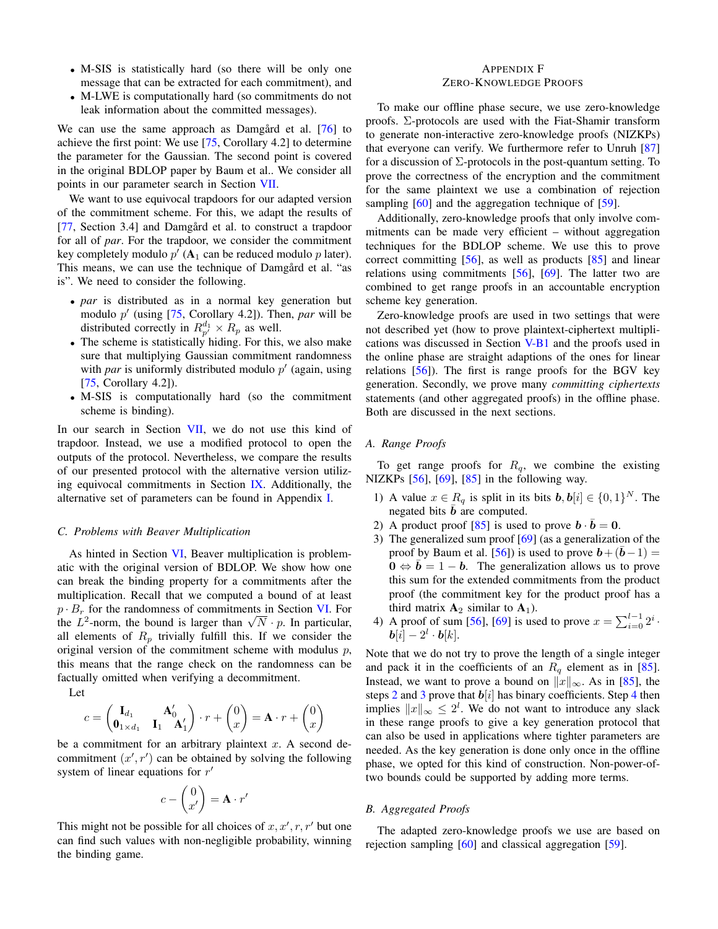- M-SIS is statistically hard (so there will be only one message that can be extracted for each commitment), and
- M-LWE is computationally hard (so commitments do not leak information about the committed messages).

We can use the same approach as Damgard et al.  $[76]$  $[76]$  to achieve the first point: We use [\[75,](#page-18-27) Corollary 4.2] to determine the parameter for the Gaussian. The second point is covered in the original BDLOP paper by Baum et al.. We consider all points in our parameter search in Section [VII.](#page-13-0)

We want to use equivocal trapdoors for our adapted version of the commitment scheme. For this, we adapt the results of [\[77,](#page-18-29) Section 3.4] and Damgård et al. to construct a trapdoor for all of *par*. For the trapdoor, we consider the commitment key completely modulo  $p'$  ( $A_1$  can be reduced modulo  $p$  later). This means, we can use the technique of Damgard et al. "as is". We need to consider the following.

- *par* is distributed as in a normal key generation but modulo p' (using [\[75,](#page-18-27) Corollary 4.2]). Then, par will be distributed correctly in  $R_{p'}^{d_1} \times R_p$  as well.
- The scheme is statistically hiding. For this, we also make sure that multiplying Gaussian commitment randomness with *par* is uniformly distributed modulo  $p'$  (again, using [\[75,](#page-18-27) Corollary 4.2]).
- M-SIS is computationally hard (so the commitment scheme is binding).

In our search in Section [VII,](#page-13-0) we do not use this kind of trapdoor. Instead, we use a modified protocol to open the outputs of the protocol. Nevertheless, we compare the results of our presented protocol with the alternative version utilizing equivocal commitments in Section [IX.](#page-15-0) Additionally, the alternative set of parameters can be found in Appendix [I.](#page-34-0)

#### <span id="page-30-0"></span>*C. Problems with Beaver Multiplication*

As hinted in Section [VI,](#page-12-0) Beaver multiplication is problematic with the original version of BDLOP. We show how one can break the binding property for a commitments after the multiplication. Recall that we computed a bound of at least  $p \cdot B_r$  for the randomness of commitments in Section [VI.](#page-12-0) For  $p \cdot B_r$  for the randomness of commitments in Section VI. For the  $L^2$ -norm, the bound is larger than  $\sqrt{N} \cdot p$ . In particular, all elements of  $R_p$  trivially fulfill this. If we consider the original version of the commitment scheme with modulus  $p$ , this means that the range check on the randomness can be factually omitted when verifying a decommitment.

Let

$$
c = \begin{pmatrix} \mathbf{I}_{d_1} & \mathbf{A}'_0 \\ \mathbf{0}_{1 \times d_1} & \mathbf{I}_1 & \mathbf{A}'_1 \end{pmatrix} \cdot r + \begin{pmatrix} 0 \\ x \end{pmatrix} = \mathbf{A} \cdot r + \begin{pmatrix} 0 \\ x \end{pmatrix}
$$

be a commitment for an arbitrary plaintext  $x$ . A second decommitment  $(x', r')$  can be obtained by solving the following system of linear equations for  $r'$ 

$$
c - \begin{pmatrix} 0 \\ x' \end{pmatrix} = \mathbf{A} \cdot r'
$$

This might not be possible for all choices of  $x, x', r, r'$  but one can find such values with non-negligible probability, winning the binding game.

# <span id="page-30-1"></span>APPENDIX F ZERO-KNOWLEDGE PROOFS

To make our offline phase secure, we use zero-knowledge proofs. Σ-protocols are used with the Fiat-Shamir transform to generate non-interactive zero-knowledge proofs (NIZKPs) that everyone can verify. We furthermore refer to Unruh [\[87\]](#page-19-4) for a discussion of  $\Sigma$ -protocols in the post-quantum setting. To prove the correctness of the encryption and the commitment for the same plaintext we use a combination of rejection sampling [\[60\]](#page-18-18) and the aggregation technique of [\[59\]](#page-18-17).

Additionally, zero-knowledge proofs that only involve commitments can be made very efficient – without aggregation techniques for the BDLOP scheme. We use this to prove correct committing [\[56\]](#page-18-14), as well as products [\[85\]](#page-18-36) and linear relations using commitments [\[56\]](#page-18-14), [\[69\]](#page-18-23). The latter two are combined to get range proofs in an accountable encryption scheme key generation.

Zero-knowledge proofs are used in two settings that were not described yet (how to prove plaintext-ciphertext multiplications was discussed in Section [V-B1](#page-11-1) and the proofs used in the online phase are straight adaptions of the ones for linear relations [\[56\]](#page-18-14)). The first is range proofs for the BGV key generation. Secondly, we prove many *committing ciphertexts* statements (and other aggregated proofs) in the offline phase. Both are discussed in the next sections.

# <span id="page-30-2"></span>*A. Range Proofs*

To get range proofs for  $R_q$ , we combine the existing NIZKPs [\[56\]](#page-18-14), [\[69\]](#page-18-23), [\[85\]](#page-18-36) in the following way.

- 1) A value  $x \in R_q$  is split in its bits  $b, b[i] \in \{0, 1\}^N$ . The negated bits  **are computed.**
- <span id="page-30-5"></span>2) A product proof [\[85\]](#page-18-36) is used to prove  $\mathbf{b} \cdot \bar{\mathbf{b}} = 0$ .
- <span id="page-30-6"></span>3) The generalized sum proof [\[69\]](#page-18-23) (as a generalization of the proof by Baum et al. [\[56\]](#page-18-14)) is used to prove  $b + (b-1) =$  $\mathbf{0} \Leftrightarrow \bar{\mathbf{b}} = 1 - \mathbf{b}$ . The generalization allows us to prove this sum for the extended commitments from the product proof (the commitment key for the product proof has a third matrix  $A_2$  similar to  $A_1$ ).
- <span id="page-30-7"></span>4) A proof of sum [\[56\]](#page-18-14), [\[69\]](#page-18-23) is used to prove  $x = \sum_{i=0}^{l-1} 2^i$ .  $\bm{b}[i] - 2^l \cdot \bm{b}[k].$

Note that we do not try to prove the length of a single integer and pack it in the coefficients of an  $R_q$  element as in [\[85\]](#page-18-36). Instead, we want to prove a bound on  $||x||_{\infty}$ . As in [\[85\]](#page-18-36), the steps [2](#page-30-5) and [3](#page-30-6) prove that  $b[i]$  has binary coefficients. Step [4](#page-30-7) then implies  $||x||_{\infty} \leq 2^l$ . We do not want to introduce any slack in these range proofs to give a key generation protocol that can also be used in applications where tighter parameters are needed. As the key generation is done only once in the offline phase, we opted for this kind of construction. Non-power-oftwo bounds could be supported by adding more terms.

#### <span id="page-30-3"></span>*B. Aggregated Proofs*

<span id="page-30-4"></span>The adapted zero-knowledge proofs we use are based on rejection sampling [\[60\]](#page-18-18) and classical aggregation [\[59\]](#page-18-17).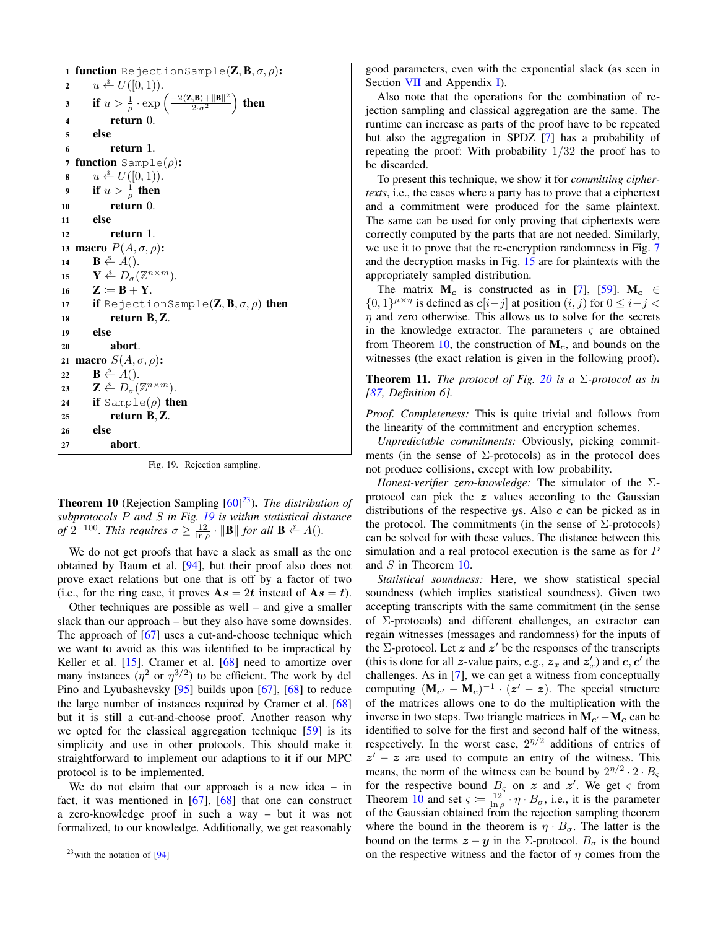1 function RejectionSample( $\mathbf{Z}, \mathbf{B}, \sigma, \rho$ ): 2  $u \overset{\hspace{0.1em}\mathsf{\scriptscriptstyle\$}}{\leftarrow} U([0,1)).$ 3 if  $u > \frac{1}{\rho} \cdot \exp \left( \frac{-2 \langle \mathbf{Z}, \mathbf{B} \rangle + ||\mathbf{B}||^2}{2 \cdot \sigma^2} \right)$  $\frac{1}{(2\cdot\sigma^2}|\mathbf{B}\|^2}{\frac{1}{(2\cdot\sigma^2})}$  then <sup>4</sup> return 0. 5 else <sup>6</sup> return 1. 7 function  $\text{Sample}(\rho)$ : 8  $u \stackrel{s}{\leftarrow} U([0,1)).$ 9 if  $u > \frac{1}{\rho}$  then <sup>10</sup> return 0. 11 else <sup>12</sup> return 1. 13 macro  $P(A, σ, ρ)$ : 14 **B**  $\overset{\circ}{\leftarrow}$  A(). 15  $\mathbf{Y} \stackrel{\mathsf{s}}{\leftarrow} D_{\sigma}(\mathbb{Z}^{n \times m}).$ 16  $\mathbf{Z} \coloneqq \mathbf{B} + \mathbf{Y}$ . 17 if RejectionSample( $\mathbf{Z}, \mathbf{B}, \sigma, \rho$ ) then <sup>18</sup> return B, Z. <sup>19</sup> else <sup>20</sup> abort. 21 **macro**  $S(A, σ, ρ)$ : 22  $\mathbf{B} \leftarrow A$ (). 23  $\mathbf{Z} \triangleq D_{\sigma}(\mathbb{Z}^{n \times m}).$ 24 if Sample( $\rho$ ) then <sup>25</sup> return B, Z. 26 else <sup>27</sup> abort.

<span id="page-31-0"></span>Fig. 19. Rejection sampling.

Theorem 10 (Rejection Sampling [\[60\]](#page-18-18) [23](#page-0-0)). *The distribution of subprotocols* P *and* S *in Fig. [19](#page-31-0) is within statistical distance of*  $2^{-100}$ *. This requires*  $\sigma \ge \frac{12}{\ln \rho} \cdot ||\mathbf{B}||$  for all  $\mathbf{B} \stackrel{s}{\leftarrow} A()$ *.* 

We do not get proofs that have a slack as small as the one obtained by Baum et al. [\[94\]](#page-19-11), but their proof also does not prove exact relations but one that is off by a factor of two (i.e., for the ring case, it proves  $As = 2t$  instead of  $As = t$ ).

Other techniques are possible as well – and give a smaller slack than our approach – but they also have some downsides. The approach of [\[67\]](#page-18-21) uses a cut-and-choose technique which we want to avoid as this was identified to be impractical by Keller et al. [\[15\]](#page-17-22). Cramer et al. [\[68\]](#page-18-22) need to amortize over many instances  $(\eta^2 \text{ or } \eta^{3/2})$  to be efficient. The work by del Pino and Lyubashevsky [\[95\]](#page-19-12) builds upon [\[67\]](#page-18-21), [\[68\]](#page-18-22) to reduce the large number of instances required by Cramer et al. [\[68\]](#page-18-22) but it is still a cut-and-choose proof. Another reason why we opted for the classical aggregation technique [\[59\]](#page-18-17) is its simplicity and use in other protocols. This should make it straightforward to implement our adaptions to it if our MPC protocol is to be implemented.

We do not claim that our approach is a new idea – in fact, it was mentioned in [\[67\]](#page-18-21), [\[68\]](#page-18-22) that one can construct a zero-knowledge proof in such a way – but it was not formalized, to our knowledge. Additionally, we get reasonably good parameters, even with the exponential slack (as seen in Section [VII](#page-13-0) and Appendix [I\)](#page-34-0).

Also note that the operations for the combination of rejection sampling and classical aggregation are the same. The runtime can increase as parts of the proof have to be repeated but also the aggregation in SPDZ [\[7\]](#page-17-3) has a probability of repeating the proof: With probability 1/32 the proof has to be discarded.

To present this technique, we show it for *committing ciphertexts*, i.e., the cases where a party has to prove that a ciphertext and a commitment were produced for the same plaintext. The same can be used for only proving that ciphertexts were correctly computed by the parts that are not needed. Similarly, we use it to prove that the re-encryption randomness in Fig. [7](#page-12-1) and the decryption masks in Fig. [15](#page-23-1) are for plaintexts with the appropriately sampled distribution.

The matrix  $M_c$  is constructed as in [\[7\]](#page-17-3), [\[59\]](#page-18-17).  $M_c \in$  $\{0,1\}^{\mu \times \eta}$  is defined as  $c[i-j]$  at position  $(i, j)$  for  $0 \le i-j$  $\eta$  and zero otherwise. This allows us to solve for the secrets in the knowledge extractor. The parameters  $\varsigma$  are obtained from Theorem [10,](#page-30-4) the construction of  $M_c$ , and bounds on the witnesses (the exact relation is given in the following proof).

**Theorem 11.** *The protocol of Fig.* [20](#page-32-3) *is a*  $\Sigma$ -protocol as in *[\[87,](#page-19-4) Definition 6].*

*Proof. Completeness:* This is quite trivial and follows from the linearity of the commitment and encryption schemes.

*Unpredictable commitments:* Obviously, picking commitments (in the sense of  $\Sigma$ -protocols) as in the protocol does not produce collisions, except with low probability.

*Honest-verifier zero-knowledge:* The simulator of the Σprotocol can pick the  $z$  values according to the Gaussian distributions of the respective  $\mathbf{y}$ s. Also  $\mathbf{c}$  can be picked as in the protocol. The commitments (in the sense of  $\Sigma$ -protocols) can be solved for with these values. The distance between this simulation and a real protocol execution is the same as for P and S in Theorem [10.](#page-30-4)

*Statistical soundness:* Here, we show statistical special soundness (which implies statistical soundness). Given two accepting transcripts with the same commitment (in the sense of Σ-protocols) and different challenges, an extractor can regain witnesses (messages and randomness) for the inputs of the  $\Sigma$ -protocol. Let z and z' be the responses of the transcripts (this is done for all z-value pairs, e.g.,  $z_x$  and  $z'_x$ ) and  $c, c'$  the challenges. As in [\[7\]](#page-17-3), we can get a witness from conceptually computing  $(M_{c'} - M_c)^{-1} \cdot (z' - z)$ . The special structure of the matrices allows one to do the multiplication with the inverse in two steps. Two triangle matrices in  $M_{c'} - M_c$  can be identified to solve for the first and second half of the witness, respectively. In the worst case,  $2^{\eta/2}$  additions of entries of  $z' - z$  are used to compute an entry of the witness. This means, the norm of the witness can be bound by  $2^{\eta/2} \cdot 2 \cdot B_{\varsigma}$ for the respective bound  $B_{\varsigma}$  on z and z'. We get  $\varsigma$  from Theorem [10](#page-30-4) and set  $\varsigma := \frac{12}{\ln \rho} \cdot \eta \cdot B_{\sigma}$ , i.e., it is the parameter of the Gaussian obtained from the rejection sampling theorem where the bound in the theorem is  $\eta \cdot B_{\sigma}$ . The latter is the bound on the terms  $z - y$  in the  $\Sigma$ -protocol.  $B_{\sigma}$  is the bound on the respective witness and the factor of  $\eta$  comes from the

<sup>23</sup>with the notation of [\[94\]](#page-19-11)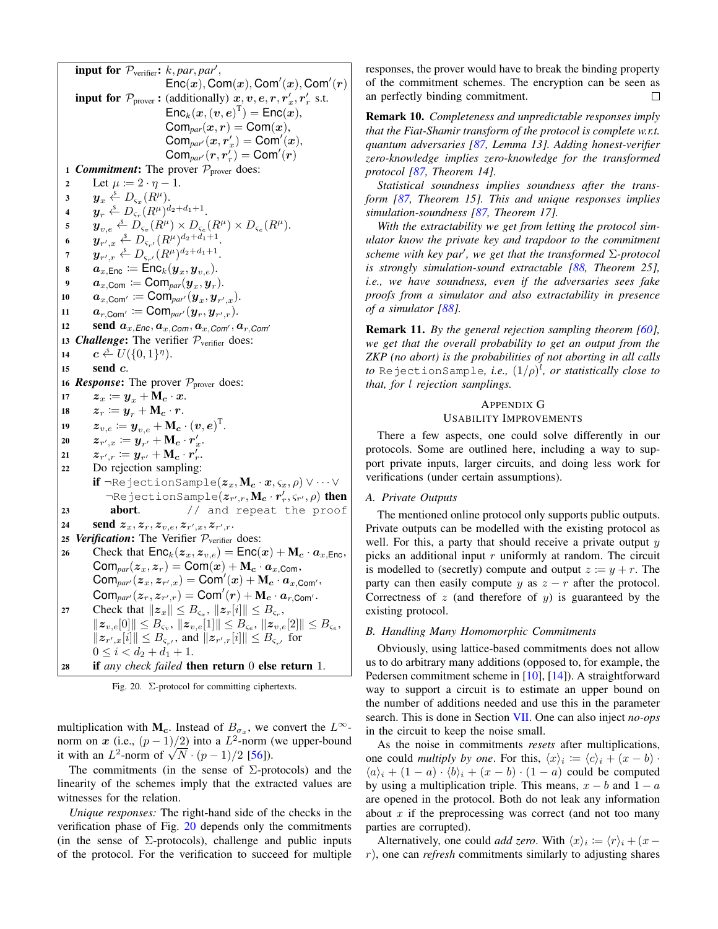input for  $\mathcal{P}_{\text{verifier}}$ :  $k, par, par',$  $\overline{\mathsf{Enc}}(x)}$ , Com $(x)$ , Com $'(x)$ , Com $'(r)$ **input for**  $\mathcal{P}_{\text{prover}}$ : (additionally)  $\mathbf{x}, \mathbf{v}, \mathbf{e}, \mathbf{r}, \mathbf{r}'_x, \mathbf{r}'_r$  s.t.  $\mathsf{Enc}_k(\bm{x},(\bm{v},\bm{e})^{\text{T}}) = \mathsf{Enc}(\tilde{\bm{x}}),$  $\textsf{Com}_{par}(x,r) = \textsf{Com}(x),$  $\textsf{Com}_{\textit{par}'}(x,r'_x) = \textsf{Com}'(x),$  $\mathsf{Com}_{\mathit{par}'}(r,r'_r) = \mathsf{Com}'(r)$ 1 *Commitment***:** The prover  $P_{\text{prover}}$  does: 2 Let  $\mu \coloneqq 2 \cdot \eta - 1$ . 3  $y_x \stackrel{s}{\leftarrow} D_{\varsigma_x}(R^\mu).$ 4  $\bm{y}_r \overset{\hspace{0.1em}\mathsf{\scriptscriptstyle\$}}{\leftarrow} D_{\varsigma_r}(R^\mu)^{d_2+d_1+1}.$  $\mathbf{y}_{v,e} \stackrel{s}{\leftarrow} D_{\varsigma_v}(R^{\mu}) \times D_{\varsigma_e}(R^{\mu}) \times D_{\varsigma_e}(R^{\mu}).$ 6  $\bm{y}_{r',x} \stackrel{\hspace{0.1em}\mathsf{\scriptscriptstyle\$}}{\leftarrow} D_{\varsigma_{r'}} (R^\mu)^{d_2+d_1+1}.$ 7  $\bm{y}_{r',r} \triangleq D_{\varsigma_{r'}} (R^\mu)^{d_2+d_1+1}.$  $\bm{s} \qquad \bm{a}_{x,\texttt{Enc}} \coloneqq \texttt{Enc}_k(\bm{y}_x, \bm{y}_{v,e}).$  ${\boldsymbol a}_{x,{\sf Com}} \coloneqq {\sf Com}_{par}({\boldsymbol y}_{x},{\boldsymbol y}_{r}).$  $\boldsymbol{a}_{x,\mathsf{Com}'}\coloneqq\mathsf{Com}_{par'}(\boldsymbol{y}_{x},\boldsymbol{y}_{r',x}).$  $\boldsymbol{a}_{r,\mathsf{Com}'}\coloneqq\mathsf{Com}_{par'}(\boldsymbol{y}_r,\boldsymbol{y}_{r',r}).$ 12 **send**  $a_{x,Enc}, a_{x,Com}, a_{x,Com}, a_{r,Com}$ 13 **Challenge:** The verifier  $P_{\text{verifier}}$  does: 14  $c \leftarrow U(\{0,1\}^{\eta}).$ <sup>15</sup> send c. 16 **Response:** The prover  $P_{\text{prover}}$  does: 17  $\boldsymbol{z}_x \coloneqq \boldsymbol{y}_x + \mathbf{M_c} \cdot \boldsymbol{x}.$ 18  $z_r \coloneqq y_r + \mathbf{M_c} \cdot r$ . 19  $\boldsymbol{z}_{v,e} \coloneqq \boldsymbol{y}_{v,e} + \mathbf{M_c} \cdot (\boldsymbol{v}, \boldsymbol{e})^{\text{T}}.$ 20  $\boldsymbol{z}_{r',x} \coloneqq \boldsymbol{y}_{r'} + \mathbf{M_c} \cdot \boldsymbol{r}'_x.$ 21  $\qquad \boldsymbol{z}_{r',r} \coloneqq \boldsymbol{y}_{r'} + \mathbf{M_c} \cdot \boldsymbol{r}'_r.$ <sup>22</sup> Do rejection sampling: if  $\neg$ RejectionSample $(z_x, M_c \cdot x, \varsigma_x, \rho) \vee \cdots \vee$  $\neg$ RejectionSample $(\boldsymbol{z}_{r',r},\mathbf{M}_{\boldsymbol{c}}\cdot\boldsymbol{r}'_r,\varsigma_{r'},\rho)$  then 23 **abort.** // and repeat the proof 24 send  $z_x, z_r, z_{v,e}, z_{r',x}, z_{r',r}.$ 25 *Verification*: The Verifier  $P_{\text{verifier}}$  does: 26 Check that  $\mathsf{Enc}_k(z_x, z_{v,e}) = \mathsf{Enc}(x) + \mathsf{M}_c \cdot a_{x,\text{Enc}}$ ,  $\textsf{Com}_{\textit{par}}(z_x, z_x) = \textsf{Com}(x) + \textbf{M}_{\textbf{c}} \cdot \textbf{a}_{x, \textsf{Com}},$  $\textsf{Com}_{\textit{par}'}(z_x, z_{r',x}) = \textsf{Com}'(x) + \textsf{M}_{\textbf{c}} \cdot a_{x, \textsf{Com}'},$  $\mathsf{Com}_{\mathit{par}'}( \bm z_r, \bm z_{r',r}) = \mathsf{Com}'(\bm r) + \mathsf{M}_{\bm c} \cdot \bm a_{r,\mathsf{Com}'} .$ 27 Check that  $||z_x|| \leq B_{\varsigma_x}$ ,  $||z_r[i]|| \leq B_{\varsigma_r}$ ,  $||z_{v,e}[0]|| \leq B_{\varsigma_v}, ||z_{v,e}[1]|| \leq B_{\varsigma_e}, ||z_{v,e}[2]|| \leq B_{\varsigma_e},$  $||z_{r',x}[i]|| \leq B_{\varsigma_{r'}}$ , and  $||z_{r',r}[i]|| \leq B_{\varsigma_{r'}}$  for  $0 \leq i < d_2 + d_1 + 1.$ <sup>28</sup> if *any check failed* then return 0 else return 1.

<span id="page-32-3"></span>

multiplication with M<sub>c</sub>. Instead of  $B_{\sigma_x}$ , we convert the  $L^{\infty}$ norm on x (i.e.,  $(p-1)/2$ ) into a  $L^2$ -norm (we upper-bound norm on  $x$  (i.e.,  $(p-1)/2$ ) into a  $L^2$ -norm (it with an  $L^2$ -norm of  $\sqrt{N} \cdot (p-1)/2$  [\[56\]](#page-18-14)).

The commitments (in the sense of  $\Sigma$ -protocols) and the linearity of the schemes imply that the extracted values are witnesses for the relation.

*Unique responses:* The right-hand side of the checks in the verification phase of Fig. [20](#page-32-3) depends only the commitments (in the sense of  $\Sigma$ -protocols), challenge and public inputs of the protocol. For the verification to succeed for multiple responses, the prover would have to break the binding property of the commitment schemes. The encryption can be seen as an perfectly binding commitment.  $\Box$ 

Remark 10. *Completeness and unpredictable responses imply that the Fiat-Shamir transform of the protocol is complete w.r.t. quantum adversaries [\[87,](#page-19-4) Lemma 13]. Adding honest-verifier zero-knowledge implies zero-knowledge for the transformed protocol [\[87,](#page-19-4) Theorem 14].*

*Statistical soundness implies soundness after the transform [\[87,](#page-19-4) Theorem 15]. This and unique responses implies simulation-soundness [\[87,](#page-19-4) Theorem 17].*

*With the extractability we get from letting the protocol simulator know the private key and trapdoor to the commitment scheme with key par', we get that the transformed* Σ-protocol *is strongly simulation-sound extractable [\[88,](#page-19-5) Theorem 25], i.e., we have soundness, even if the adversaries sees fake proofs from a simulator and also extractability in presence of a simulator [\[88\]](#page-19-5).*

Remark 11. *By the general rejection sampling theorem [\[60\]](#page-18-18), we get that the overall probability to get an output from the ZKP (no abort) is the probabilities of not aborting in all calls to* RejectionSample*, i.e.,* (1/ρ) l *, or statistically close to that, for* l *rejection samplings.*

# <span id="page-32-0"></span>APPENDIX G USABILITY IMPROVEMENTS

There a few aspects, one could solve differently in our protocols. Some are outlined here, including a way to support private inputs, larger circuits, and doing less work for verifications (under certain assumptions).

# <span id="page-32-1"></span>*A. Private Outputs*

The mentioned online protocol only supports public outputs. Private outputs can be modelled with the existing protocol as well. For this, a party that should receive a private output  $y$ picks an additional input  $r$  uniformly at random. The circuit is modelled to (secretly) compute and output  $z := y + r$ . The party can then easily compute y as  $z - r$  after the protocol. Correctness of  $z$  (and therefore of  $y$ ) is guaranteed by the existing protocol.

# <span id="page-32-2"></span>*B. Handling Many Homomorphic Commitments*

Obviously, using lattice-based commitments does not allow us to do arbitrary many additions (opposed to, for example, the Pedersen commitment scheme in [\[10\]](#page-17-19), [\[14\]](#page-17-18)). A straightforward way to support a circuit is to estimate an upper bound on the number of additions needed and use this in the parameter search. This is done in Section [VII.](#page-13-0) One can also inject *no-ops* in the circuit to keep the noise small.

As the noise in commitments *resets* after multiplications, one could *multiply by one*. For this,  $\langle x \rangle_i := \langle c \rangle_i + (x - b)$ .  $\langle a \rangle_i + (1 - a) \cdot \langle b \rangle_i + (x - b) \cdot (1 - a)$  could be computed by using a multiplication triple. This means,  $x - b$  and  $1 - a$ are opened in the protocol. Both do not leak any information about  $x$  if the preprocessing was correct (and not too many parties are corrupted).

Alternatively, one could *add zero*. With  $\langle x \rangle_i := \langle r \rangle_i + (x - \mathcal{E})$ r), one can *refresh* commitments similarly to adjusting shares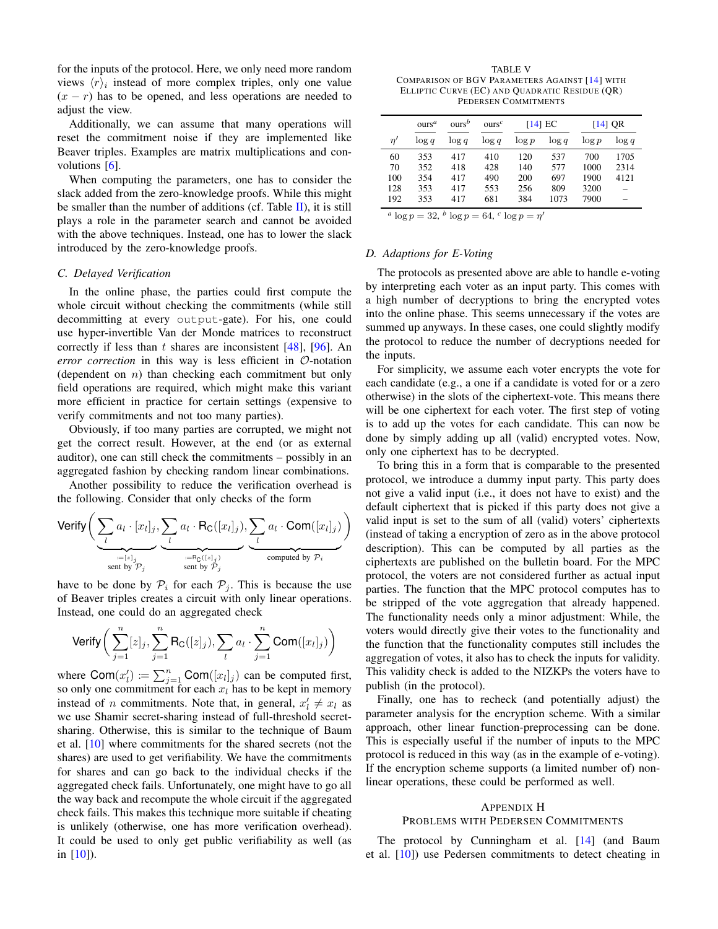for the inputs of the protocol. Here, we only need more random views  $\langle r \rangle_i$  instead of more complex triples, only one value  $(x - r)$  has to be opened, and less operations are needed to adjust the view.

Additionally, we can assume that many operations will reset the commitment noise if they are implemented like Beaver triples. Examples are matrix multiplications and convolutions [\[6\]](#page-17-2).

When computing the parameters, one has to consider the slack added from the zero-knowledge proofs. While this might be smaller than the number of additions (cf. Table  $II$ ), it is still plays a role in the parameter search and cannot be avoided with the above techniques. Instead, one has to lower the slack introduced by the zero-knowledge proofs.

#### <span id="page-33-0"></span>*C. Delayed Verification*

In the online phase, the parties could first compute the whole circuit without checking the commitments (while still decommitting at every output-gate). For his, one could use hyper-invertible Van der Monde matrices to reconstruct correctly if less than t shares are inconsistent [\[48\]](#page-18-39), [\[96\]](#page-19-13). An *error correction* in this way is less efficient in O-notation (dependent on  $n$ ) than checking each commitment but only field operations are required, which might make this variant more efficient in practice for certain settings (expensive to verify commitments and not too many parties).

Obviously, if too many parties are corrupted, we might not get the correct result. However, at the end (or as external auditor), one can still check the commitments – possibly in an aggregated fashion by checking random linear combinations.

Another possibility to reduce the verification overhead is the following. Consider that only checks of the form

Verify 
$$
\left(\underbrace{\sum_{l} a_{l} \cdot [x_{l}]_{j}}_{\text{sent by } \mathcal{P}_{j}}, \underbrace{\sum_{l} a_{l} \cdot R_{\text{C}}([x_{l}]_{j})}_{\text{sent by } \mathcal{P}_{j}}, \underbrace{\sum_{l} a_{l} \cdot \text{Com}([x_{l}]_{j})}_{\text{computed by } \mathcal{P}_{i}}
$$

have to be done by  $P_i$  for each  $P_j$ . This is because the use of Beaver triples creates a circuit with only linear operations. Instead, one could do an aggregated check

Verify 
$$
\left(\sum_{j=1}^{n} [z]_j, \sum_{j=1}^{n} \text{R}_{\text{C}}([z]_j), \sum_{l} a_l \cdot \sum_{j=1}^{n} \text{Com}([x_l]_j) \right)
$$

where  $\text{Com}(x_l') := \sum_{j=1}^n \text{Com}([x_l]_j)$  can be computed first, so only one commitment for each  $x_l$  has to be kept in memory instead of *n* commitments. Note that, in general,  $x'_l \neq x_l$  as we use Shamir secret-sharing instead of full-threshold secretsharing. Otherwise, this is similar to the technique of Baum et al. [\[10\]](#page-17-19) where commitments for the shared secrets (not the shares) are used to get verifiability. We have the commitments for shares and can go back to the individual checks if the aggregated check fails. Unfortunately, one might have to go all the way back and recompute the whole circuit if the aggregated check fails. This makes this technique more suitable if cheating is unlikely (otherwise, one has more verification overhead). It could be used to only get public verifiability as well (as in [\[10\]](#page-17-19)).

<span id="page-33-3"></span>TABLE V COMPARISON OF BGV PARAMETERS AGAINST [\[14\]](#page-17-18) WITH ELLIPTIC CURVE (EC) AND QUADRATIC RESIDUE (QR) PEDERSEN COMMITMENTS

|     | ours <sup>a</sup>                           | ours <sup>b</sup> | ours <sup>c</sup> |          | $[14]$ EC |          | $[14]$ QR |  |
|-----|---------------------------------------------|-------------------|-------------------|----------|-----------|----------|-----------|--|
| n'  | $\log q$                                    | $\log q$          | $\log q$          | $\log p$ | $\log q$  | $\log p$ | $\log q$  |  |
| 60  | 353                                         | 417               | 410               | 120      | 537       | 700      | 1705      |  |
| 70  | 352                                         | 418               | 428               | 140      | 577       | 1000     | 2314      |  |
| 100 | 354                                         | 417               | 490               | 200      | 697       | 1900     | 4121      |  |
| 128 | 353                                         | 417               | 553               | 256      | 809       | 3200     |           |  |
| 192 | 353                                         | 417               | 681               | 384      | 1073      | 7900     |           |  |
|     | $a \log n = 32 b \log n = 64 c \log n = n'$ |                   |                   |          |           |          |           |  |

 $\log p = 32, b \log p = 64, c \log p = \eta'$ 

#### <span id="page-33-1"></span>*D. Adaptions for E-Voting*

The protocols as presented above are able to handle e-voting by interpreting each voter as an input party. This comes with a high number of decryptions to bring the encrypted votes into the online phase. This seems unnecessary if the votes are summed up anyways. In these cases, one could slightly modify the protocol to reduce the number of decryptions needed for the inputs.

For simplicity, we assume each voter encrypts the vote for each candidate (e.g., a one if a candidate is voted for or a zero otherwise) in the slots of the ciphertext-vote. This means there will be one ciphertext for each voter. The first step of voting is to add up the votes for each candidate. This can now be done by simply adding up all (valid) encrypted votes. Now, only one ciphertext has to be decrypted.

To bring this in a form that is comparable to the presented protocol, we introduce a dummy input party. This party does not give a valid input (i.e., it does not have to exist) and the default ciphertext that is picked if this party does not give a valid input is set to the sum of all (valid) voters' ciphertexts (instead of taking a encryption of zero as in the above protocol description). This can be computed by all parties as the ciphertexts are published on the bulletin board. For the MPC protocol, the voters are not considered further as actual input parties. The function that the MPC protocol computes has to be stripped of the vote aggregation that already happened. The functionality needs only a minor adjustment: While, the voters would directly give their votes to the functionality and the function that the functionality computes still includes the aggregation of votes, it also has to check the inputs for validity. This validity check is added to the NIZKPs the voters have to publish (in the protocol).

Finally, one has to recheck (and potentially adjust) the parameter analysis for the encryption scheme. With a similar approach, other linear function-preprocessing can be done. This is especially useful if the number of inputs to the MPC protocol is reduced in this way (as in the example of e-voting). If the encryption scheme supports (a limited number of) nonlinear operations, these could be performed as well.

# <span id="page-33-2"></span>APPENDIX H PROBLEMS WITH PEDERSEN COMMITMENTS

The protocol by Cunningham et al. [\[14\]](#page-17-18) (and Baum et al. [\[10\]](#page-17-19)) use Pedersen commitments to detect cheating in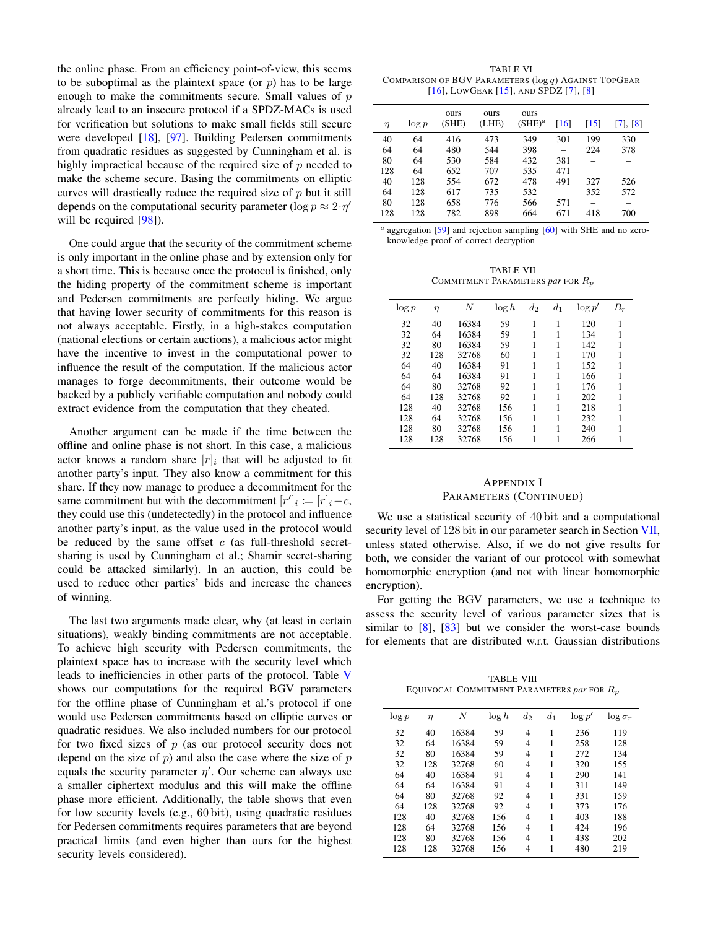the online phase. From an efficiency point-of-view, this seems to be suboptimal as the plaintext space (or  $p$ ) has to be large enough to make the commitments secure. Small values of  $p$ already lead to an insecure protocol if a SPDZ-MACs is used for verification but solutions to make small fields still secure were developed [\[18\]](#page-17-23), [\[97\]](#page-19-14). Building Pedersen commitments from quadratic residues as suggested by Cunningham et al. is highly impractical because of the required size of  $p$  needed to make the scheme secure. Basing the commitments on elliptic curves will drastically reduce the required size of  $p$  but it still depends on the computational security parameter ( $\log p \approx 2 \cdot \eta'$ ) will be required [\[98\]](#page-19-15)).

One could argue that the security of the commitment scheme is only important in the online phase and by extension only for a short time. This is because once the protocol is finished, only the hiding property of the commitment scheme is important and Pedersen commitments are perfectly hiding. We argue that having lower security of commitments for this reason is not always acceptable. Firstly, in a high-stakes computation (national elections or certain auctions), a malicious actor might have the incentive to invest in the computational power to influence the result of the computation. If the malicious actor manages to forge decommitments, their outcome would be backed by a publicly verifiable computation and nobody could extract evidence from the computation that they cheated.

Another argument can be made if the time between the offline and online phase is not short. In this case, a malicious actor knows a random share  $[r]_i$  that will be adjusted to fit another party's input. They also know a commitment for this share. If they now manage to produce a decommitment for the same commitment but with the decommitment  $[r']_i := [r]_i - c$ , they could use this (undetectedly) in the protocol and influence another party's input, as the value used in the protocol would be reduced by the same offset  $c$  (as full-threshold secretsharing is used by Cunningham et al.; Shamir secret-sharing could be attacked similarly). In an auction, this could be used to reduce other parties' bids and increase the chances of winning.

The last two arguments made clear, why (at least in certain situations), weakly binding commitments are not acceptable. To achieve high security with Pedersen commitments, the plaintext space has to increase with the security level which leads to inefficiencies in other parts of the protocol. Table [V](#page-33-3) shows our computations for the required BGV parameters for the offline phase of Cunningham et al.'s protocol if one would use Pedersen commitments based on elliptic curves or quadratic residues. We also included numbers for our protocol for two fixed sizes of  $p$  (as our protocol security does not depend on the size of  $p$ ) and also the case where the size of  $p$ equals the security parameter  $\eta'$ . Our scheme can always use a smaller ciphertext modulus and this will make the offline phase more efficient. Additionally, the table shows that even for low security levels (e.g., 60 bit), using quadratic residues for Pedersen commitments requires parameters that are beyond practical limits (and even higher than ours for the highest security levels considered).

<span id="page-34-1"></span>TABLE VI COMPARISON OF BGV PARAMETERS (log q) AGAINST TOPGEAR [\[16\]](#page-17-24), LOWGEAR [\[15\]](#page-17-22), AND SPDZ [\[7\]](#page-17-3), [\[8\]](#page-17-4)

| $\eta$ | $\log p$ | ours<br>(SHE) | ours<br>(LHE) | ours<br>$(SHE)^a$ | [16] | [15] | [7], [8] |
|--------|----------|---------------|---------------|-------------------|------|------|----------|
| 40     | 64       | 416           | 473           | 349               | 301  | 199  | 330      |
| 64     | 64       | 480           | 544           | 398               |      | 224  | 378      |
| 80     | 64       | 530           | 584           | 432               | 381  |      |          |
| 128    | 64       | 652           | 707           | 535               | 471  |      |          |
| 40     | 128      | 554           | 672           | 478               | 491  | 327  | 526      |
| 64     | 128      | 617           | 735           | 532               |      | 352  | 572      |
| 80     | 128      | 658           | 776           | 566               | 571  |      |          |
| 128    | 128      | 782           | 898           | 664               | 671  | 418  | 700      |

<sup>*a*</sup> aggregation [\[59\]](#page-18-17) and rejection sampling [\[60\]](#page-18-18) with SHE and no zeroknowledge proof of correct decryption

TABLE VII COMMITMENT PARAMETERS *par* FOR Rp

<span id="page-34-2"></span>

| $\log p$ | $\eta$ | N     | $\log h$ | $d_2$ | $d_1$ | $\log p'$ | $B_r$ |
|----------|--------|-------|----------|-------|-------|-----------|-------|
| 32       | 40     | 16384 | 59       | 1     | 1     | 120       |       |
| 32       | 64     | 16384 | 59       | 1     | 1     | 134       |       |
| 32       | 80     | 16384 | 59       |       | 1     | 142       |       |
| 32       | 128    | 32768 | 60       | 1     | 1     | 170       |       |
| 64       | 40     | 16384 | 91       | 1     | 1     | 152       |       |
| 64       | 64     | 16384 | 91       | 1     | 1     | 166       |       |
| 64       | 80     | 32768 | 92       | 1     | 1     | 176       |       |
| 64       | 128    | 32768 | 92       |       | 1     | 202       |       |
| 128      | 40     | 32768 | 156      | 1     | 1     | 218       |       |
| 128      | 64     | 32768 | 156      | 1     | 1     | 232       |       |
| 128      | 80     | 32768 | 156      | 1     | 1     | 240       |       |
| 128      | 128    | 32768 | 156      |       | 1     | 266       |       |

# <span id="page-34-0"></span>APPENDIX I PARAMETERS (CONTINUED)

We use a statistical security of 40 bit and a computational security level of 128 bit in our parameter search in Section [VII,](#page-13-0) unless stated otherwise. Also, if we do not give results for both, we consider the variant of our protocol with somewhat homomorphic encryption (and not with linear homomorphic encryption).

For getting the BGV parameters, we use a technique to assess the security level of various parameter sizes that is similar to  $[8]$ ,  $[83]$  but we consider the worst-case bounds for elements that are distributed w.r.t. Gaussian distributions

TABLE VIII EQUIVOCAL COMMITMENT PARAMETERS *par* FOR Rp

<span id="page-34-3"></span>

| $\log p$ | $\eta$ | N     | $\log h$ | $d_2$          | $d_1$ | $\log p'$ | $\log \sigma_r$ |
|----------|--------|-------|----------|----------------|-------|-----------|-----------------|
| 32       | 40     | 16384 | 59       | $\overline{4}$ | 1     | 236       | 119             |
| 32       | 64     | 16384 | 59       | 4              | 1     | 258       | 128             |
| 32       | 80     | 16384 | 59       | 4              | 1     | 272       | 134             |
| 32       | 128    | 32768 | 60       | 4              | 1     | 320       | 155             |
| 64       | 40     | 16384 | 91       | 4              | 1     | 290       | 141             |
| 64       | 64     | 16384 | 91       | 4              | 1     | 311       | 149             |
| 64       | 80     | 32768 | 92       | 4              | 1     | 331       | 159             |
| 64       | 128    | 32768 | 92       | 4              | 1     | 373       | 176             |
| 128      | 40     | 32768 | 156      | $\overline{4}$ | 1     | 403       | 188             |
| 128      | 64     | 32768 | 156      | 4              | 1     | 424       | 196             |
| 128      | 80     | 32768 | 156      | 4              | 1     | 438       | 202             |
| 128      | 128    | 32768 | 156      | 4              | 1     | 480       | 219             |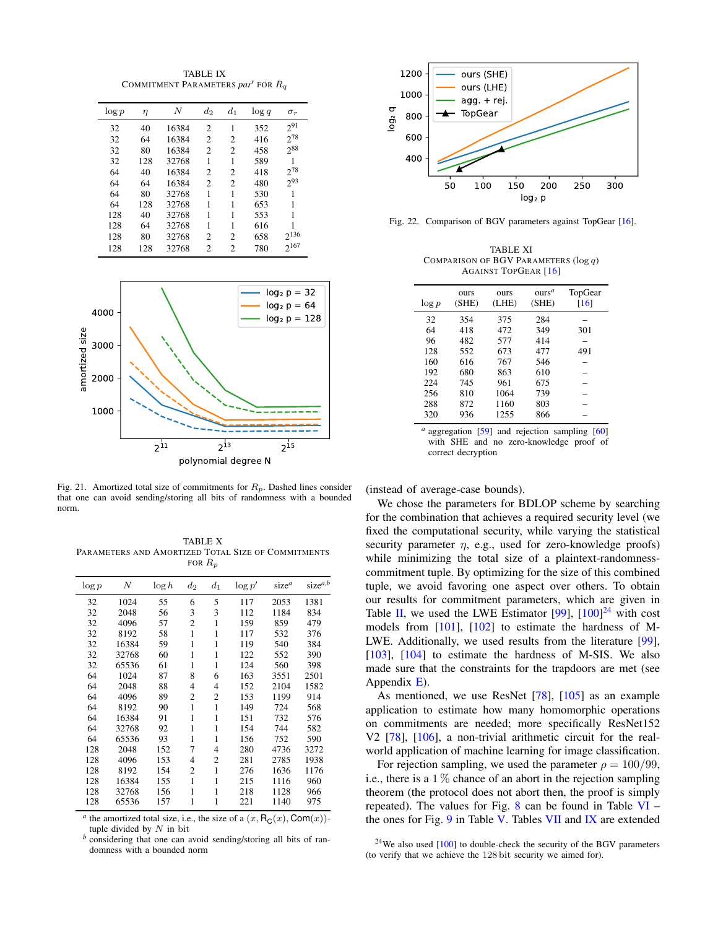TABLE IX COMMITMENT PARAMETERS *par<sup>1</sup>* FOR  $R_q$ 

<span id="page-35-0"></span>

| $\log p$ | $\eta$ | N     | $d_2$          | $d_1$          | $\log q$ | $\sigma_r$ |
|----------|--------|-------|----------------|----------------|----------|------------|
| 32       | 40     | 16384 | $\overline{c}$ | 1              | 352      | $2^{91}$   |
| 32       | 64     | 16384 | $\overline{c}$ | 2              | 416      | $2^{78}$   |
| 32       | 80     | 16384 | $\overline{c}$ | 2              | 458      | $2^{88}$   |
| 32       | 128    | 32768 | 1              | 1              | 589      |            |
| 64       | 40     | 16384 | $\overline{c}$ | 2              | 418      | $2^{78}$   |
| 64       | 64     | 16384 | $\overline{c}$ | 2              | 480      | 293        |
| 64       | 80     | 32768 | 1              | 1              | 530      | 1          |
| 64       | 128    | 32768 | 1              | 1              | 653      | 1          |
| 128      | 40     | 32768 | 1              | 1              | 553      | 1          |
| 128      | 64     | 32768 | 1              | 1              | 616      |            |
| 128      | 80     | 32768 | $\overline{c}$ | $\overline{c}$ | 658      | $2^{136}$  |
| 128      | 128    | 32768 | $\overline{c}$ | $\overline{c}$ | 780      | $2^{167}$  |



<span id="page-35-1"></span>Fig. 21. Amortized total size of commitments for  $R_p$ . Dashed lines consider that one can avoid sending/storing all bits of randomness with a bounded norm.

<span id="page-35-2"></span>TABLE X PARAMETERS AND AMORTIZED TOTAL SIZE OF COMMITMENTS FOR  $R_p$ 

| $\log p$ | N     | $\log h$ | $d_2$          | $d_1$          | $\log p'$ | size <sup>a</sup> | $size^{a,b}$ |
|----------|-------|----------|----------------|----------------|-----------|-------------------|--------------|
| 32       | 1024  | 55       | 6              | 5              | 117       | 2053              | 1381         |
| 32       | 2048  | 56       | 3              | 3              | 112       | 1184              | 834          |
| 32       | 4096  | 57       | $\overline{c}$ | 1              | 159       | 859               | 479          |
| 32       | 8192  | 58       | 1              | 1              | 117       | 532               | 376          |
| 32       | 16384 | 59       | 1              | 1              | 119       | 540               | 384          |
| 32       | 32768 | 60       | 1              | 1              | 122       | 552               | 390          |
| 32       | 65536 | 61       | 1              | 1              | 124       | 560               | 398          |
| 64       | 1024  | 87       | 8              | 6              | 163       | 3551              | 2501         |
| 64       | 2048  | 88       | 4              | $\overline{4}$ | 152       | 2104              | 1582         |
| 64       | 4096  | 89       | $\overline{c}$ | 2              | 153       | 1199              | 914          |
| 64       | 8192  | 90       | 1              | 1              | 149       | 724               | 568          |
| 64       | 16384 | 91       | 1              | 1              | 151       | 732               | 576          |
| 64       | 32768 | 92       | 1              | 1              | 154       | 744               | 582          |
| 64       | 65536 | 93       | 1              | 1              | 156       | 752               | 590          |
| 128      | 2048  | 152      | 7              | $\overline{4}$ | 280       | 4736              | 3272         |
| 128      | 4096  | 153      | 4              | 2              | 281       | 2785              | 1938         |
| 128      | 8192  | 154      | $\overline{c}$ | 1              | 276       | 1636              | 1176         |
| 128      | 16384 | 155      | 1              | 1              | 215       | 1116              | 960          |
| 128      | 32768 | 156      | 1              | 1              | 218       | 1128              | 966          |
| 128      | 65536 | 157      | 1              | 1              | 221       | 1140              | 975          |
|          |       |          |                |                |           |                   |              |

*a* the amortized total size, i.e., the size of a  $(x, R_C(x), Com(x))$ tuple divided by  $N$  in bit

*b* considering that one can avoid sending/storing all bits of randomness with a bounded norm



Fig. 22. Comparison of BGV parameters against TopGear [\[16\]](#page-17-24).

<span id="page-35-4"></span><span id="page-35-3"></span>TABLE XI COMPARISON OF BGV PARAMETERS (log q) AGAINST TOPGEAR [\[16\]](#page-17-24)

| $\log p$ | ours<br>(SHE) | <b>OUTS</b><br>(LHE) | ours <sup>a</sup><br>(SHE) | TopGear<br>[16] |
|----------|---------------|----------------------|----------------------------|-----------------|
| 32       | 354           | 375                  | 284                        |                 |
| 64       | 418           | 472                  | 349                        | 301             |
| 96       | 482           | 577                  | 414                        |                 |
| 128      | 552           | 673                  | 477                        | 491             |
| 160      | 616           | 767                  | 546                        |                 |
| 192      | 680           | 863                  | 610                        |                 |
| 224      | 745           | 961                  | 675                        |                 |
| 256      | 810           | 1064                 | 739                        |                 |
| 288      | 872           | 1160                 | 803                        |                 |
| 320      | 936           | 1255                 | 866                        |                 |

<sup>*a*</sup> aggregation [\[59\]](#page-18-17) and rejection sampling [\[60\]](#page-18-18) with SHE and no zero-knowledge proof of correct decryption

(instead of average-case bounds).

We chose the parameters for BDLOP scheme by searching for the combination that achieves a required security level (we fixed the computational security, while varying the statistical security parameter  $\eta$ , e.g., used for zero-knowledge proofs) while minimizing the total size of a plaintext-randomnesscommitment tuple. By optimizing for the size of this combined tuple, we avoid favoring one aspect over others. To obtain our results for commitment parameters, which are given in Table [II,](#page-14-2) we used the LWE Estimator  $[99]$ ,  $[100]^{24}$  $[100]^{24}$  $[100]^{24}$  $[100]^{24}$  with cost models from [\[101\]](#page-19-18), [\[102\]](#page-19-19) to estimate the hardness of M-LWE. Additionally, we used results from the literature [\[99\]](#page-19-16), [\[103\]](#page-19-20), [\[104\]](#page-19-21) to estimate the hardness of M-SIS. We also made sure that the constraints for the trapdoors are met (see Appendix [E\)](#page-28-0).

As mentioned, we use ResNet [\[78\]](#page-18-30), [\[105\]](#page-19-22) as an example application to estimate how many homomorphic operations on commitments are needed; more specifically ResNet152 V2 [\[78\]](#page-18-30), [\[106\]](#page-19-23), a non-trivial arithmetic circuit for the realworld application of machine learning for image classification.

For rejection sampling, we used the parameter  $\rho = 100/99$ , i.e., there is a  $1\%$  chance of an abort in the rejection sampling theorem (the protocol does not abort then, the proof is simply repeated). The values for Fig.  $8$  can be found in Table [VI](#page-34-1) – the ones for Fig. [9](#page-14-1) in Table [V.](#page-33-3) Tables [VII](#page-34-2) and [IX](#page-35-0) are extended

 $24$ We also used [\[100\]](#page-19-17) to double-check the security of the BGV parameters (to verify that we achieve the 128 bit security we aimed for).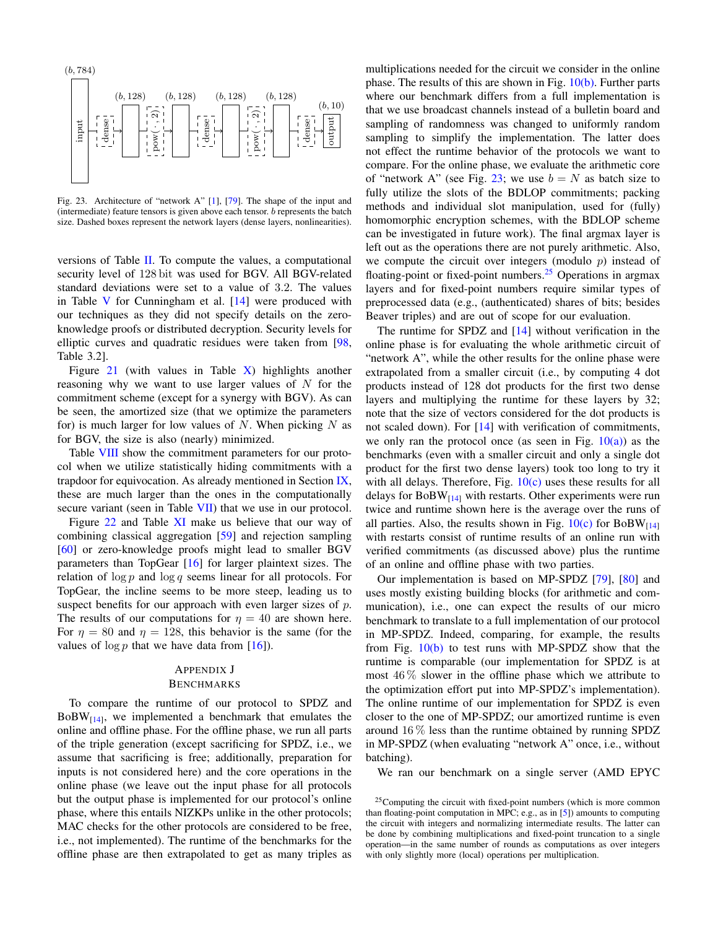

<span id="page-36-1"></span>Fig. 23. Architecture of "network A" [\[1\]](#page-17-1), [\[79\]](#page-18-31). The shape of the input and (intermediate) feature tensors is given above each tensor. b represents the batch size. Dashed boxes represent the network layers (dense layers, nonlinearities).

versions of Table [II.](#page-14-2) To compute the values, a computational security level of 128 bit was used for BGV. All BGV-related standard deviations were set to a value of 3.2. The values in Table  $V$  for Cunningham et al.  $[14]$  were produced with our techniques as they did not specify details on the zeroknowledge proofs or distributed decryption. Security levels for elliptic curves and quadratic residues were taken from [\[98,](#page-19-15) Table 3.2].

Figure [21](#page-35-1) (with values in Table  $\overline{X}$ ) highlights another reasoning why we want to use larger values of  $N$  for the commitment scheme (except for a synergy with BGV). As can be seen, the amortized size (that we optimize the parameters for) is much larger for low values of  $N$ . When picking  $N$  as for BGV, the size is also (nearly) minimized.

Table [VIII](#page-34-3) show the commitment parameters for our protocol when we utilize statistically hiding commitments with a trapdoor for equivocation. As already mentioned in Section [IX,](#page-15-0) these are much larger than the ones in the computationally secure variant (seen in Table [VII\)](#page-34-2) that we use in our protocol.

Figure [22](#page-35-3) and Table [XI](#page-35-4) make us believe that our way of combining classical aggregation [\[59\]](#page-18-17) and rejection sampling [\[60\]](#page-18-18) or zero-knowledge proofs might lead to smaller BGV parameters than TopGear [\[16\]](#page-17-24) for larger plaintext sizes. The relation of  $\log p$  and  $\log q$  seems linear for all protocols. For TopGear, the incline seems to be more steep, leading us to suspect benefits for our approach with even larger sizes of  $p$ . The results of our computations for  $\eta = 40$  are shown here. For  $\eta = 80$  and  $\eta = 128$ , this behavior is the same (for the values of  $\log p$  that we have data from [\[16\]](#page-17-24)).

# <span id="page-36-0"></span>APPENDIX J

# BENCHMARKS

To compare the runtime of our protocol to SPDZ and  $BoBW_{[14]}$  $BoBW_{[14]}$  $BoBW_{[14]}$ , we implemented a benchmark that emulates the online and offline phase. For the offline phase, we run all parts of the triple generation (except sacrificing for SPDZ, i.e., we assume that sacrificing is free; additionally, preparation for inputs is not considered here) and the core operations in the online phase (we leave out the input phase for all protocols but the output phase is implemented for our protocol's online phase, where this entails NIZKPs unlike in the other protocols; MAC checks for the other protocols are considered to be free, i.e., not implemented). The runtime of the benchmarks for the offline phase are then extrapolated to get as many triples as

multiplications needed for the circuit we consider in the online phase. The results of this are shown in Fig.  $10(b)$ . Further parts where our benchmark differs from a full implementation is that we use broadcast channels instead of a bulletin board and sampling of randomness was changed to uniformly random sampling to simplify the implementation. The latter does not effect the runtime behavior of the protocols we want to compare. For the online phase, we evaluate the arithmetic core of "network A" (see Fig. [23;](#page-36-1) we use  $b = N$  as batch size to fully utilize the slots of the BDLOP commitments; packing methods and individual slot manipulation, used for (fully) homomorphic encryption schemes, with the BDLOP scheme can be investigated in future work). The final argmax layer is left out as the operations there are not purely arithmetic. Also, we compute the circuit over integers (modulo  $p$ ) instead of floating-point or fixed-point numbers.<sup>[25](#page-0-0)</sup> Operations in argmax layers and for fixed-point numbers require similar types of preprocessed data (e.g., (authenticated) shares of bits; besides Beaver triples) and are out of scope for our evaluation.

The runtime for SPDZ and [\[14\]](#page-17-18) without verification in the online phase is for evaluating the whole arithmetic circuit of "network A", while the other results for the online phase were extrapolated from a smaller circuit (i.e., by computing 4 dot products instead of 128 dot products for the first two dense layers and multiplying the runtime for these layers by 32; note that the size of vectors considered for the dot products is not scaled down). For [\[14\]](#page-17-18) with verification of commitments, we only ran the protocol once (as seen in Fig.  $10(a)$ ) as the benchmarks (even with a smaller circuit and only a single dot product for the first two dense layers) took too long to try it with all delays. Therefore, Fig.  $10(c)$  uses these results for all delays for  $BoBW_{[14]}$  $BoBW_{[14]}$  $BoBW_{[14]}$  with restarts. Other experiments were run twice and runtime shown here is the average over the runs of all parties. Also, the results shown in Fig.  $10(c)$  for BoBW<sub>[\[14\]](#page-17-18)</sub> with restarts consist of runtime results of an online run with verified commitments (as discussed above) plus the runtime of an online and offline phase with two parties.

Our implementation is based on MP-SPDZ [\[79\]](#page-18-31), [\[80\]](#page-18-32) and uses mostly existing building blocks (for arithmetic and communication), i.e., one can expect the results of our micro benchmark to translate to a full implementation of our protocol in MP-SPDZ. Indeed, comparing, for example, the results from Fig.  $10(b)$  to test runs with MP-SPDZ show that the runtime is comparable (our implementation for SPDZ is at most  $46\%$  slower in the offline phase which we attribute to the optimization effort put into MP-SPDZ's implementation). The online runtime of our implementation for SPDZ is even closer to the one of MP-SPDZ; our amortized runtime is even around  $16\%$  less than the runtime obtained by running SPDZ in MP-SPDZ (when evaluating "network A" once, i.e., without batching).

We ran our benchmark on a single server (AMD EPYC

 $^{25}$ Computing the circuit with fixed-point numbers (which is more common than floating-point computation in MPC; e.g., as in [\[5\]](#page-17-14)) amounts to computing the circuit with integers and normalizing intermediate results. The latter can be done by combining multiplications and fixed-point truncation to a single operation—in the same number of rounds as computations as over integers with only slightly more (local) operations per multiplication.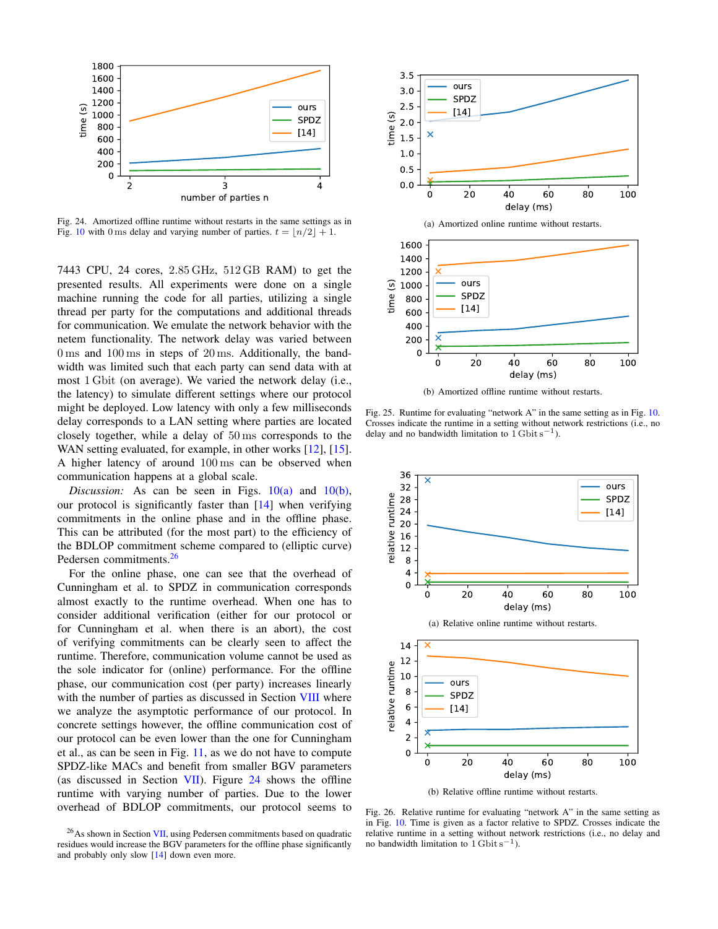

<span id="page-37-0"></span>Fig. 24. Amortized offline runtime without restarts in the same settings as in Fig. [10](#page-16-0) with 0 ms delay and varying number of parties.  $t = \lfloor n/2 \rfloor + 1$ .

7443 CPU, 24 cores, 2.85 GHz, 512 GB RAM) to get the presented results. All experiments were done on a single machine running the code for all parties, utilizing a single thread per party for the computations and additional threads for communication. We emulate the network behavior with the netem functionality. The network delay was varied between 0 ms and 100 ms in steps of 20 ms. Additionally, the bandwidth was limited such that each party can send data with at most 1 Gbit (on average). We varied the network delay (i.e., the latency) to simulate different settings where our protocol might be deployed. Low latency with only a few milliseconds delay corresponds to a LAN setting where parties are located closely together, while a delay of 50 ms corresponds to the WAN setting evaluated, for example, in other works [\[12\]](#page-17-21), [\[15\]](#page-17-22). A higher latency of around 100 ms can be observed when communication happens at a global scale.

*Discussion:* As can be seen in Figs.  $10(a)$  and  $10(b)$ , our protocol is significantly faster than  $[14]$  when verifying commitments in the online phase and in the offline phase. This can be attributed (for the most part) to the efficiency of the BDLOP commitment scheme compared to (elliptic curve) Pedersen commitments.<sup>[26](#page-0-0)</sup>

For the online phase, one can see that the overhead of Cunningham et al. to SPDZ in communication corresponds almost exactly to the runtime overhead. When one has to consider additional verification (either for our protocol or for Cunningham et al. when there is an abort), the cost of verifying commitments can be clearly seen to affect the runtime. Therefore, communication volume cannot be used as the sole indicator for (online) performance. For the offline phase, our communication cost (per party) increases linearly with the number of parties as discussed in Section [VIII](#page-14-0) where we analyze the asymptotic performance of our protocol. In concrete settings however, the offline communication cost of our protocol can be even lower than the one for Cunningham et al., as can be seen in Fig. [11,](#page-16-4) as we do not have to compute SPDZ-like MACs and benefit from smaller BGV parameters (as discussed in Section [VII\)](#page-13-0). Figure [24](#page-37-0) shows the offline runtime with varying number of parties. Due to the lower overhead of BDLOP commitments, our protocol seems to





<span id="page-37-1"></span>(b) Amortized offline runtime without restarts.

Fig. 25. Runtime for evaluating "network A" in the same setting as in Fig. [10.](#page-16-0) Crosses indicate the runtime in a setting without network restrictions (i.e., no delay and no bandwidth limitation to  $1$  Gbit s<sup>-1</sup>).



<span id="page-37-2"></span>Fig. 26. Relative runtime for evaluating "network A" in the same setting as in Fig. [10.](#page-16-0) Time is given as a factor relative to SPDZ. Crosses indicate the relative runtime in a setting without network restrictions (i.e., no delay and no bandwidth limitation to  $1$  Gbit s<sup>-1</sup>).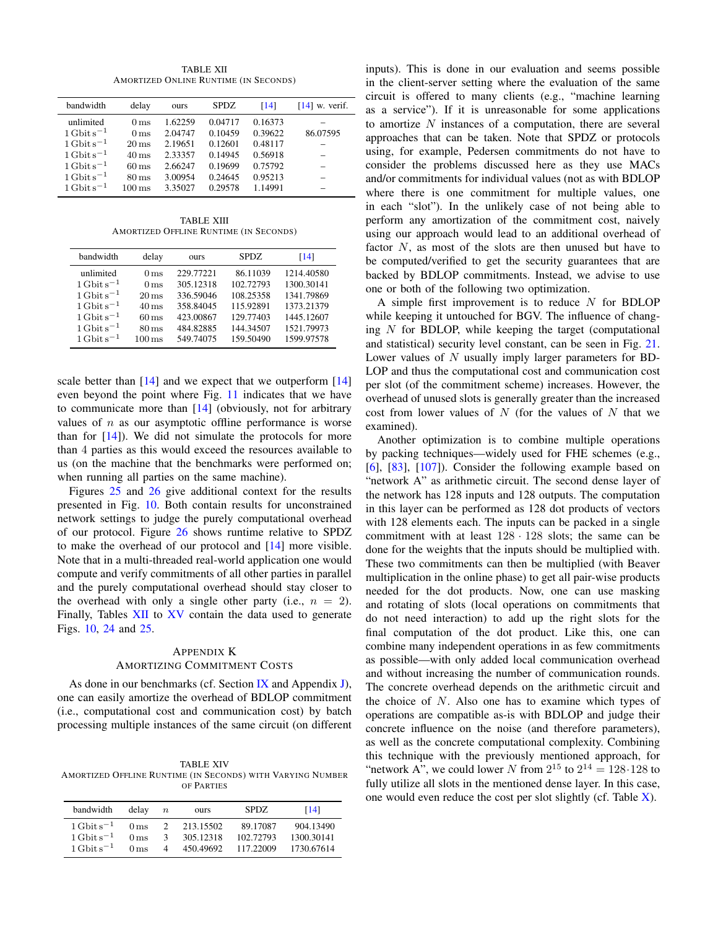TABLE XII AMORTIZED ONLINE RUNTIME (IN SECONDS)

<span id="page-38-1"></span>

| bandwidth               | delay               | ours    | <b>SPDZ</b> | [14]    | $[14]$ w. verif. |
|-------------------------|---------------------|---------|-------------|---------|------------------|
| unlimited               | 0 <sub>ms</sub>     | 1.62259 | 0.04717     | 0.16373 |                  |
| $1 \text{ Gbit s}^{-1}$ | 0 <sub>ms</sub>     | 2.04747 | 0.10459     | 0.39622 | 86.07595         |
| $1 \text{Gbit s}^{-1}$  | $20 \,\mathrm{ms}$  | 2.19651 | 0.12601     | 0.48117 |                  |
| $1 \text{ Gbit s}^{-1}$ | $40 \,\mathrm{ms}$  | 2.33357 | 0.14945     | 0.56918 |                  |
| $1 \text{ Gbit s}^{-1}$ | $60 \,\mathrm{ms}$  | 2.66247 | 0.19699     | 0.75792 |                  |
| $1 \text{ Gbit s}^{-1}$ | $80 \,\mathrm{ms}$  | 3.00954 | 0.24645     | 0.95213 |                  |
| $1 \text{ Gbit s}^{-1}$ | $100 \,\mathrm{ms}$ | 3.35027 | 0.29578     | 1.14991 |                  |
|                         |                     |         |             |         |                  |

TABLE XIII AMORTIZED OFFLINE RUNTIME (IN SECONDS)

| bandwidth               | delay               | ours      | SPDZ.     | [14]       |
|-------------------------|---------------------|-----------|-----------|------------|
| unlimited               | 0 <sub>ms</sub>     | 229.77221 | 86.11039  | 1214.40580 |
| $1 \text{ Gbit s}^{-1}$ | 0 <sub>ms</sub>     | 305.12318 | 102.72793 | 1300.30141 |
| $1 \text{ Gbit s}^{-1}$ | $20 \,\mathrm{ms}$  | 336.59046 | 108.25358 | 1341.79869 |
| $1 \text{ Gbit s}^{-1}$ | $40 \,\mathrm{ms}$  | 358.84045 | 115.92891 | 1373.21379 |
| $1 \text{ Gbit s}^{-1}$ | $60 \,\mathrm{ms}$  | 423.00867 | 129.77403 | 1445.12607 |
| $1 \text{ Gbit s}^{-1}$ | $80 \,\mathrm{ms}$  | 484.82885 | 144.34507 | 1521.79973 |
| $1 \text{ Gbit s}^{-1}$ | $100 \,\mathrm{ms}$ | 549.74075 | 159.50490 | 1599.97578 |

scale better than  $[14]$  and we expect that we outperform  $[14]$ even beyond the point where Fig. [11](#page-16-4) indicates that we have to communicate more than [\[14\]](#page-17-18) (obviously, not for arbitrary values of  $n$  as our asymptotic offline performance is worse than for  $[14]$ ). We did not simulate the protocols for more than 4 parties as this would exceed the resources available to us (on the machine that the benchmarks were performed on; when running all parties on the same machine).

Figures [25](#page-37-1) and [26](#page-37-2) give additional context for the results presented in Fig. [10.](#page-16-0) Both contain results for unconstrained network settings to judge the purely computational overhead of our protocol. Figure [26](#page-37-2) shows runtime relative to SPDZ to make the overhead of our protocol and [\[14\]](#page-17-18) more visible. Note that in a multi-threaded real-world application one would compute and verify commitments of all other parties in parallel and the purely computational overhead should stay closer to the overhead with only a single other party (i.e.,  $n = 2$ ). Finally, Tables [XII](#page-38-1) to [XV](#page-39-0) contain the data used to generate Figs. [10,](#page-16-0) [24](#page-37-0) and [25.](#page-37-1)

# <span id="page-38-0"></span>APPENDIX K AMORTIZING COMMITMENT COSTS

As done in our benchmarks (cf. Section [IX](#page-15-0) and Appendix [J\)](#page-36-0), one can easily amortize the overhead of BDLOP commitment (i.e., computational cost and communication cost) by batch processing multiple instances of the same circuit (on different

TABLE XIV AMORTIZED OFFLINE RUNTIME (IN SECONDS) WITH VARYING NUMBER OF PARTIES

| bandwidth                         | delay           | $\boldsymbol{n}$ | ours      | <b>SPDZ</b> | [14]       |
|-----------------------------------|-----------------|------------------|-----------|-------------|------------|
| $1 \text{ Gbit} \text{ s}^{-1}$   | 0 <sub>ms</sub> | 2                | 213.15502 | 89.17087    | 904 13490  |
| $1 \mathrm{Gbit} \mathrm{s}^{-1}$ | 0 <sub>ms</sub> | 3                | 305.12318 | 102.72793   | 1300.30141 |
| $1 \mathrm{Gbit} \mathrm{s}^{-1}$ | 0 <sub>ms</sub> | Δ                | 450 49692 | 117.22009   | 1730.67614 |

inputs). This is done in our evaluation and seems possible in the client-server setting where the evaluation of the same circuit is offered to many clients (e.g., "machine learning as a service"). If it is unreasonable for some applications to amortize  $N$  instances of a computation, there are several approaches that can be taken. Note that SPDZ or protocols using, for example, Pedersen commitments do not have to consider the problems discussed here as they use MACs and/or commitments for individual values (not as with BDLOP where there is one commitment for multiple values, one in each "slot"). In the unlikely case of not being able to perform any amortization of the commitment cost, naively using our approach would lead to an additional overhead of factor  $N$ , as most of the slots are then unused but have to be computed/verified to get the security guarantees that are backed by BDLOP commitments. Instead, we advise to use one or both of the following two optimization.

A simple first improvement is to reduce  $N$  for BDLOP while keeping it untouched for BGV. The influence of changing  $N$  for BDLOP, while keeping the target (computational and statistical) security level constant, can be seen in Fig. [21.](#page-35-1) Lower values of N usually imply larger parameters for BD-LOP and thus the computational cost and communication cost per slot (of the commitment scheme) increases. However, the overhead of unused slots is generally greater than the increased cost from lower values of  $N$  (for the values of  $N$  that we examined).

Another optimization is to combine multiple operations by packing techniques—widely used for FHE schemes (e.g., [\[6\]](#page-17-2), [\[83\]](#page-18-37), [\[107\]](#page-19-24)). Consider the following example based on "network A" as arithmetic circuit. The second dense layer of the network has 128 inputs and 128 outputs. The computation in this layer can be performed as 128 dot products of vectors with 128 elements each. The inputs can be packed in a single commitment with at least 128 · 128 slots; the same can be done for the weights that the inputs should be multiplied with. These two commitments can then be multiplied (with Beaver multiplication in the online phase) to get all pair-wise products needed for the dot products. Now, one can use masking and rotating of slots (local operations on commitments that do not need interaction) to add up the right slots for the final computation of the dot product. Like this, one can combine many independent operations in as few commitments as possible—with only added local communication overhead and without increasing the number of communication rounds. The concrete overhead depends on the arithmetic circuit and the choice of  $N$ . Also one has to examine which types of operations are compatible as-is with BDLOP and judge their concrete influence on the noise (and therefore parameters), as well as the concrete computational complexity. Combining this technique with the previously mentioned approach, for "network A", we could lower N from  $2^{15}$  to  $2^{14} = 128.128$  to fully utilize all slots in the mentioned dense layer. In this case, one would even reduce the cost per slot slightly (cf. Table  $X$ ).